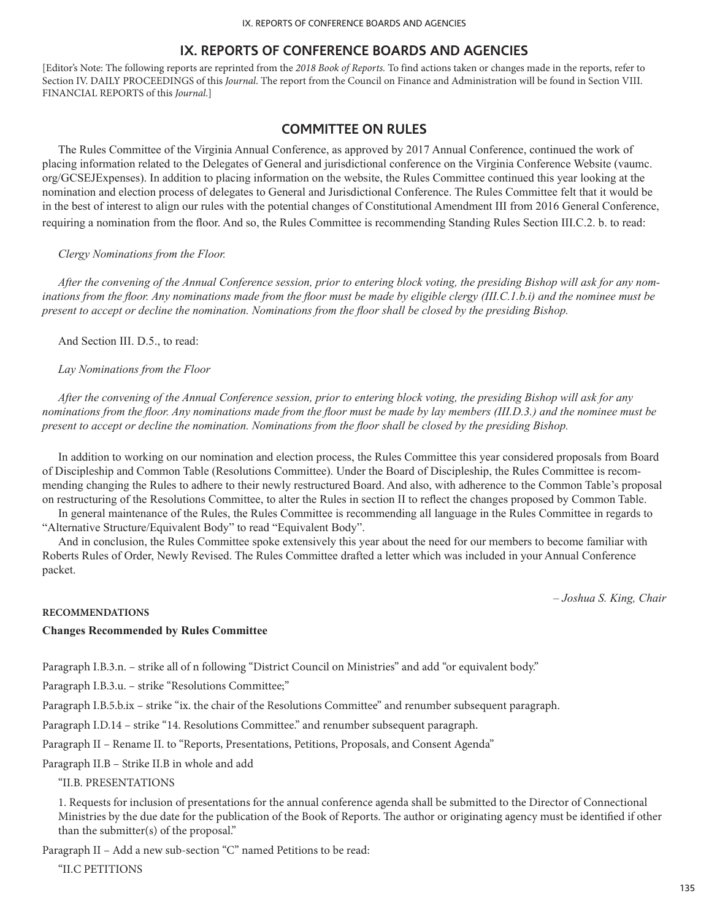[Editor's Note: The following reports are reprinted from the *2018 Book of Reports.* To find actions taken or changes made in the reports, refer to Section IV. DAILY PROCEEDINGS of this *Journal*. The report from the Council on Finance and Administration will be found in Section VIII. FINANCIAL REPORTS of this *Journal*.]

# **COMMITTEE ON RULES**

The Rules Committee of the Virginia Annual Conference, as approved by 2017 Annual Conference, continued the work of placing information related to the Delegates of General and jurisdictional conference on the Virginia Conference Website (vaumc. org/GCSEJExpenses). In addition to placing information on the website, the Rules Committee continued this year looking at the nomination and election process of delegates to General and Jurisdictional Conference. The Rules Committee felt that it would be in the best of interest to align our rules with the potential changes of Constitutional Amendment III from 2016 General Conference, requiring a nomination from the floor. And so, the Rules Committee is recommending Standing Rules Section III.C.2. b. to read:

#### *Clergy Nominations from the Floor.*

*After the convening of the Annual Conference session, prior to entering block voting, the presiding Bishop will ask for any nominations from the floor. Any nominations made from the floor must be made by eligible clergy (III.C.1.b.i) and the nominee must be present to accept or decline the nomination. Nominations from the floor shall be closed by the presiding Bishop.*

And Section III. D.5., to read:

*Lay Nominations from the Floor*

*After the convening of the Annual Conference session, prior to entering block voting, the presiding Bishop will ask for any nominations from the floor. Any nominations made from the floor must be made by lay members (III.D.3.) and the nominee must be present to accept or decline the nomination. Nominations from the floor shall be closed by the presiding Bishop.*

In addition to working on our nomination and election process, the Rules Committee this year considered proposals from Board of Discipleship and Common Table (Resolutions Committee). Under the Board of Discipleship, the Rules Committee is recommending changing the Rules to adhere to their newly restructured Board. And also, with adherence to the Common Table's proposal on restructuring of the Resolutions Committee, to alter the Rules in section II to reflect the changes proposed by Common Table.

In general maintenance of the Rules, the Rules Committee is recommending all language in the Rules Committee in regards to "Alternative Structure/Equivalent Body" to read "Equivalent Body".

And in conclusion, the Rules Committee spoke extensively this year about the need for our members to become familiar with Roberts Rules of Order, Newly Revised. The Rules Committee drafted a letter which was included in your Annual Conference packet.

*– Joshua S. King, Chair*

#### **RECOMMENDATIONS**

## **Changes Recommended by Rules Committee**

Paragraph I.B.3.n. – strike all of n following "District Council on Ministries" and add "or equivalent body."

Paragraph I.B.3.u. – strike "Resolutions Committee;"

Paragraph I.B.5.b.ix – strike "ix. the chair of the Resolutions Committee" and renumber subsequent paragraph.

Paragraph I.D.14 – strike "14. Resolutions Committee." and renumber subsequent paragraph.

Paragraph II – Rename II. to "Reports, Presentations, Petitions, Proposals, and Consent Agenda"

Paragraph II.B – Strike II.B in whole and add

#### "II.B. PRESENTATIONS

1. Requests for inclusion of presentations for the annual conference agenda shall be submitted to the Director of Connectional Ministries by the due date for the publication of the Book of Reports. The author or originating agency must be identified if other than the submitter(s) of the proposal."

Paragraph II – Add a new sub-section "C" named Petitions to be read:

"II.C PETITIONS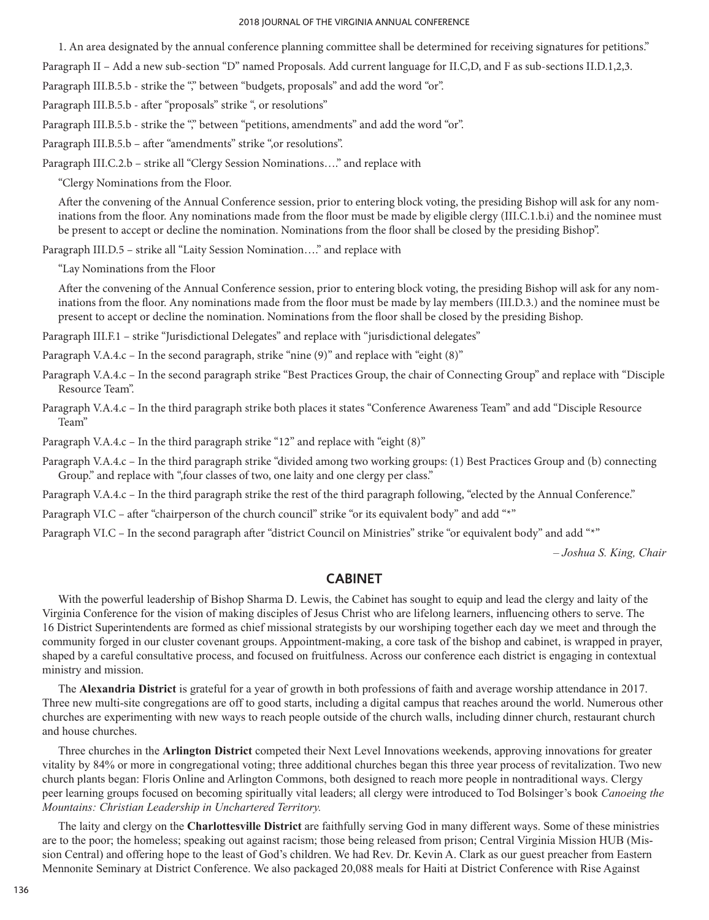#### 2018 JOURNAL OF THE VIRGINIA ANNUAL CONFERENCE

1. An area designated by the annual conference planning committee shall be determined for receiving signatures for petitions."

Paragraph II – Add a new sub-section "D" named Proposals. Add current language for II.C,D, and F as sub-sections II.D.1,2,3.

Paragraph III.B.5.b - strike the "," between "budgets, proposals" and add the word "or".

Paragraph III.B.5.b - after "proposals" strike ", or resolutions"

Paragraph III.B.5.b - strike the "" between "petitions, amendments" and add the word "or".

Paragraph III.B.5.b – after "amendments" strike ",or resolutions".

Paragraph III.C.2.b – strike all "Clergy Session Nominations…." and replace with

"Clergy Nominations from the Floor.

After the convening of the Annual Conference session, prior to entering block voting, the presiding Bishop will ask for any nominations from the floor. Any nominations made from the floor must be made by eligible clergy (III.C.1.b.i) and the nominee must be present to accept or decline the nomination. Nominations from the floor shall be closed by the presiding Bishop".

Paragraph III.D.5 – strike all "Laity Session Nomination…." and replace with

"Lay Nominations from the Floor

After the convening of the Annual Conference session, prior to entering block voting, the presiding Bishop will ask for any nominations from the floor. Any nominations made from the floor must be made by lay members (III.D.3.) and the nominee must be present to accept or decline the nomination. Nominations from the floor shall be closed by the presiding Bishop.

Paragraph III.F.1 – strike "Jurisdictional Delegates" and replace with "jurisdictional delegates"

Paragraph V.A.4.c – In the second paragraph, strike "nine (9)" and replace with "eight (8)"

Paragraph V.A.4.c – In the second paragraph strike "Best Practices Group, the chair of Connecting Group" and replace with "Disciple Resource Team".

Paragraph V.A.4.c – In the third paragraph strike both places it states "Conference Awareness Team" and add "Disciple Resource Team"

Paragraph V.A.4.c - In the third paragraph strike "12" and replace with "eight (8)"

Paragraph V.A.4.c – In the third paragraph strike "divided among two working groups: (1) Best Practices Group and (b) connecting Group." and replace with ",four classes of two, one laity and one clergy per class."

Paragraph V.A.4.c – In the third paragraph strike the rest of the third paragraph following, "elected by the Annual Conference."

Paragraph VI.C – after "chairperson of the church council" strike "or its equivalent body" and add "\*"

Paragraph VI.C – In the second paragraph after "district Council on Ministries" strike "or equivalent body" and add "\*"

*– Joshua S. King, Chair*

# **CABINET**

With the powerful leadership of Bishop Sharma D. Lewis, the Cabinet has sought to equip and lead the clergy and laity of the Virginia Conference for the vision of making disciples of Jesus Christ who are lifelong learners, influencing others to serve. The 16 District Superintendents are formed as chief missional strategists by our worshiping together each day we meet and through the community forged in our cluster covenant groups. Appointment-making, a core task of the bishop and cabinet, is wrapped in prayer, shaped by a careful consultative process, and focused on fruitfulness. Across our conference each district is engaging in contextual ministry and mission.

The **Alexandria District** is grateful for a year of growth in both professions of faith and average worship attendance in 2017. Three new multi-site congregations are off to good starts, including a digital campus that reaches around the world. Numerous other churches are experimenting with new ways to reach people outside of the church walls, including dinner church, restaurant church and house churches.

Three churches in the **Arlington District** competed their Next Level Innovations weekends, approving innovations for greater vitality by 84% or more in congregational voting; three additional churches began this three year process of revitalization. Two new church plants began: Floris Online and Arlington Commons, both designed to reach more people in nontraditional ways. Clergy peer learning groups focused on becoming spiritually vital leaders; all clergy were introduced to Tod Bolsinger's book *Canoeing the Mountains: Christian Leadership in Unchartered Territory.*

The laity and clergy on the **Charlottesville District** are faithfully serving God in many different ways. Some of these ministries are to the poor; the homeless; speaking out against racism; those being released from prison; Central Virginia Mission HUB (Mission Central) and offering hope to the least of God's children. We had Rev. Dr. Kevin A. Clark as our guest preacher from Eastern Mennonite Seminary at District Conference. We also packaged 20,088 meals for Haiti at District Conference with Rise Against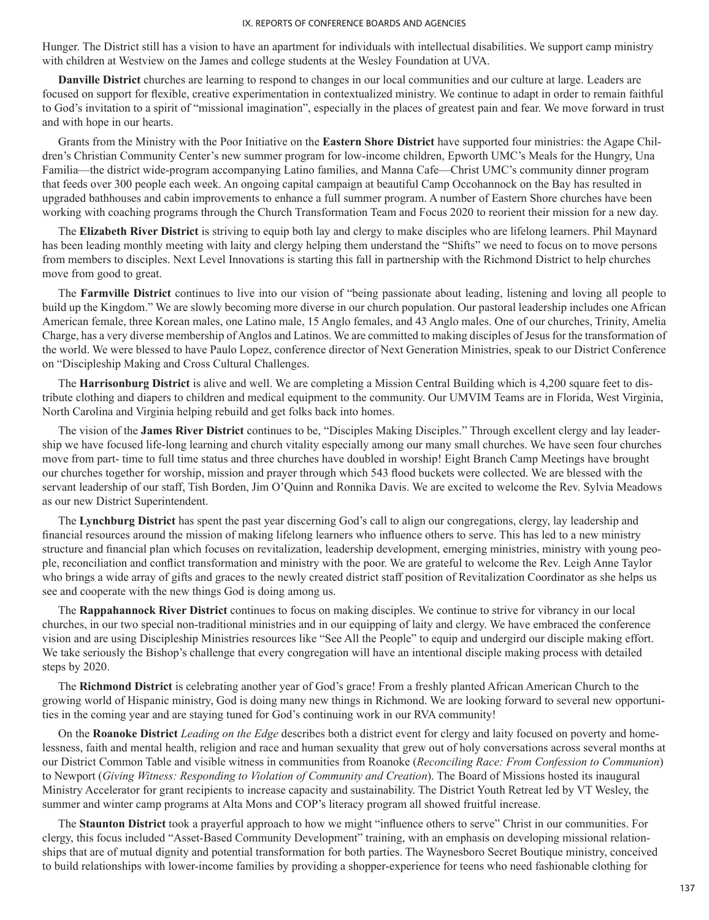Hunger. The District still has a vision to have an apartment for individuals with intellectual disabilities. We support camp ministry with children at Westview on the James and college students at the Wesley Foundation at UVA.

**Danville District** churches are learning to respond to changes in our local communities and our culture at large. Leaders are focused on support for flexible, creative experimentation in contextualized ministry. We continue to adapt in order to remain faithful to God's invitation to a spirit of "missional imagination", especially in the places of greatest pain and fear. We move forward in trust and with hope in our hearts.

Grants from the Ministry with the Poor Initiative on the **Eastern Shore District** have supported four ministries: the Agape Children's Christian Community Center's new summer program for low-income children, Epworth UMC's Meals for the Hungry, Una Familia—the district wide-program accompanying Latino families, and Manna Cafe—Christ UMC's community dinner program that feeds over 300 people each week. An ongoing capital campaign at beautiful Camp Occohannock on the Bay has resulted in upgraded bathhouses and cabin improvements to enhance a full summer program. A number of Eastern Shore churches have been working with coaching programs through the Church Transformation Team and Focus 2020 to reorient their mission for a new day.

The **Elizabeth River District** is striving to equip both lay and clergy to make disciples who are lifelong learners. Phil Maynard has been leading monthly meeting with laity and clergy helping them understand the "Shifts" we need to focus on to move persons from members to disciples. Next Level Innovations is starting this fall in partnership with the Richmond District to help churches move from good to great.

The **Farmville District** continues to live into our vision of "being passionate about leading, listening and loving all people to build up the Kingdom." We are slowly becoming more diverse in our church population. Our pastoral leadership includes one African American female, three Korean males, one Latino male, 15 Anglo females, and 43 Anglo males. One of our churches, Trinity, Amelia Charge, has a very diverse membership of Anglos and Latinos. We are committed to making disciples of Jesus for the transformation of the world. We were blessed to have Paulo Lopez, conference director of Next Generation Ministries, speak to our District Conference on "Discipleship Making and Cross Cultural Challenges.

The **Harrisonburg District** is alive and well. We are completing a Mission Central Building which is 4,200 square feet to distribute clothing and diapers to children and medical equipment to the community. Our UMVIM Teams are in Florida, West Virginia, North Carolina and Virginia helping rebuild and get folks back into homes.

The vision of the **James River District** continues to be, "Disciples Making Disciples." Through excellent clergy and lay leadership we have focused life-long learning and church vitality especially among our many small churches. We have seen four churches move from part- time to full time status and three churches have doubled in worship! Eight Branch Camp Meetings have brought our churches together for worship, mission and prayer through which 543 flood buckets were collected. We are blessed with the servant leadership of our staff, Tish Borden, Jim O'Quinn and Ronnika Davis. We are excited to welcome the Rev. Sylvia Meadows as our new District Superintendent.

The **Lynchburg District** has spent the past year discerning God's call to align our congregations, clergy, lay leadership and financial resources around the mission of making lifelong learners who influence others to serve. This has led to a new ministry structure and financial plan which focuses on revitalization, leadership development, emerging ministries, ministry with young people, reconciliation and conflict transformation and ministry with the poor. We are grateful to welcome the Rev. Leigh Anne Taylor who brings a wide array of gifts and graces to the newly created district staff position of Revitalization Coordinator as she helps us see and cooperate with the new things God is doing among us.

The **Rappahannock River District** continues to focus on making disciples. We continue to strive for vibrancy in our local churches, in our two special non-traditional ministries and in our equipping of laity and clergy. We have embraced the conference vision and are using Discipleship Ministries resources like "See All the People" to equip and undergird our disciple making effort. We take seriously the Bishop's challenge that every congregation will have an intentional disciple making process with detailed steps by 2020.

The **Richmond District** is celebrating another year of God's grace! From a freshly planted African American Church to the growing world of Hispanic ministry, God is doing many new things in Richmond. We are looking forward to several new opportunities in the coming year and are staying tuned for God's continuing work in our RVA community!

On the **Roanoke District** *Leading on the Edge* describes both a district event for clergy and laity focused on poverty and homelessness, faith and mental health, religion and race and human sexuality that grew out of holy conversations across several months at our District Common Table and visible witness in communities from Roanoke (*Reconciling Race: From Confession to Communion*) to Newport (*Giving Witness: Responding to Violation of Community and Creation*). The Board of Missions hosted its inaugural Ministry Accelerator for grant recipients to increase capacity and sustainability. The District Youth Retreat led by VT Wesley, the summer and winter camp programs at Alta Mons and COP's literacy program all showed fruitful increase.

The **Staunton District** took a prayerful approach to how we might "influence others to serve" Christ in our communities. For clergy, this focus included "Asset-Based Community Development" training, with an emphasis on developing missional relationships that are of mutual dignity and potential transformation for both parties. The Waynesboro Secret Boutique ministry, conceived to build relationships with lower-income families by providing a shopper-experience for teens who need fashionable clothing for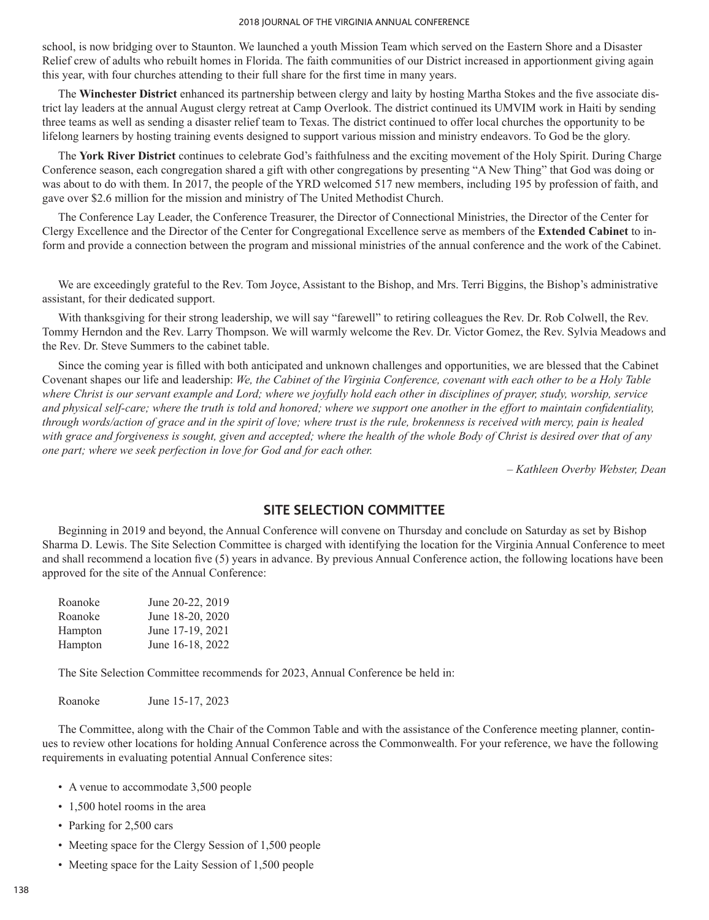#### 2018 JOURNAL OF THE VIRGINIA ANNUAL CONFERENCE

school, is now bridging over to Staunton. We launched a youth Mission Team which served on the Eastern Shore and a Disaster Relief crew of adults who rebuilt homes in Florida. The faith communities of our District increased in apportionment giving again this year, with four churches attending to their full share for the first time in many years.

The **Winchester District** enhanced its partnership between clergy and laity by hosting Martha Stokes and the five associate district lay leaders at the annual August clergy retreat at Camp Overlook. The district continued its UMVIM work in Haiti by sending three teams as well as sending a disaster relief team to Texas. The district continued to offer local churches the opportunity to be lifelong learners by hosting training events designed to support various mission and ministry endeavors. To God be the glory.

The **York River District** continues to celebrate God's faithfulness and the exciting movement of the Holy Spirit. During Charge Conference season, each congregation shared a gift with other congregations by presenting "A New Thing" that God was doing or was about to do with them. In 2017, the people of the YRD welcomed 517 new members, including 195 by profession of faith, and gave over \$2.6 million for the mission and ministry of The United Methodist Church.

The Conference Lay Leader, the Conference Treasurer, the Director of Connectional Ministries, the Director of the Center for Clergy Excellence and the Director of the Center for Congregational Excellence serve as members of the **Extended Cabinet** to inform and provide a connection between the program and missional ministries of the annual conference and the work of the Cabinet.

We are exceedingly grateful to the Rev. Tom Joyce, Assistant to the Bishop, and Mrs. Terri Biggins, the Bishop's administrative assistant, for their dedicated support.

With thanksgiving for their strong leadership, we will say "farewell" to retiring colleagues the Rev. Dr. Rob Colwell, the Rev. Tommy Herndon and the Rev. Larry Thompson. We will warmly welcome the Rev. Dr. Victor Gomez, the Rev. Sylvia Meadows and the Rev. Dr. Steve Summers to the cabinet table.

Since the coming year is filled with both anticipated and unknown challenges and opportunities, we are blessed that the Cabinet Covenant shapes our life and leadership: *We, the Cabinet of the Virginia Conference, covenant with each other to be a Holy Table where Christ is our servant example and Lord; where we joyfully hold each other in disciplines of prayer, study, worship, service and physical self-care; where the truth is told and honored; where we support one another in the effort to maintain confidentiality, through words/action of grace and in the spirit of love; where trust is the rule, brokenness is received with mercy, pain is healed with grace and forgiveness is sought, given and accepted; where the health of the whole Body of Christ is desired over that of any one part; where we seek perfection in love for God and for each other.*

*– Kathleen Overby Webster, Dean*

# **SITE SELECTION COMMITTEE**

Beginning in 2019 and beyond, the Annual Conference will convene on Thursday and conclude on Saturday as set by Bishop Sharma D. Lewis. The Site Selection Committee is charged with identifying the location for the Virginia Annual Conference to meet and shall recommend a location five (5) years in advance. By previous Annual Conference action, the following locations have been approved for the site of the Annual Conference:

| Roanoke | June 20-22, 2019 |
|---------|------------------|
| Roanoke | June 18-20, 2020 |
| Hampton | June 17-19, 2021 |
| Hampton | June 16-18, 2022 |

The Site Selection Committee recommends for 2023, Annual Conference be held in:

Roanoke June 15-17, 2023

The Committee, along with the Chair of the Common Table and with the assistance of the Conference meeting planner, continues to review other locations for holding Annual Conference across the Commonwealth. For your reference, we have the following requirements in evaluating potential Annual Conference sites:

- A venue to accommodate 3,500 people
- 1,500 hotel rooms in the area
- Parking for 2,500 cars
- Meeting space for the Clergy Session of 1,500 people
- Meeting space for the Laity Session of 1,500 people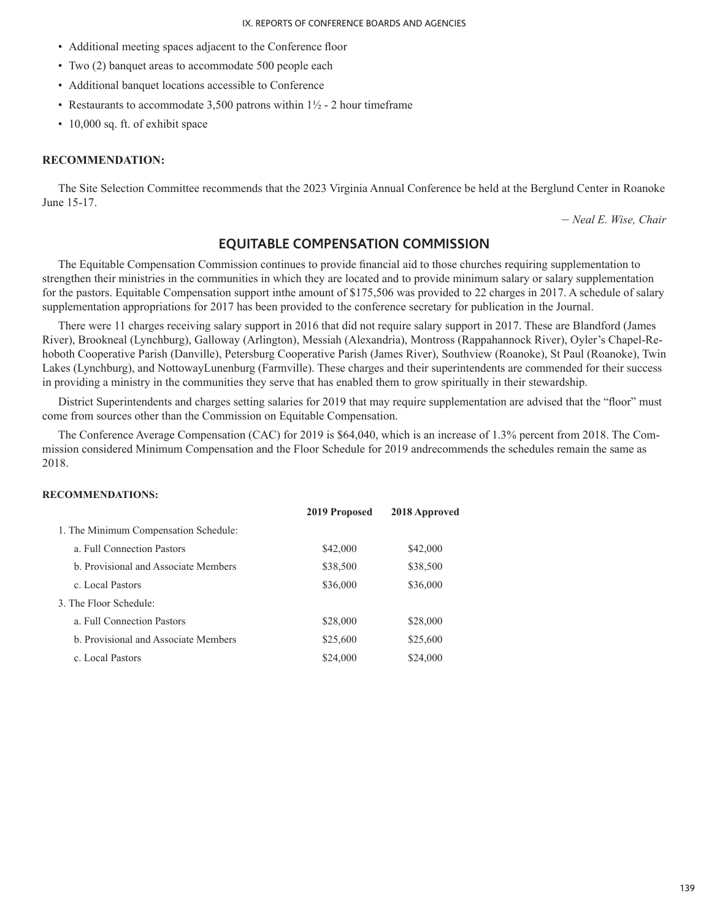- Additional meeting spaces adjacent to the Conference floor
- Two (2) banquet areas to accommodate 500 people each
- Additional banquet locations accessible to Conference
- Restaurants to accommodate 3,500 patrons within  $1\frac{1}{2}$  2 hour timeframe
- 10,000 sq. ft. of exhibit space

### **RECOMMENDATION:**

The Site Selection Committee recommends that the 2023 Virginia Annual Conference be held at the Berglund Center in Roanoke June 15-17.

– *Neal E. Wise, Chair*

# **EQUITABLE COMPENSATION COMMISSION**

The Equitable Compensation Commission continues to provide financial aid to those churches requiring supplementation to strengthen their ministries in the communities in which they are located and to provide minimum salary or salary supplementation for the pastors. Equitable Compensation support inthe amount of \$175,506 was provided to 22 charges in 2017. A schedule of salary supplementation appropriations for 2017 has been provided to the conference secretary for publication in the Journal.

There were 11 charges receiving salary support in 2016 that did not require salary support in 2017. These are Blandford (James River), Brookneal (Lynchburg), Galloway (Arlington), Messiah (Alexandria), Montross (Rappahannock River), Oyler's Chapel-Rehoboth Cooperative Parish (Danville), Petersburg Cooperative Parish (James River), Southview (Roanoke), St Paul (Roanoke), Twin Lakes (Lynchburg), and NottowayLunenburg (Farmville). These charges and their superintendents are commended for their success in providing a ministry in the communities they serve that has enabled them to grow spiritually in their stewardship.

District Superintendents and charges setting salaries for 2019 that may require supplementation are advised that the "floor" must come from sources other than the Commission on Equitable Compensation.

The Conference Average Compensation (CAC) for 2019 is \$64,040, which is an increase of 1.3% percent from 2018. The Commission considered Minimum Compensation and the Floor Schedule for 2019 andrecommends the schedules remain the same as 2018.

## **RECOMMENDATIONS:**

|                                       | 2019 Proposed | 2018 Approved |
|---------------------------------------|---------------|---------------|
| 1. The Minimum Compensation Schedule: |               |               |
| a Full Connection Pastors             | \$42,000      | \$42,000      |
| b. Provisional and Associate Members  | \$38,500      | \$38,500      |
| c. Local Pastors                      | \$36,000      | \$36,000      |
| 3 The Floor Schedule:                 |               |               |
| a. Full Connection Pastors            | \$28,000      | \$28,000      |
| b. Provisional and Associate Members  | \$25,600      | \$25,600      |
| c. Local Pastors                      | \$24,000      | \$24,000      |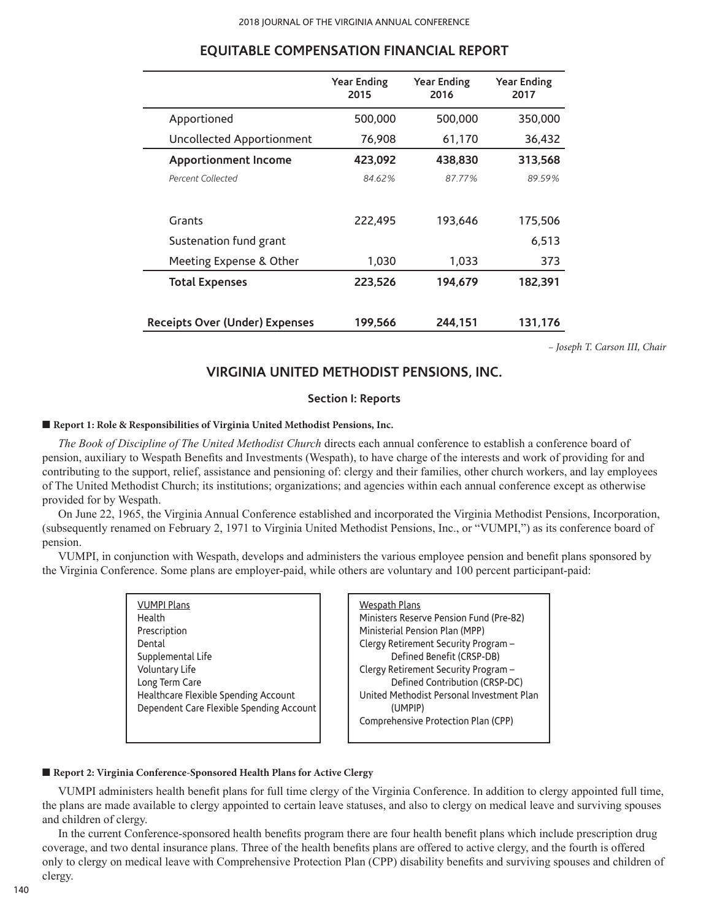|                                       | <b>Year Ending</b><br>2015 | <b>Year Ending</b><br>2016 | <b>Year Ending</b><br>2017 |
|---------------------------------------|----------------------------|----------------------------|----------------------------|
| Apportioned                           | 500,000                    | 500,000                    | 350,000                    |
| Uncollected Apportionment             | 76,908                     | 61,170                     | 36,432                     |
| <b>Apportionment Income</b>           | 423,092                    | 438,830                    | 313,568                    |
| Percent Collected                     | 84.62%                     | 87.77%                     | 89.59%                     |
|                                       |                            |                            |                            |
| Grants                                | 222,495                    | 193,646                    | 175,506                    |
| Sustenation fund grant                |                            |                            | 6,513                      |
| Meeting Expense & Other               | 1,030                      | 1,033                      | 373                        |
| <b>Total Expenses</b>                 | 223,526                    | 194,679                    | 182,391                    |
|                                       |                            |                            |                            |
| <b>Receipts Over (Under) Expenses</b> | 199,566                    | 244,151                    | 131,176                    |

# **EQUITABLE COMPENSATION FINANCIAL REPORT**

*– Joseph T. Carson III, Chair*

# **VIRGINIA UNITED METHODIST PENSIONS, INC.**

#### **Section I: Reports**

## ■ **Report 1: Role & Responsibilities of Virginia United Methodist Pensions, Inc.**

*The Book of Discipline of The United Methodist Church* directs each annual conference to establish a conference board of pension, auxiliary to Wespath Benefits and Investments (Wespath), to have charge of the interests and work of providing for and contributing to the support, relief, assistance and pensioning of: clergy and their families, other church workers, and lay employees of The United Methodist Church; its institutions; organizations; and agencies within each annual conference except as otherwise provided for by Wespath.

On June 22, 1965, the Virginia Annual Conference established and incorporated the Virginia Methodist Pensions, Incorporation, (subsequently renamed on February 2, 1971 to Virginia United Methodist Pensions, Inc., or "VUMPI,") as its conference board of pension.

VUMPI, in conjunction with Wespath, develops and administers the various employee pension and benefit plans sponsored by the Virginia Conference. Some plans are employer-paid, while others are voluntary and 100 percent participant-paid:

| <b>VUMPI Plans</b>                       |
|------------------------------------------|
| Health                                   |
| Prescription                             |
| Dental                                   |
| Supplemental Life                        |
| Voluntary Life                           |
| Long Term Care                           |
| Healthcare Flexible Spending Account     |
| Dependent Care Flexible Spending Account |
|                                          |



#### ■ **Report 2: Virginia Conference-Sponsored Health Plans for Active Clergy**

VUMPI administers health benefit plans for full time clergy of the Virginia Conference. In addition to clergy appointed full time, the plans are made available to clergy appointed to certain leave statuses, and also to clergy on medical leave and surviving spouses and children of clergy.

In the current Conference-sponsored health benefits program there are four health benefit plans which include prescription drug coverage, and two dental insurance plans. Three of the health benefits plans are offered to active clergy, and the fourth is offered only to clergy on medical leave with Comprehensive Protection Plan (CPP) disability benefits and surviving spouses and children of clergy.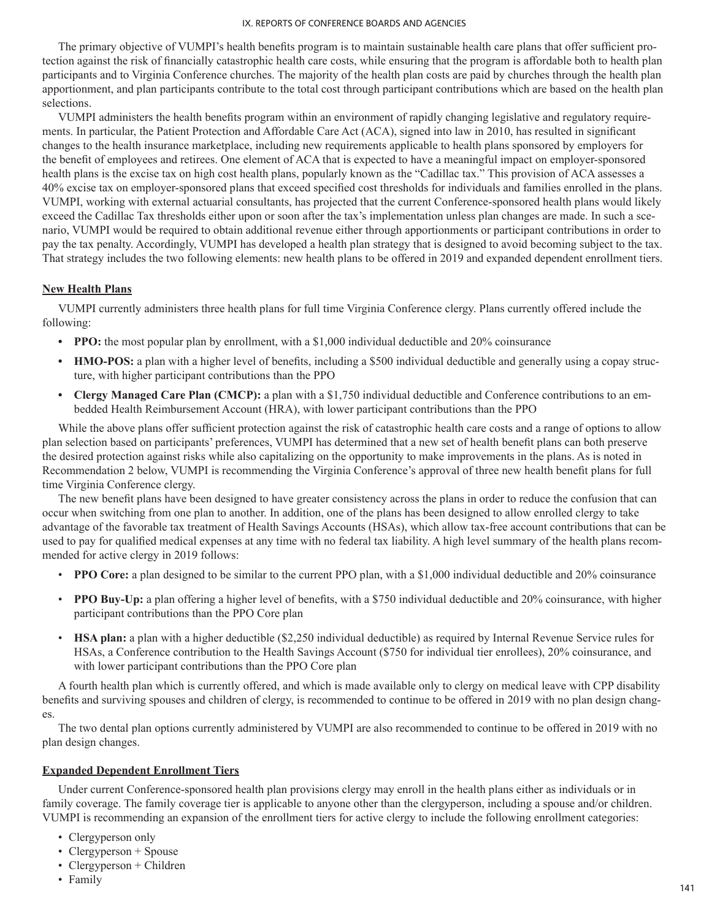The primary objective of VUMPI's health benefits program is to maintain sustainable health care plans that offer sufficient protection against the risk of financially catastrophic health care costs, while ensuring that the program is affordable both to health plan participants and to Virginia Conference churches. The majority of the health plan costs are paid by churches through the health plan apportionment, and plan participants contribute to the total cost through participant contributions which are based on the health plan selections.

VUMPI administers the health benefits program within an environment of rapidly changing legislative and regulatory requirements. In particular, the Patient Protection and Affordable Care Act (ACA), signed into law in 2010, has resulted in significant changes to the health insurance marketplace, including new requirements applicable to health plans sponsored by employers for the benefit of employees and retirees. One element of ACA that is expected to have a meaningful impact on employer-sponsored health plans is the excise tax on high cost health plans, popularly known as the "Cadillac tax." This provision of ACA assesses a 40% excise tax on employer-sponsored plans that exceed specified cost thresholds for individuals and families enrolled in the plans. VUMPI, working with external actuarial consultants, has projected that the current Conference-sponsored health plans would likely exceed the Cadillac Tax thresholds either upon or soon after the tax's implementation unless plan changes are made. In such a scenario, VUMPI would be required to obtain additional revenue either through apportionments or participant contributions in order to pay the tax penalty. Accordingly, VUMPI has developed a health plan strategy that is designed to avoid becoming subject to the tax. That strategy includes the two following elements: new health plans to be offered in 2019 and expanded dependent enrollment tiers.

# **New Health Plans**

VUMPI currently administers three health plans for full time Virginia Conference clergy. Plans currently offered include the following:

- **PPO:** the most popular plan by enrollment, with a \$1,000 individual deductible and 20% coinsurance
- **• HMO-POS:** a plan with a higher level of benefits, including a \$500 individual deductible and generally using a copay structure, with higher participant contributions than the PPO
- **• Clergy Managed Care Plan (CMCP):** a plan with a \$1,750 individual deductible and Conference contributions to an embedded Health Reimbursement Account (HRA), with lower participant contributions than the PPO

While the above plans offer sufficient protection against the risk of catastrophic health care costs and a range of options to allow plan selection based on participants' preferences, VUMPI has determined that a new set of health benefit plans can both preserve the desired protection against risks while also capitalizing on the opportunity to make improvements in the plans. As is noted in Recommendation 2 below, VUMPI is recommending the Virginia Conference's approval of three new health benefit plans for full time Virginia Conference clergy.

The new benefit plans have been designed to have greater consistency across the plans in order to reduce the confusion that can occur when switching from one plan to another. In addition, one of the plans has been designed to allow enrolled clergy to take advantage of the favorable tax treatment of Health Savings Accounts (HSAs), which allow tax-free account contributions that can be used to pay for qualified medical expenses at any time with no federal tax liability. A high level summary of the health plans recommended for active clergy in 2019 follows:

- **PPO Core:** a plan designed to be similar to the current PPO plan, with a \$1,000 individual deductible and 20% coinsurance
- **PPO Buy-Up:** a plan offering a higher level of benefits, with a \$750 individual deductible and 20% coinsurance, with higher participant contributions than the PPO Core plan
- **HSA plan:** a plan with a higher deductible (\$2,250 individual deductible) as required by Internal Revenue Service rules for HSAs, a Conference contribution to the Health Savings Account (\$750 for individual tier enrollees), 20% coinsurance, and with lower participant contributions than the PPO Core plan

A fourth health plan which is currently offered, and which is made available only to clergy on medical leave with CPP disability benefits and surviving spouses and children of clergy, is recommended to continue to be offered in 2019 with no plan design changes.

The two dental plan options currently administered by VUMPI are also recommended to continue to be offered in 2019 with no plan design changes.

# **Expanded Dependent Enrollment Tiers**

Under current Conference-sponsored health plan provisions clergy may enroll in the health plans either as individuals or in family coverage. The family coverage tier is applicable to anyone other than the clergyperson, including a spouse and/or children. VUMPI is recommending an expansion of the enrollment tiers for active clergy to include the following enrollment categories:

- Clergyperson only
- Clergyperson + Spouse
- Clergyperson  $+$  Children
- Family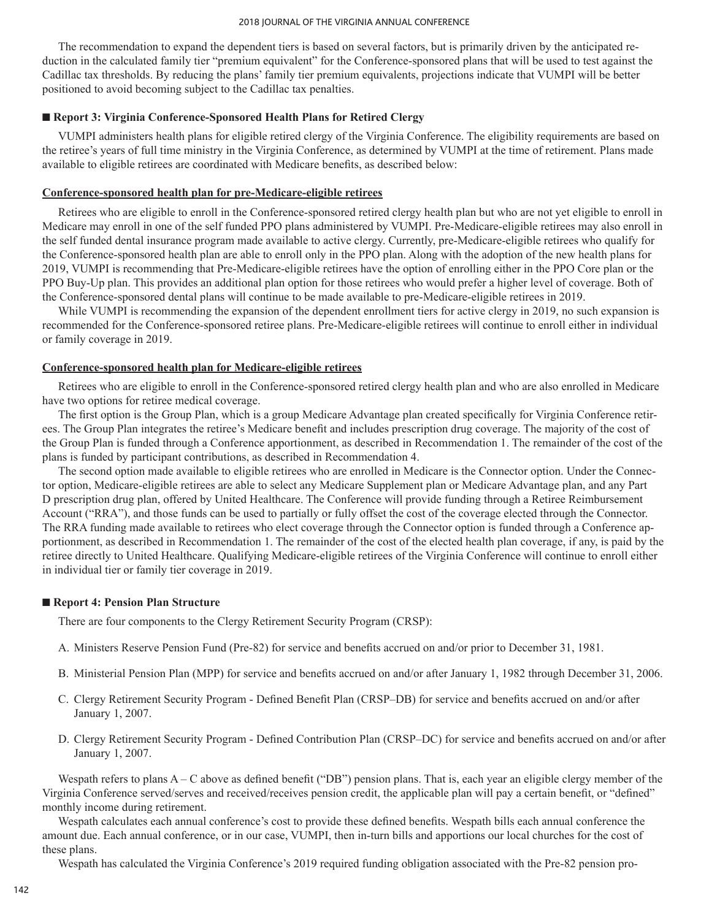The recommendation to expand the dependent tiers is based on several factors, but is primarily driven by the anticipated reduction in the calculated family tier "premium equivalent" for the Conference-sponsored plans that will be used to test against the Cadillac tax thresholds. By reducing the plans' family tier premium equivalents, projections indicate that VUMPI will be better positioned to avoid becoming subject to the Cadillac tax penalties.

## ■ **Report 3: Virginia Conference-Sponsored Health Plans for Retired Clergy**

VUMPI administers health plans for eligible retired clergy of the Virginia Conference. The eligibility requirements are based on the retiree's years of full time ministry in the Virginia Conference, as determined by VUMPI at the time of retirement. Plans made available to eligible retirees are coordinated with Medicare benefits, as described below:

### **Conference-sponsored health plan for pre-Medicare-eligible retirees**

Retirees who are eligible to enroll in the Conference-sponsored retired clergy health plan but who are not yet eligible to enroll in Medicare may enroll in one of the self funded PPO plans administered by VUMPI. Pre-Medicare-eligible retirees may also enroll in the self funded dental insurance program made available to active clergy. Currently, pre-Medicare-eligible retirees who qualify for the Conference-sponsored health plan are able to enroll only in the PPO plan. Along with the adoption of the new health plans for 2019, VUMPI is recommending that Pre-Medicare-eligible retirees have the option of enrolling either in the PPO Core plan or the PPO Buy-Up plan. This provides an additional plan option for those retirees who would prefer a higher level of coverage. Both of the Conference-sponsored dental plans will continue to be made available to pre-Medicare-eligible retirees in 2019.

While VUMPI is recommending the expansion of the dependent enrollment tiers for active clergy in 2019, no such expansion is recommended for the Conference-sponsored retiree plans. Pre-Medicare-eligible retirees will continue to enroll either in individual or family coverage in 2019.

### **Conference-sponsored health plan for Medicare-eligible retirees**

Retirees who are eligible to enroll in the Conference-sponsored retired clergy health plan and who are also enrolled in Medicare have two options for retiree medical coverage.

The first option is the Group Plan, which is a group Medicare Advantage plan created specifically for Virginia Conference retirees. The Group Plan integrates the retiree's Medicare benefit and includes prescription drug coverage. The majority of the cost of the Group Plan is funded through a Conference apportionment, as described in Recommendation 1. The remainder of the cost of the plans is funded by participant contributions, as described in Recommendation 4.

The second option made available to eligible retirees who are enrolled in Medicare is the Connector option. Under the Connector option, Medicare-eligible retirees are able to select any Medicare Supplement plan or Medicare Advantage plan, and any Part D prescription drug plan, offered by United Healthcare. The Conference will provide funding through a Retiree Reimbursement Account ("RRA"), and those funds can be used to partially or fully offset the cost of the coverage elected through the Connector. The RRA funding made available to retirees who elect coverage through the Connector option is funded through a Conference apportionment, as described in Recommendation 1. The remainder of the cost of the elected health plan coverage, if any, is paid by the retiree directly to United Healthcare. Qualifying Medicare-eligible retirees of the Virginia Conference will continue to enroll either in individual tier or family tier coverage in 2019.

#### ■ **Report 4: Pension Plan Structure**

There are four components to the Clergy Retirement Security Program (CRSP):

- A. Ministers Reserve Pension Fund (Pre-82) for service and benefits accrued on and/or prior to December 31, 1981.
- B. Ministerial Pension Plan (MPP) for service and benefits accrued on and/or after January 1, 1982 through December 31, 2006.
- C. Clergy Retirement Security Program Defined Benefit Plan (CRSP–DB) for service and benefits accrued on and/or after January 1, 2007.
- D. Clergy Retirement Security Program Defined Contribution Plan (CRSP–DC) for service and benefits accrued on and/or after January 1, 2007.

Wespath refers to plans A – C above as defined benefit ("DB") pension plans. That is, each year an eligible clergy member of the Virginia Conference served/serves and received/receives pension credit, the applicable plan will pay a certain benefit, or "defined" monthly income during retirement.

Wespath calculates each annual conference's cost to provide these defined benefits. Wespath bills each annual conference the amount due. Each annual conference, or in our case, VUMPI, then in-turn bills and apportions our local churches for the cost of these plans.

Wespath has calculated the Virginia Conference's 2019 required funding obligation associated with the Pre-82 pension pro-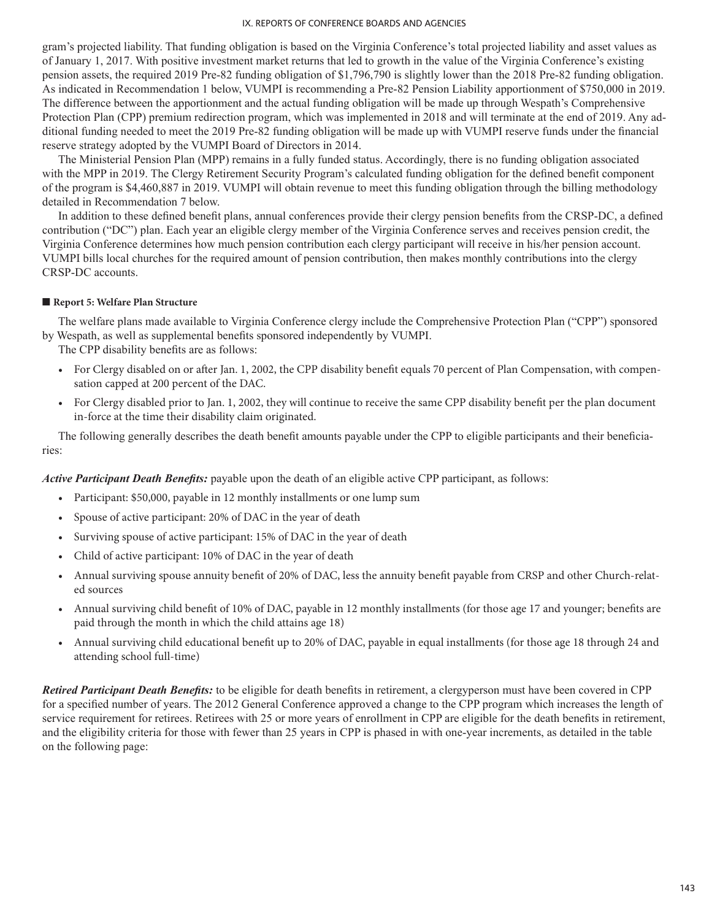gram's projected liability. That funding obligation is based on the Virginia Conference's total projected liability and asset values as of January 1, 2017. With positive investment market returns that led to growth in the value of the Virginia Conference's existing pension assets, the required 2019 Pre-82 funding obligation of \$1,796,790 is slightly lower than the 2018 Pre-82 funding obligation. As indicated in Recommendation 1 below, VUMPI is recommending a Pre-82 Pension Liability apportionment of \$750,000 in 2019. The difference between the apportionment and the actual funding obligation will be made up through Wespath's Comprehensive Protection Plan (CPP) premium redirection program, which was implemented in 2018 and will terminate at the end of 2019. Any additional funding needed to meet the 2019 Pre-82 funding obligation will be made up with VUMPI reserve funds under the financial reserve strategy adopted by the VUMPI Board of Directors in 2014.

The Ministerial Pension Plan (MPP) remains in a fully funded status. Accordingly, there is no funding obligation associated with the MPP in 2019. The Clergy Retirement Security Program's calculated funding obligation for the defined benefit component of the program is \$4,460,887 in 2019. VUMPI will obtain revenue to meet this funding obligation through the billing methodology detailed in Recommendation 7 below.

In addition to these defined benefit plans, annual conferences provide their clergy pension benefits from the CRSP-DC, a defined contribution ("DC") plan. Each year an eligible clergy member of the Virginia Conference serves and receives pension credit, the Virginia Conference determines how much pension contribution each clergy participant will receive in his/her pension account. VUMPI bills local churches for the required amount of pension contribution, then makes monthly contributions into the clergy CRSP-DC accounts.

## ■ **Report 5: Welfare Plan Structure**

The welfare plans made available to Virginia Conference clergy include the Comprehensive Protection Plan ("CPP") sponsored by Wespath, as well as supplemental benefits sponsored independently by VUMPI.

The CPP disability benefits are as follows:

- For Clergy disabled on or after Jan. 1, 2002, the CPP disability benefit equals 70 percent of Plan Compensation, with compensation capped at 200 percent of the DAC.
- For Clergy disabled prior to Jan. 1, 2002, they will continue to receive the same CPP disability benefit per the plan document in-force at the time their disability claim originated.

The following generally describes the death benefit amounts payable under the CPP to eligible participants and their beneficiaries:

*Active Participant Death Benefits:* payable upon the death of an eligible active CPP participant, as follows:

- Participant: \$50,000, payable in 12 monthly installments or one lump sum
- Spouse of active participant: 20% of DAC in the year of death
- Surviving spouse of active participant: 15% of DAC in the year of death
- Child of active participant: 10% of DAC in the year of death
- Annual surviving spouse annuity benefit of 20% of DAC, less the annuity benefit payable from CRSP and other Church-related sources
- Annual surviving child benefit of 10% of DAC, payable in 12 monthly installments (for those age 17 and younger; benefits are paid through the month in which the child attains age 18)
- Annual surviving child educational benefit up to 20% of DAC, payable in equal installments (for those age 18 through 24 and attending school full-time)

*Retired Participant Death Benefits:* to be eligible for death benefits in retirement, a clergyperson must have been covered in CPP for a specified number of years. The 2012 General Conference approved a change to the CPP program which increases the length of service requirement for retirees. Retirees with 25 or more years of enrollment in CPP are eligible for the death benefits in retirement, and the eligibility criteria for those with fewer than 25 years in CPP is phased in with one-year increments, as detailed in the table on the following page: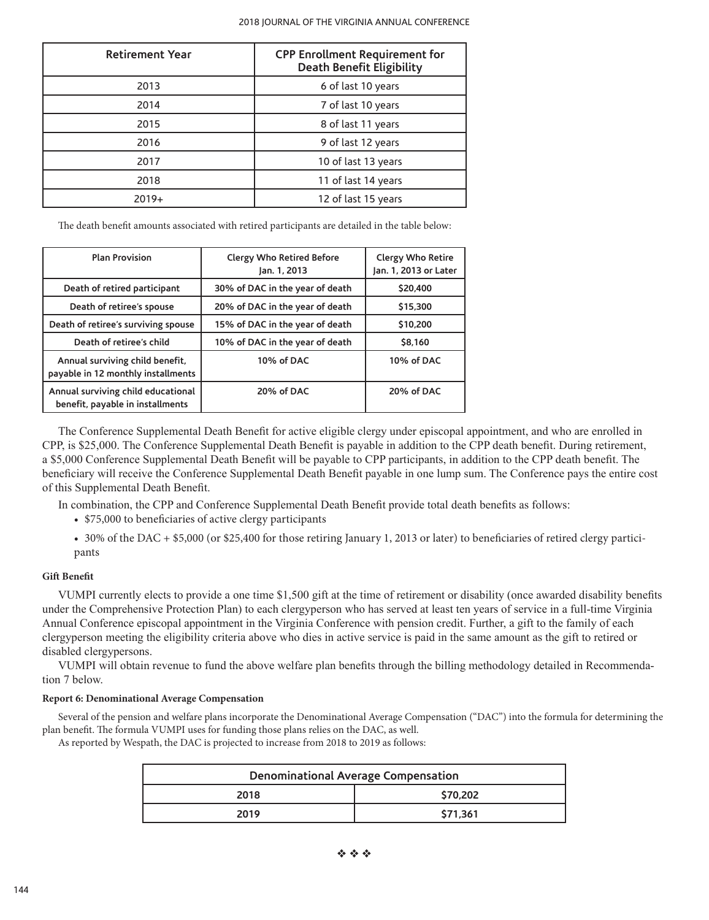| <b>Retirement Year</b> | <b>CPP Enrollment Requirement for</b><br><b>Death Benefit Eligibility</b> |  |
|------------------------|---------------------------------------------------------------------------|--|
| 2013                   | 6 of last 10 years                                                        |  |
| 2014                   | 7 of last 10 years                                                        |  |
| 2015                   | 8 of last 11 years                                                        |  |
| 2016                   | 9 of last 12 years                                                        |  |
| 2017                   | 10 of last 13 years                                                       |  |
| 2018                   | 11 of last 14 years                                                       |  |
| $2019+$                | 12 of last 15 years                                                       |  |

The death benefit amounts associated with retired participants are detailed in the table below:

| <b>Plan Provision</b>                                                  | <b>Clergy Who Retired Before</b><br>Jan. 1, 2013 | <b>Clergy Who Retire</b><br>Jan. 1, 2013 or Later |
|------------------------------------------------------------------------|--------------------------------------------------|---------------------------------------------------|
| Death of retired participant                                           | 30% of DAC in the year of death                  | \$20,400                                          |
| Death of retiree's spouse                                              | 20% of DAC in the year of death                  | \$15,300                                          |
| Death of retiree's surviving spouse                                    | 15% of DAC in the year of death                  | \$10,200                                          |
| Death of retiree's child                                               | 10% of DAC in the year of death                  | \$8.160                                           |
| Annual surviving child benefit,<br>payable in 12 monthly installments  | 10% of DAC                                       | 10% of DAC                                        |
| Annual surviving child educational<br>benefit, payable in installments | 20% of DAC                                       | 20% of DAC                                        |

The Conference Supplemental Death Benefit for active eligible clergy under episcopal appointment, and who are enrolled in CPP, is \$25,000. The Conference Supplemental Death Benefit is payable in addition to the CPP death benefit. During retirement, a \$5,000 Conference Supplemental Death Benefit will be payable to CPP participants, in addition to the CPP death benefit. The beneficiary will receive the Conference Supplemental Death Benefit payable in one lump sum. The Conference pays the entire cost of this Supplemental Death Benefit.

In combination, the CPP and Conference Supplemental Death Benefit provide total death benefits as follows:

• \$75,000 to beneficiaries of active clergy participants

• 30% of the DAC + \$5,000 (or \$25,400 for those retiring January 1, 2013 or later) to beneficiaries of retired clergy participants

#### **Gift Benefit**

VUMPI currently elects to provide a one time \$1,500 gift at the time of retirement or disability (once awarded disability benefits under the Comprehensive Protection Plan) to each clergyperson who has served at least ten years of service in a full-time Virginia Annual Conference episcopal appointment in the Virginia Conference with pension credit. Further, a gift to the family of each clergyperson meeting the eligibility criteria above who dies in active service is paid in the same amount as the gift to retired or disabled clergypersons.

VUMPI will obtain revenue to fund the above welfare plan benefits through the billing methodology detailed in Recommendation 7 below.

#### **Report 6: Denominational Average Compensation**

Several of the pension and welfare plans incorporate the Denominational Average Compensation ("DAC") into the formula for determining the plan benefit. The formula VUMPI uses for funding those plans relies on the DAC, as well.

As reported by Wespath, the DAC is projected to increase from 2018 to 2019 as follows:

| <b>Denominational Average Compensation</b> |  |  |
|--------------------------------------------|--|--|
| \$70.202<br>2018                           |  |  |
| \$71.361<br>2019                           |  |  |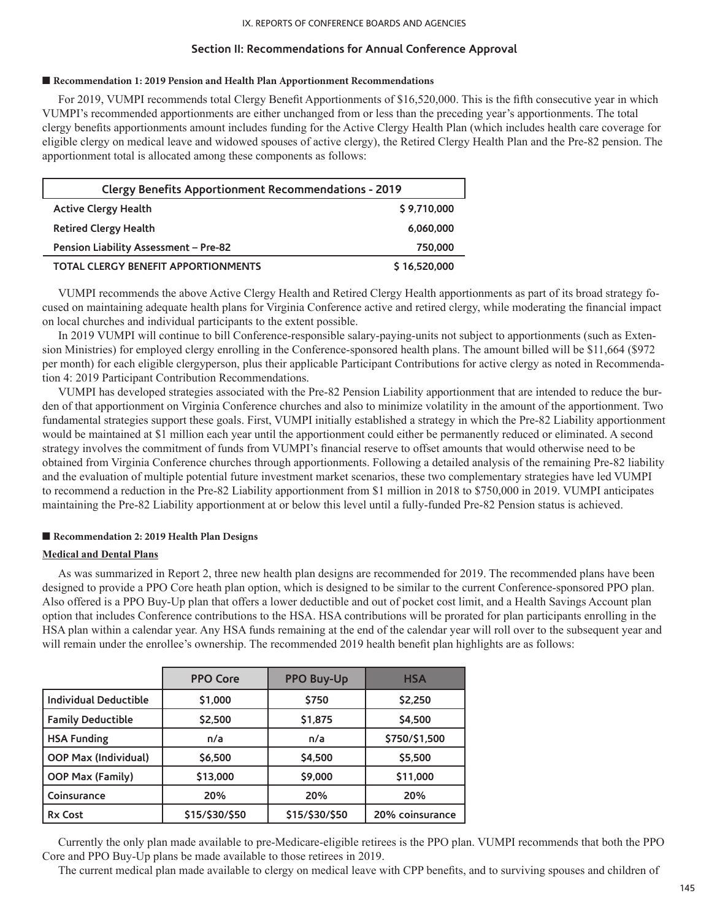# **Section II: Recommendations for Annual Conference Approval**

### ■ **Recommendation 1: 2019 Pension and Health Plan Apportionment Recommendations**

For 2019, VUMPI recommends total Clergy Benefit Apportionments of \$16,520,000. This is the fifth consecutive year in which VUMPI's recommended apportionments are either unchanged from or less than the preceding year's apportionments. The total clergy benefits apportionments amount includes funding for the Active Clergy Health Plan (which includes health care coverage for eligible clergy on medical leave and widowed spouses of active clergy), the Retired Clergy Health Plan and the Pre-82 pension. The apportionment total is allocated among these components as follows:

| <b>Clergy Benefits Apportionment Recommendations - 2019</b> |              |
|-------------------------------------------------------------|--------------|
| <b>Active Clergy Health</b>                                 | \$9,710,000  |
| <b>Retired Clergy Health</b>                                | 6,060,000    |
| Pension Liability Assessment - Pre-82                       | 750,000      |
| <b>TOTAL CLERGY BENEFIT APPORTIONMENTS</b>                  | \$16,520,000 |

VUMPI recommends the above Active Clergy Health and Retired Clergy Health apportionments as part of its broad strategy focused on maintaining adequate health plans for Virginia Conference active and retired clergy, while moderating the financial impact on local churches and individual participants to the extent possible.

In 2019 VUMPI will continue to bill Conference-responsible salary-paying-units not subject to apportionments (such as Extension Ministries) for employed clergy enrolling in the Conference-sponsored health plans. The amount billed will be \$11,664 (\$972 per month) for each eligible clergyperson, plus their applicable Participant Contributions for active clergy as noted in Recommendation 4: 2019 Participant Contribution Recommendations.

VUMPI has developed strategies associated with the Pre-82 Pension Liability apportionment that are intended to reduce the burden of that apportionment on Virginia Conference churches and also to minimize volatility in the amount of the apportionment. Two fundamental strategies support these goals. First, VUMPI initially established a strategy in which the Pre-82 Liability apportionment would be maintained at \$1 million each year until the apportionment could either be permanently reduced or eliminated. A second strategy involves the commitment of funds from VUMPI's financial reserve to offset amounts that would otherwise need to be obtained from Virginia Conference churches through apportionments. Following a detailed analysis of the remaining Pre-82 liability and the evaluation of multiple potential future investment market scenarios, these two complementary strategies have led VUMPI to recommend a reduction in the Pre-82 Liability apportionment from \$1 million in 2018 to \$750,000 in 2019. VUMPI anticipates maintaining the Pre-82 Liability apportionment at or below this level until a fully-funded Pre-82 Pension status is achieved.

## ■ **Recommendation 2: 2019 Health Plan Designs**

## **Medical and Dental Plans**

As was summarized in Report 2, three new health plan designs are recommended for 2019. The recommended plans have been designed to provide a PPO Core heath plan option, which is designed to be similar to the current Conference-sponsored PPO plan. Also offered is a PPO Buy-Up plan that offers a lower deductible and out of pocket cost limit, and a Health Savings Account plan option that includes Conference contributions to the HSA. HSA contributions will be prorated for plan participants enrolling in the HSA plan within a calendar year. Any HSA funds remaining at the end of the calendar year will roll over to the subsequent year and will remain under the enrollee's ownership. The recommended 2019 health benefit plan highlights are as follows:

|                              | <b>PPO Core</b> | <b>PPO Buy-Up</b> | <b>HSA</b>      |
|------------------------------|-----------------|-------------------|-----------------|
| <b>Individual Deductible</b> | \$1,000         | \$750             | \$2,250         |
| <b>Family Deductible</b>     | \$2,500         | \$1,875           | \$4,500         |
| <b>HSA Funding</b>           | n/a             | n/a               | \$750/\$1,500   |
| <b>OOP Max (Individual)</b>  | \$6,500         | \$4,500           | \$5,500         |
| OOP Max (Family)             | \$13,000        | \$9,000           | \$11,000        |
| Coinsurance                  | 20%             | 20%               | 20%             |
| <b>Rx Cost</b>               | \$15/\$30/\$50  | \$15/\$30/\$50    | 20% coinsurance |

Currently the only plan made available to pre-Medicare-eligible retirees is the PPO plan. VUMPI recommends that both the PPO Core and PPO Buy-Up plans be made available to those retirees in 2019.

The current medical plan made available to clergy on medical leave with CPP benefits, and to surviving spouses and children of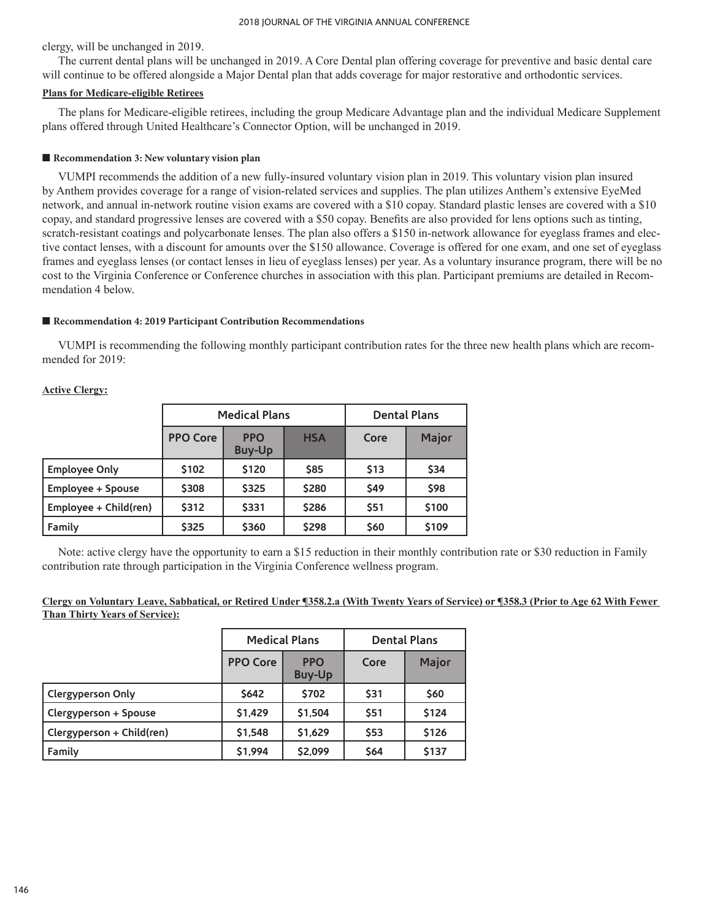clergy, will be unchanged in 2019.

The current dental plans will be unchanged in 2019. A Core Dental plan offering coverage for preventive and basic dental care will continue to be offered alongside a Major Dental plan that adds coverage for major restorative and orthodontic services.

### **Plans for Medicare-eligible Retirees**

The plans for Medicare-eligible retirees, including the group Medicare Advantage plan and the individual Medicare Supplement plans offered through United Healthcare's Connector Option, will be unchanged in 2019.

### ■ **Recommendation 3: New voluntary vision plan**

VUMPI recommends the addition of a new fully-insured voluntary vision plan in 2019. This voluntary vision plan insured by Anthem provides coverage for a range of vision-related services and supplies. The plan utilizes Anthem's extensive EyeMed network, and annual in-network routine vision exams are covered with a \$10 copay. Standard plastic lenses are covered with a \$10 copay, and standard progressive lenses are covered with a \$50 copay. Benefits are also provided for lens options such as tinting, scratch-resistant coatings and polycarbonate lenses. The plan also offers a \$150 in-network allowance for eyeglass frames and elective contact lenses, with a discount for amounts over the \$150 allowance. Coverage is offered for one exam, and one set of eyeglass frames and eyeglass lenses (or contact lenses in lieu of eyeglass lenses) per year. As a voluntary insurance program, there will be no cost to the Virginia Conference or Conference churches in association with this plan. Participant premiums are detailed in Recommendation 4 below.

### ■ Recommendation 4: 2019 Participant Contribution Recommendations

VUMPI is recommending the following monthly participant contribution rates for the three new health plans which are recommended for 2019:

|                                                              | <b>Medical Plans</b> |       |       | <b>Dental Plans</b> |       |
|--------------------------------------------------------------|----------------------|-------|-------|---------------------|-------|
| <b>PPO Core</b><br><b>PPO</b><br><b>HSA</b><br><b>Buy-Up</b> |                      | Core  | Major |                     |       |
| <b>Employee Only</b>                                         | \$102                | \$120 | \$85  | <b>S13</b>          | \$34  |
| <b>Employee + Spouse</b>                                     | \$308                | \$325 | \$280 | <b>\$49</b>         | \$98  |
| Employee + Child(ren)                                        | \$312                | \$331 | \$286 | \$51                | \$100 |
| Family                                                       | \$325                | \$360 | \$298 | \$60                | \$109 |

**Active Clergy:**

Note: active clergy have the opportunity to earn a \$15 reduction in their monthly contribution rate or \$30 reduction in Family contribution rate through participation in the Virginia Conference wellness program.

## **Clergy on Voluntary Leave, Sabbatical, or Retired Under ¶358.2.a (With Twenty Years of Service) or ¶358.3 (Prior to Age 62 With Fewer Than Thirty Years of Service):**

|                           | <b>Medical Plans</b> |                             | <b>Dental Plans</b> |       |
|---------------------------|----------------------|-----------------------------|---------------------|-------|
|                           | <b>PPO Core</b>      | <b>PPO</b><br><b>Buy-Up</b> | Core                | Major |
| Clergyperson Only         | <b>S642</b>          | \$702                       | \$31                | \$60  |
| Clergyperson + Spouse     | \$1,429              | \$1,504                     | \$51                | \$124 |
| Clergyperson + Child(ren) | \$1,548              | \$1,629                     | \$53                | \$126 |
| Family                    | \$1,994              | \$2,099                     | \$64                | \$137 |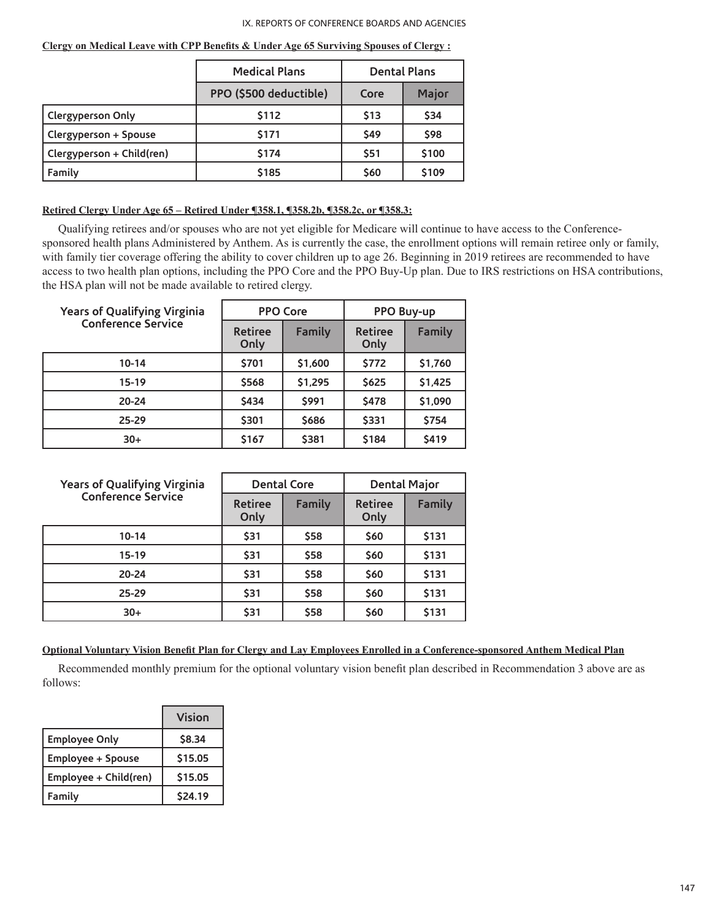|                           | <b>Medical Plans</b>   |            | <b>Dental Plans</b> |
|---------------------------|------------------------|------------|---------------------|
|                           | PPO (\$500 deductible) | Core       | Major               |
| Clergyperson Only         | \$112                  | <b>S13</b> | \$34                |
| Clergyperson + Spouse     | \$171                  | <b>S49</b> | \$98                |
| Clergyperson + Child(ren) | \$174                  | \$51       | \$100               |
| Family                    | \$185                  | \$60       | \$109               |

#### **Clergy on Medical Leave with CPP Benefits & Under Age 65 Surviving Spouses of Clergy :**

# **Retired Clergy Under Age 65 – Retired Under ¶358.1, ¶358.2b, ¶358.2c, or ¶358.3:**

Qualifying retirees and/or spouses who are not yet eligible for Medicare will continue to have access to the Conferencesponsored health plans Administered by Anthem. As is currently the case, the enrollment options will remain retiree only or family, with family tier coverage offering the ability to cover children up to age 26. Beginning in 2019 retirees are recommended to have access to two health plan options, including the PPO Core and the PPO Buy-Up plan. Due to IRS restrictions on HSA contributions, the HSA plan will not be made available to retired clergy.

| <b>Years of Qualifying Virginia</b> | <b>PPO Core</b>        |               | PPO Buy-up             |         |
|-------------------------------------|------------------------|---------------|------------------------|---------|
| <b>Conference Service</b>           | <b>Retiree</b><br>Only | <b>Family</b> | <b>Retiree</b><br>Only | Family  |
| $10 - 14$                           | \$701                  | \$1,600       | \$772                  | \$1,760 |
| $15-19$                             | \$568                  | \$1,295       | \$625                  | \$1,425 |
| $20 - 24$                           | \$434                  | <b>\$991</b>  | \$478                  | \$1,090 |
| $25 - 29$                           | \$301                  | \$686         | \$331                  | \$754   |
| $30+$                               | \$167                  | \$381         | \$184                  | \$419   |

| <b>Years of Qualifying Virginia</b><br><b>Conference Service</b> | <b>Dental Core</b>     |               | <b>Dental Major</b>    |        |
|------------------------------------------------------------------|------------------------|---------------|------------------------|--------|
|                                                                  | <b>Retiree</b><br>Only | <b>Family</b> | <b>Retiree</b><br>Only | Family |
| $10 - 14$                                                        | \$31                   | \$58          | \$60                   | \$131  |
| $15-19$                                                          | \$31                   | \$58          | \$60                   | \$131  |
| $20 - 24$                                                        | \$31                   | \$58          | \$60                   | \$131  |
| $25 - 29$                                                        | \$31                   | \$58          | \$60                   | \$131  |
| $30+$                                                            | \$31                   | \$58          | \$60                   | \$131  |

#### **Optional Voluntary Vision Benefit Plan for Clergy and Lay Employees Enrolled in a Conference-sponsored Anthem Medical Plan**

Recommended monthly premium for the optional voluntary vision benefit plan described in Recommendation 3 above are as follows:

|                          | Vision         |
|--------------------------|----------------|
| <b>Employee Only</b>     | \$8.34         |
| <b>Employee + Spouse</b> | \$15.05        |
| Employee + Child(ren)    | \$15.05        |
| Family                   | <b>\$24.19</b> |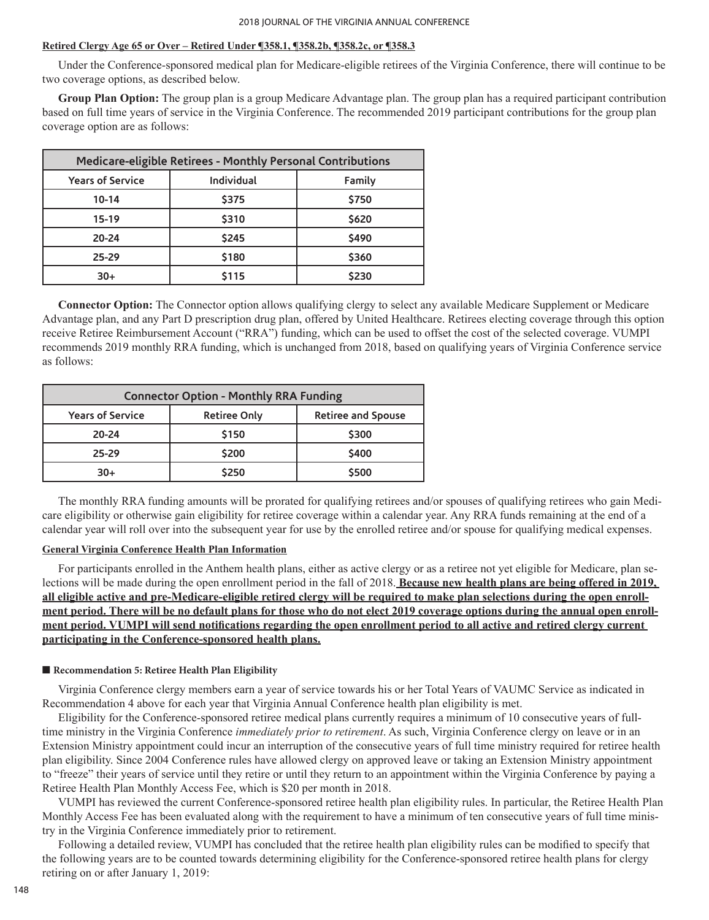### **Retired Clergy Age 65 or Over – Retired Under ¶358.1, ¶358.2b, ¶358.2c, or ¶358.3**

Under the Conference-sponsored medical plan for Medicare-eligible retirees of the Virginia Conference, there will continue to be two coverage options, as described below.

**Group Plan Option:** The group plan is a group Medicare Advantage plan. The group plan has a required participant contribution based on full time years of service in the Virginia Conference. The recommended 2019 participant contributions for the group plan coverage option are as follows:

| Medicare-eligible Retirees - Monthly Personal Contributions |            |              |  |
|-------------------------------------------------------------|------------|--------------|--|
| <b>Years of Service</b>                                     | Individual | Family       |  |
| $10 - 14$                                                   | \$375      | \$750        |  |
| $15-19$                                                     | \$310      | \$620        |  |
| $20 - 24$                                                   | \$245      | <b>\$490</b> |  |
| $25 - 29$                                                   | \$180      | \$360        |  |
| $30+$                                                       | \$115      | \$230        |  |

**Connector Option:** The Connector option allows qualifying clergy to select any available Medicare Supplement or Medicare Advantage plan, and any Part D prescription drug plan, offered by United Healthcare. Retirees electing coverage through this option receive Retiree Reimbursement Account ("RRA") funding, which can be used to offset the cost of the selected coverage. VUMPI recommends 2019 monthly RRA funding, which is unchanged from 2018, based on qualifying years of Virginia Conference service as follows:

| <b>Connector Option - Monthly RRA Funding</b> |                     |                           |  |
|-----------------------------------------------|---------------------|---------------------------|--|
| <b>Years of Service</b>                       | <b>Retiree Only</b> | <b>Retiree and Spouse</b> |  |
| 20-24                                         | \$150               | \$300                     |  |
| $25 - 29$                                     | \$200               | \$400                     |  |
| $30+$                                         | \$250               | \$500                     |  |

The monthly RRA funding amounts will be prorated for qualifying retirees and/or spouses of qualifying retirees who gain Medicare eligibility or otherwise gain eligibility for retiree coverage within a calendar year. Any RRA funds remaining at the end of a calendar year will roll over into the subsequent year for use by the enrolled retiree and/or spouse for qualifying medical expenses.

#### **General Virginia Conference Health Plan Information**

For participants enrolled in the Anthem health plans, either as active clergy or as a retiree not yet eligible for Medicare, plan selections will be made during the open enrollment period in the fall of 2018. **Because new health plans are being offered in 2019, all eligible active and pre-Medicare-eligible retired clergy will be required to make plan selections during the open enrollment period. There will be no default plans for those who do not elect 2019 coverage options during the annual open enrollment period. VUMPI will send notifications regarding the open enrollment period to all active and retired clergy current participating in the Conference-sponsored health plans.**

#### ■ **Recommendation 5: Retiree Health Plan Eligibility**

Virginia Conference clergy members earn a year of service towards his or her Total Years of VAUMC Service as indicated in Recommendation 4 above for each year that Virginia Annual Conference health plan eligibility is met.

Eligibility for the Conference-sponsored retiree medical plans currently requires a minimum of 10 consecutive years of fulltime ministry in the Virginia Conference *immediately prior to retirement*. As such, Virginia Conference clergy on leave or in an Extension Ministry appointment could incur an interruption of the consecutive years of full time ministry required for retiree health plan eligibility. Since 2004 Conference rules have allowed clergy on approved leave or taking an Extension Ministry appointment to "freeze" their years of service until they retire or until they return to an appointment within the Virginia Conference by paying a Retiree Health Plan Monthly Access Fee, which is \$20 per month in 2018.

VUMPI has reviewed the current Conference-sponsored retiree health plan eligibility rules. In particular, the Retiree Health Plan Monthly Access Fee has been evaluated along with the requirement to have a minimum of ten consecutive years of full time ministry in the Virginia Conference immediately prior to retirement.

Following a detailed review, VUMPI has concluded that the retiree health plan eligibility rules can be modified to specify that the following years are to be counted towards determining eligibility for the Conference-sponsored retiree health plans for clergy retiring on or after January 1, 2019: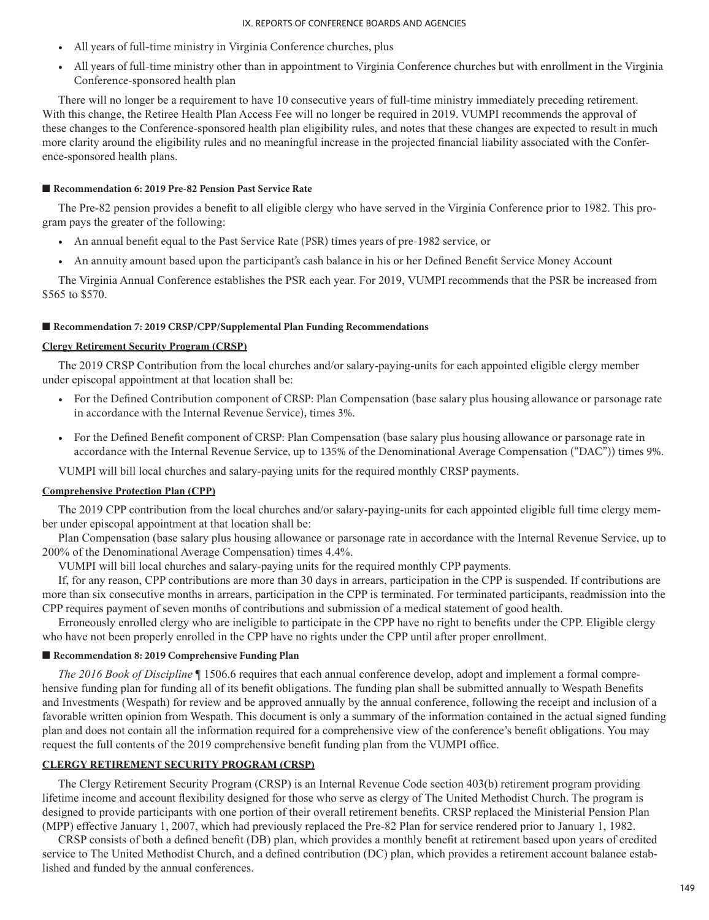- All years of full-time ministry in Virginia Conference churches, plus
- All years of full-time ministry other than in appointment to Virginia Conference churches but with enrollment in the Virginia Conference-sponsored health plan

There will no longer be a requirement to have 10 consecutive years of full-time ministry immediately preceding retirement. With this change, the Retiree Health Plan Access Fee will no longer be required in 2019. VUMPI recommends the approval of these changes to the Conference-sponsored health plan eligibility rules, and notes that these changes are expected to result in much more clarity around the eligibility rules and no meaningful increase in the projected financial liability associated with the Conference-sponsored health plans.

## ■ **Recommendation 6: 2019 Pre-82 Pension Past Service Rate**

The Pre-82 pension provides a benefit to all eligible clergy who have served in the Virginia Conference prior to 1982. This program pays the greater of the following:

- An annual benefit equal to the Past Service Rate (PSR) times years of pre-1982 service, or
- An annuity amount based upon the participant's cash balance in his or her Defined Benefit Service Money Account

The Virginia Annual Conference establishes the PSR each year. For 2019, VUMPI recommends that the PSR be increased from \$565 to \$570.

#### ■ Recommendation 7: 2019 CRSP/CPP/Supplemental Plan Funding Recommendations

#### **Clergy Retirement Security Program (CRSP)**

The 2019 CRSP Contribution from the local churches and/or salary-paying-units for each appointed eligible clergy member under episcopal appointment at that location shall be:

- For the Defined Contribution component of CRSP: Plan Compensation (base salary plus housing allowance or parsonage rate in accordance with the Internal Revenue Service), times 3%.
- For the Defined Benefit component of CRSP: Plan Compensation (base salary plus housing allowance or parsonage rate in accordance with the Internal Revenue Service, up to 135% of the Denominational Average Compensation ("DAC")) times 9%.

VUMPI will bill local churches and salary-paying units for the required monthly CRSP payments.

### **Comprehensive Protection Plan (CPP)**

The 2019 CPP contribution from the local churches and/or salary-paying-units for each appointed eligible full time clergy member under episcopal appointment at that location shall be:

Plan Compensation (base salary plus housing allowance or parsonage rate in accordance with the Internal Revenue Service, up to 200% of the Denominational Average Compensation) times 4.4%.

VUMPI will bill local churches and salary-paying units for the required monthly CPP payments.

If, for any reason, CPP contributions are more than 30 days in arrears, participation in the CPP is suspended. If contributions are more than six consecutive months in arrears, participation in the CPP is terminated. For terminated participants, readmission into the CPP requires payment of seven months of contributions and submission of a medical statement of good health.

Erroneously enrolled clergy who are ineligible to participate in the CPP have no right to benefits under the CPP. Eligible clergy who have not been properly enrolled in the CPP have no rights under the CPP until after proper enrollment.

### ■ **Recommendation 8: 2019 Comprehensive Funding Plan**

*The 2016 Book of Discipline* ¶ 1506.6 requires that each annual conference develop, adopt and implement a formal comprehensive funding plan for funding all of its benefit obligations. The funding plan shall be submitted annually to Wespath Benefits and Investments (Wespath) for review and be approved annually by the annual conference, following the receipt and inclusion of a favorable written opinion from Wespath. This document is only a summary of the information contained in the actual signed funding plan and does not contain all the information required for a comprehensive view of the conference's benefit obligations. You may request the full contents of the 2019 comprehensive benefit funding plan from the VUMPI office.

### **CLERGY RETIREMENT SECURITY PROGRAM (CRSP)**

The Clergy Retirement Security Program (CRSP) is an Internal Revenue Code section 403(b) retirement program providing lifetime income and account flexibility designed for those who serve as clergy of The United Methodist Church. The program is designed to provide participants with one portion of their overall retirement benefits. CRSP replaced the Ministerial Pension Plan (MPP) effective January 1, 2007, which had previously replaced the Pre-82 Plan for service rendered prior to January 1, 1982.

CRSP consists of both a defined benefit (DB) plan, which provides a monthly benefit at retirement based upon years of credited service to The United Methodist Church, and a defined contribution (DC) plan, which provides a retirement account balance established and funded by the annual conferences.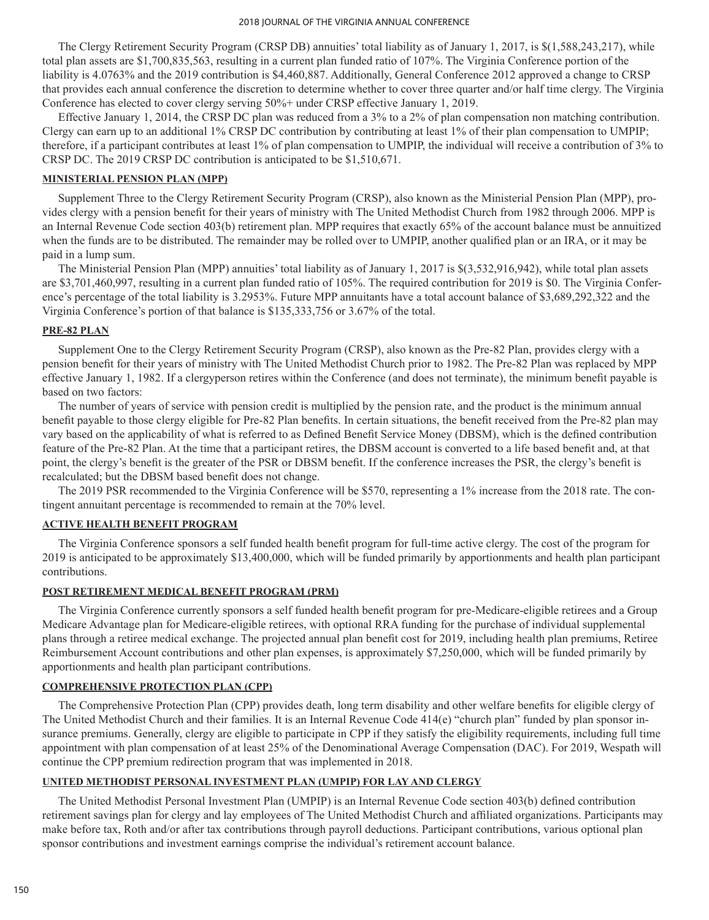The Clergy Retirement Security Program (CRSP DB) annuities' total liability as of January 1, 2017, is \$(1,588,243,217), while total plan assets are \$1,700,835,563, resulting in a current plan funded ratio of 107%. The Virginia Conference portion of the liability is 4.0763% and the 2019 contribution is \$4,460,887. Additionally, General Conference 2012 approved a change to CRSP that provides each annual conference the discretion to determine whether to cover three quarter and/or half time clergy. The Virginia Conference has elected to cover clergy serving 50%+ under CRSP effective January 1, 2019.

Effective January 1, 2014, the CRSP DC plan was reduced from a 3% to a 2% of plan compensation non matching contribution. Clergy can earn up to an additional 1% CRSP DC contribution by contributing at least 1% of their plan compensation to UMPIP; therefore, if a participant contributes at least 1% of plan compensation to UMPIP, the individual will receive a contribution of 3% to CRSP DC. The 2019 CRSP DC contribution is anticipated to be \$1,510,671.

### **MINISTERIAL PENSION PLAN (MPP)**

Supplement Three to the Clergy Retirement Security Program (CRSP), also known as the Ministerial Pension Plan (MPP), provides clergy with a pension benefit for their years of ministry with The United Methodist Church from 1982 through 2006. MPP is an Internal Revenue Code section 403(b) retirement plan. MPP requires that exactly 65% of the account balance must be annuitized when the funds are to be distributed. The remainder may be rolled over to UMPIP, another qualified plan or an IRA, or it may be paid in a lump sum.

The Ministerial Pension Plan (MPP) annuities' total liability as of January 1, 2017 is \$(3,532,916,942), while total plan assets are \$3,701,460,997, resulting in a current plan funded ratio of 105%. The required contribution for 2019 is \$0. The Virginia Conference's percentage of the total liability is 3.2953%. Future MPP annuitants have a total account balance of \$3,689,292,322 and the Virginia Conference's portion of that balance is \$135,333,756 or 3.67% of the total.

## **PRE-82 PLAN**

Supplement One to the Clergy Retirement Security Program (CRSP), also known as the Pre-82 Plan, provides clergy with a pension benefit for their years of ministry with The United Methodist Church prior to 1982. The Pre-82 Plan was replaced by MPP effective January 1, 1982. If a clergyperson retires within the Conference (and does not terminate), the minimum benefit payable is based on two factors:

The number of years of service with pension credit is multiplied by the pension rate, and the product is the minimum annual benefit payable to those clergy eligible for Pre-82 Plan benefits. In certain situations, the benefit received from the Pre-82 plan may vary based on the applicability of what is referred to as Defined Benefit Service Money (DBSM), which is the defined contribution feature of the Pre-82 Plan. At the time that a participant retires, the DBSM account is converted to a life based benefit and, at that point, the clergy's benefit is the greater of the PSR or DBSM benefit. If the conference increases the PSR, the clergy's benefit is recalculated; but the DBSM based benefit does not change.

The 2019 PSR recommended to the Virginia Conference will be \$570, representing a 1% increase from the 2018 rate. The contingent annuitant percentage is recommended to remain at the 70% level.

## **ACTIVE HEALTH BENEFIT PROGRAM**

The Virginia Conference sponsors a self funded health benefit program for full-time active clergy. The cost of the program for 2019 is anticipated to be approximately \$13,400,000, which will be funded primarily by apportionments and health plan participant contributions.

## **POST RETIREMENT MEDICAL BENEFIT PROGRAM (PRM)**

The Virginia Conference currently sponsors a self funded health benefit program for pre-Medicare-eligible retirees and a Group Medicare Advantage plan for Medicare-eligible retirees, with optional RRA funding for the purchase of individual supplemental plans through a retiree medical exchange. The projected annual plan benefit cost for 2019, including health plan premiums, Retiree Reimbursement Account contributions and other plan expenses, is approximately \$7,250,000, which will be funded primarily by apportionments and health plan participant contributions.

## **COMPREHENSIVE PROTECTION PLAN (CPP)**

The Comprehensive Protection Plan (CPP) provides death, long term disability and other welfare benefits for eligible clergy of The United Methodist Church and their families. It is an Internal Revenue Code 414(e) "church plan" funded by plan sponsor insurance premiums. Generally, clergy are eligible to participate in CPP if they satisfy the eligibility requirements, including full time appointment with plan compensation of at least 25% of the Denominational Average Compensation (DAC). For 2019, Wespath will continue the CPP premium redirection program that was implemented in 2018.

## **UNITED METHODIST PERSONAL INVESTMENT PLAN (UMPIP) FOR LAY AND CLERGY**

The United Methodist Personal Investment Plan (UMPIP) is an Internal Revenue Code section 403(b) defined contribution retirement savings plan for clergy and lay employees of The United Methodist Church and affiliated organizations. Participants may make before tax, Roth and/or after tax contributions through payroll deductions. Participant contributions, various optional plan sponsor contributions and investment earnings comprise the individual's retirement account balance.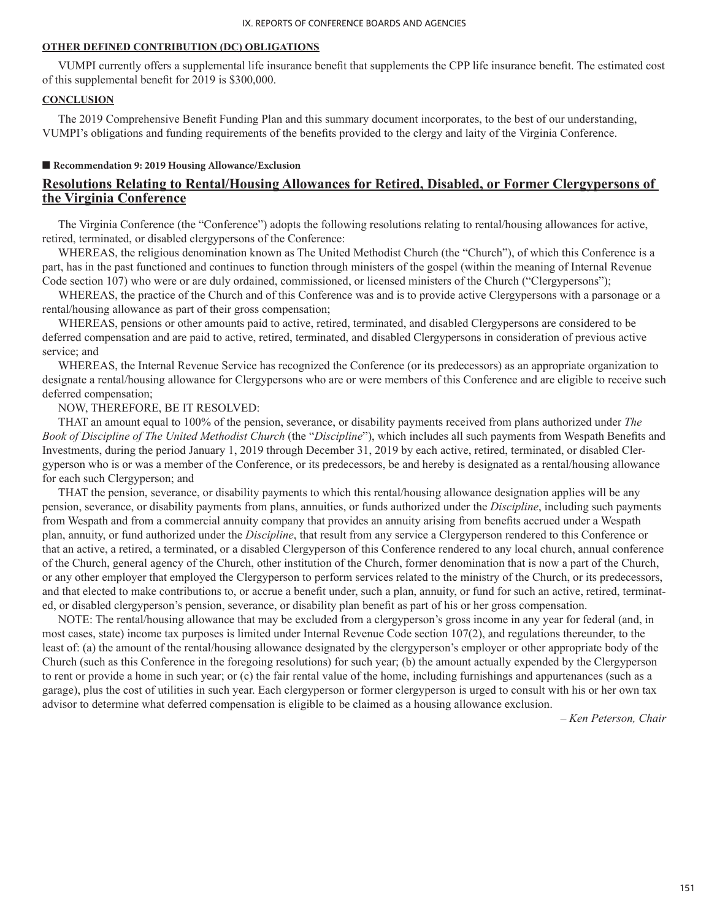## **OTHER DEFINED CONTRIBUTION (DC) OBLIGATIONS**

VUMPI currently offers a supplemental life insurance benefit that supplements the CPP life insurance benefit. The estimated cost of this supplemental benefit for 2019 is \$300,000.

## **CONCLUSION**

The 2019 Comprehensive Benefit Funding Plan and this summary document incorporates, to the best of our understanding, VUMPI's obligations and funding requirements of the benefits provided to the clergy and laity of the Virginia Conference.

#### ■ **Recommendation 9: 2019 Housing Allowance/Exclusion**

# **Resolutions Relating to Rental/Housing Allowances for Retired, Disabled, or Former Clergypersons of the Virginia Conference**

The Virginia Conference (the "Conference") adopts the following resolutions relating to rental/housing allowances for active, retired, terminated, or disabled clergypersons of the Conference:

WHEREAS, the religious denomination known as The United Methodist Church (the "Church"), of which this Conference is a part, has in the past functioned and continues to function through ministers of the gospel (within the meaning of Internal Revenue Code section 107) who were or are duly ordained, commissioned, or licensed ministers of the Church ("Clergypersons");

WHEREAS, the practice of the Church and of this Conference was and is to provide active Clergypersons with a parsonage or a rental/housing allowance as part of their gross compensation;

WHEREAS, pensions or other amounts paid to active, retired, terminated, and disabled Clergypersons are considered to be deferred compensation and are paid to active, retired, terminated, and disabled Clergypersons in consideration of previous active service; and

WHEREAS, the Internal Revenue Service has recognized the Conference (or its predecessors) as an appropriate organization to designate a rental/housing allowance for Clergypersons who are or were members of this Conference and are eligible to receive such deferred compensation;

#### NOW, THEREFORE, BE IT RESOLVED:

THAT an amount equal to 100% of the pension, severance, or disability payments received from plans authorized under *The Book of Discipline of The United Methodist Church* (the "*Discipline*"), which includes all such payments from Wespath Benefits and Investments, during the period January 1, 2019 through December 31, 2019 by each active, retired, terminated, or disabled Clergyperson who is or was a member of the Conference, or its predecessors, be and hereby is designated as a rental/housing allowance for each such Clergyperson; and

THAT the pension, severance, or disability payments to which this rental/housing allowance designation applies will be any pension, severance, or disability payments from plans, annuities, or funds authorized under the *Discipline*, including such payments from Wespath and from a commercial annuity company that provides an annuity arising from benefits accrued under a Wespath plan, annuity, or fund authorized under the *Discipline*, that result from any service a Clergyperson rendered to this Conference or that an active, a retired, a terminated, or a disabled Clergyperson of this Conference rendered to any local church, annual conference of the Church, general agency of the Church, other institution of the Church, former denomination that is now a part of the Church, or any other employer that employed the Clergyperson to perform services related to the ministry of the Church, or its predecessors, and that elected to make contributions to, or accrue a benefit under, such a plan, annuity, or fund for such an active, retired, terminated, or disabled clergyperson's pension, severance, or disability plan benefit as part of his or her gross compensation.

NOTE: The rental/housing allowance that may be excluded from a clergyperson's gross income in any year for federal (and, in most cases, state) income tax purposes is limited under Internal Revenue Code section 107(2), and regulations thereunder, to the least of: (a) the amount of the rental/housing allowance designated by the clergyperson's employer or other appropriate body of the Church (such as this Conference in the foregoing resolutions) for such year; (b) the amount actually expended by the Clergyperson to rent or provide a home in such year; or (c) the fair rental value of the home, including furnishings and appurtenances (such as a garage), plus the cost of utilities in such year. Each clergyperson or former clergyperson is urged to consult with his or her own tax advisor to determine what deferred compensation is eligible to be claimed as a housing allowance exclusion.

*– Ken Peterson, Chair*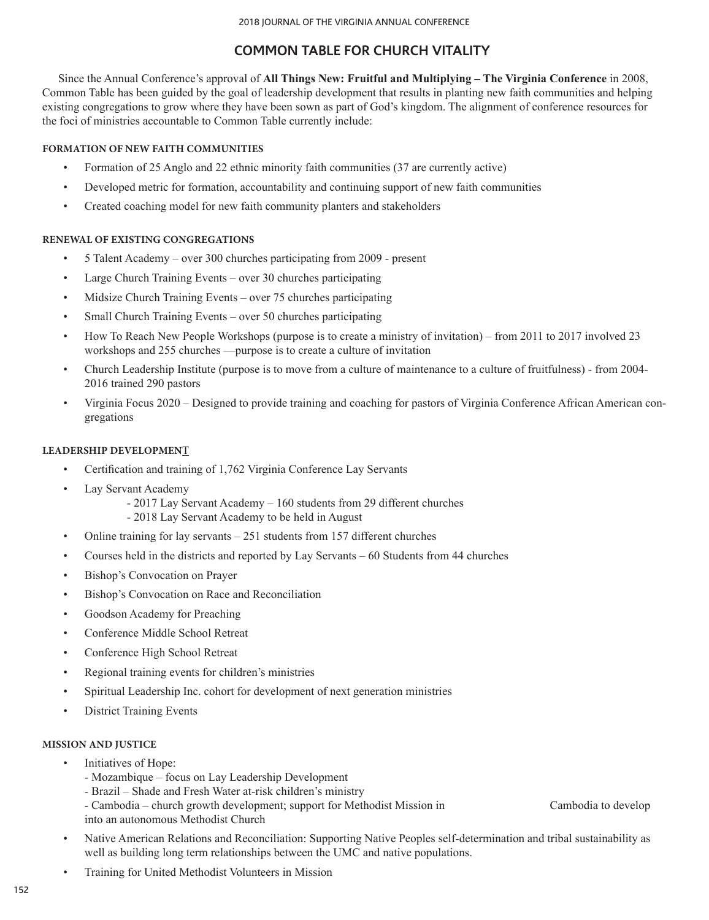# **COMMON TABLE FOR CHURCH VITALITY**

Since the Annual Conference's approval of **All Things New: Fruitful and Multiplying – The Virginia Conference** in 2008, Common Table has been guided by the goal of leadership development that results in planting new faith communities and helping existing congregations to grow where they have been sown as part of God's kingdom. The alignment of conference resources for the foci of ministries accountable to Common Table currently include:

## **FORMATION OF NEW FAITH COMMUNITIES**

- Formation of 25 Anglo and 22 ethnic minority faith communities (37 are currently active)
- Developed metric for formation, accountability and continuing support of new faith communities
- Created coaching model for new faith community planters and stakeholders

#### **RENEWAL OF EXISTING CONGREGATIONS**

- 5 Talent Academy over 300 churches participating from 2009 present
- Large Church Training Events over 30 churches participating
- Midsize Church Training Events over 75 churches participating
- Small Church Training Events over 50 churches participating
- How To Reach New People Workshops (purpose is to create a ministry of invitation) from 2011 to 2017 involved 23 workshops and 255 churches —purpose is to create a culture of invitation
- Church Leadership Institute (purpose is to move from a culture of maintenance to a culture of fruitfulness) from 2004- 2016 trained 290 pastors
- Virginia Focus 2020 Designed to provide training and coaching for pastors of Virginia Conference African American congregations

### **LEADERSHIP DEVELOPMEN**T

- Certification and training of 1,762 Virginia Conference Lay Servants
- Lay Servant Academy
	- 2017 Lay Servant Academy 160 students from 29 different churches
	- 2018 Lay Servant Academy to be held in August
- Online training for lay servants 251 students from 157 different churches
- Courses held in the districts and reported by Lay Servants 60 Students from 44 churches
- Bishop's Convocation on Prayer
- Bishop's Convocation on Race and Reconciliation
- Goodson Academy for Preaching
- Conference Middle School Retreat
- Conference High School Retreat
- Regional training events for children's ministries
- Spiritual Leadership Inc. cohort for development of next generation ministries
- District Training Events

### **MISSION AND JUSTICE**

- Initiatives of Hope:
	- Mozambique focus on Lay Leadership Development
	- Brazil Shade and Fresh Water at-risk children's ministry
	- Cambodia church growth development; support for Methodist Mission in Cambodia to develop into an autonomous Methodist Church
- Native American Relations and Reconciliation: Supporting Native Peoples self-determination and tribal sustainability as well as building long term relationships between the UMC and native populations.
- Training for United Methodist Volunteers in Mission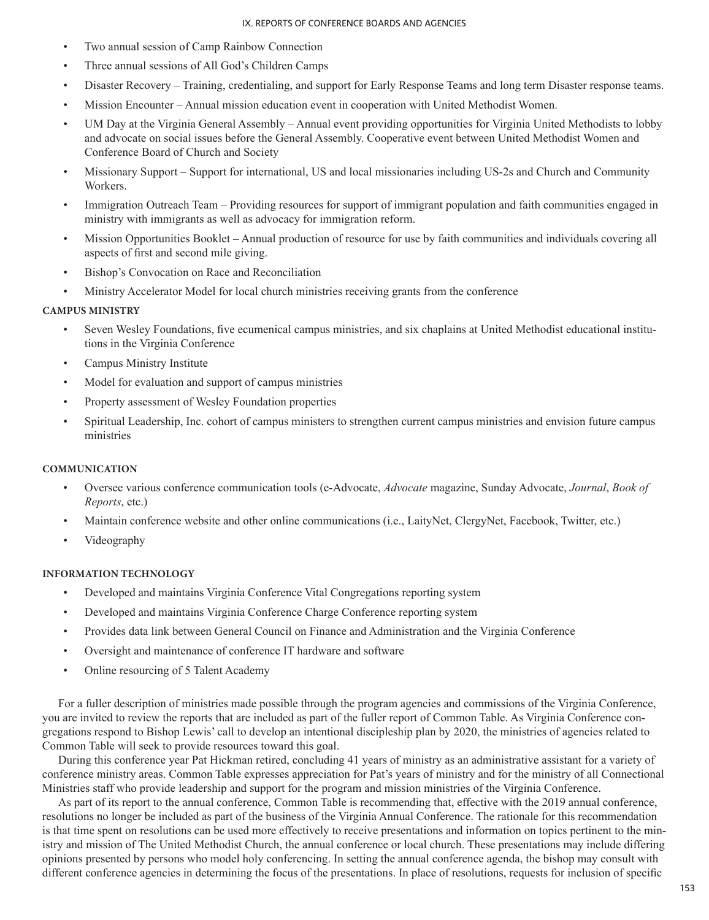- Two annual session of Camp Rainbow Connection
- Three annual sessions of All God's Children Camps
- Disaster Recovery Training, credentialing, and support for Early Response Teams and long term Disaster response teams.
- Mission Encounter Annual mission education event in cooperation with United Methodist Women.
- UM Day at the Virginia General Assembly Annual event providing opportunities for Virginia United Methodists to lobby and advocate on social issues before the General Assembly. Cooperative event between United Methodist Women and Conference Board of Church and Society
- Missionary Support Support for international, US and local missionaries including US-2s and Church and Community Workers.
- Immigration Outreach Team Providing resources for support of immigrant population and faith communities engaged in ministry with immigrants as well as advocacy for immigration reform.
- Mission Opportunities Booklet Annual production of resource for use by faith communities and individuals covering all aspects of first and second mile giving.
- Bishop's Convocation on Race and Reconciliation
- Ministry Accelerator Model for local church ministries receiving grants from the conference

### **CAMPUS MINISTRY**

- Seven Wesley Foundations, five ecumenical campus ministries, and six chaplains at United Methodist educational institutions in the Virginia Conference
- Campus Ministry Institute
- Model for evaluation and support of campus ministries
- Property assessment of Wesley Foundation properties
- Spiritual Leadership, Inc. cohort of campus ministers to strengthen current campus ministries and envision future campus ministries

#### **COMMUNICATION**

- Oversee various conference communication tools (e-Advocate, *Advocate* magazine, Sunday Advocate, *Journal*, *Book of Reports*, etc.)
- Maintain conference website and other online communications (i.e., LaityNet, ClergyNet, Facebook, Twitter, etc.)
- Videography

#### **INFORMATION TECHNOLOGY**

- Developed and maintains Virginia Conference Vital Congregations reporting system
- Developed and maintains Virginia Conference Charge Conference reporting system
- Provides data link between General Council on Finance and Administration and the Virginia Conference
- Oversight and maintenance of conference IT hardware and software
- Online resourcing of 5 Talent Academy

For a fuller description of ministries made possible through the program agencies and commissions of the Virginia Conference, you are invited to review the reports that are included as part of the fuller report of Common Table. As Virginia Conference congregations respond to Bishop Lewis' call to develop an intentional discipleship plan by 2020, the ministries of agencies related to Common Table will seek to provide resources toward this goal.

During this conference year Pat Hickman retired, concluding 41 years of ministry as an administrative assistant for a variety of conference ministry areas. Common Table expresses appreciation for Pat's years of ministry and for the ministry of all Connectional Ministries staff who provide leadership and support for the program and mission ministries of the Virginia Conference.

As part of its report to the annual conference, Common Table is recommending that, effective with the 2019 annual conference, resolutions no longer be included as part of the business of the Virginia Annual Conference. The rationale for this recommendation is that time spent on resolutions can be used more effectively to receive presentations and information on topics pertinent to the ministry and mission of The United Methodist Church, the annual conference or local church. These presentations may include differing opinions presented by persons who model holy conferencing. In setting the annual conference agenda, the bishop may consult with different conference agencies in determining the focus of the presentations. In place of resolutions, requests for inclusion of specific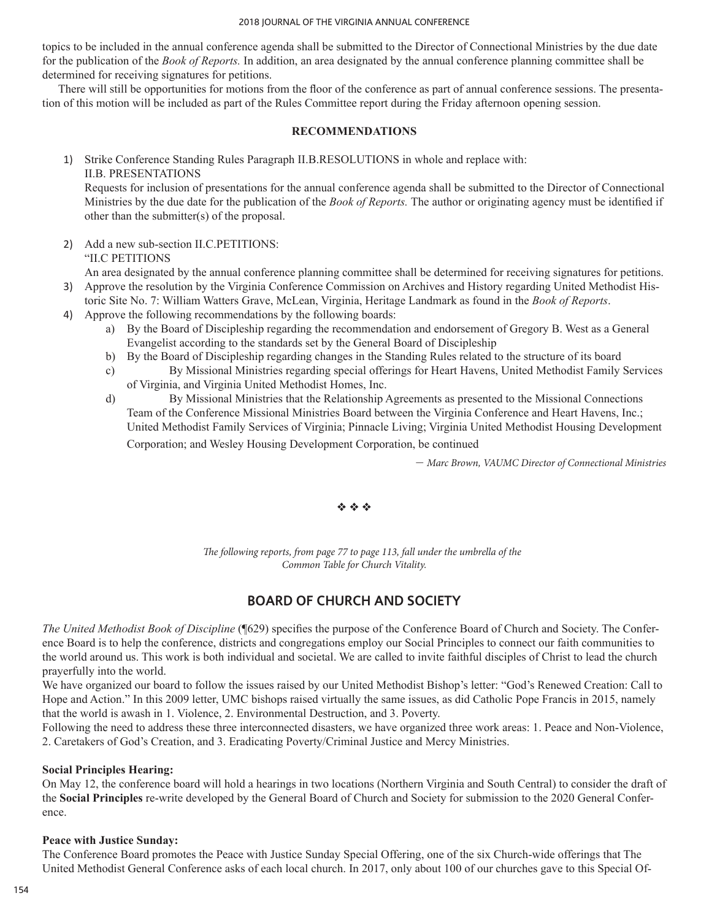topics to be included in the annual conference agenda shall be submitted to the Director of Connectional Ministries by the due date for the publication of the *Book of Reports.* In addition, an area designated by the annual conference planning committee shall be determined for receiving signatures for petitions.

There will still be opportunities for motions from the floor of the conference as part of annual conference sessions. The presentation of this motion will be included as part of the Rules Committee report during the Friday afternoon opening session.

### **RECOMMENDATIONS**

1) Strike Conference Standing Rules Paragraph II.B.RESOLUTIONS in whole and replace with: II.B. PRESENTATIONS

Requests for inclusion of presentations for the annual conference agenda shall be submitted to the Director of Connectional Ministries by the due date for the publication of the *Book of Reports.* The author or originating agency must be identified if other than the submitter(s) of the proposal.

2) Add a new sub-section II.C.PETITIONS: "II.C PETITIONS

An area designated by the annual conference planning committee shall be determined for receiving signatures for petitions. 3) Approve the resolution by the Virginia Conference Commission on Archives and History regarding United Methodist His-

- toric Site No. 7: William Watters Grave, McLean, Virginia, Heritage Landmark as found in the *Book of Reports*.
- 4) Approve the following recommendations by the following boards:
	- a) By the Board of Discipleship regarding the recommendation and endorsement of Gregory B. West as a General Evangelist according to the standards set by the General Board of Discipleship
	- b) By the Board of Discipleship regarding changes in the Standing Rules related to the structure of its board
	- c) By Missional Ministries regarding special offerings for Heart Havens, United Methodist Family Services of Virginia, and Virginia United Methodist Homes, Inc.
	- d) By Missional Ministries that the Relationship Agreements as presented to the Missional Connections Team of the Conference Missional Ministries Board between the Virginia Conference and Heart Havens, Inc.; United Methodist Family Services of Virginia; Pinnacle Living; Virginia United Methodist Housing Development Corporation; and Wesley Housing Development Corporation, be continued

– *Marc Brown, VAUMC Director of Connectional Ministries*

## $\phi_2$   $\phi_2$   $\phi_3$

*The following reports, from page 77 to page 113, fall under the umbrella of the Common Table for Church Vitality.*

# **BOARD OF CHURCH AND SOCIETY**

*The United Methodist Book of Discipline* (¶629) specifies the purpose of the Conference Board of Church and Society. The Conference Board is to help the conference, districts and congregations employ our Social Principles to connect our faith communities to the world around us. This work is both individual and societal. We are called to invite faithful disciples of Christ to lead the church prayerfully into the world.

We have organized our board to follow the issues raised by our United Methodist Bishop's letter: "God's Renewed Creation: Call to Hope and Action." In this 2009 letter, UMC bishops raised virtually the same issues, as did Catholic Pope Francis in 2015, namely that the world is awash in 1. Violence, 2. Environmental Destruction, and 3. Poverty.

Following the need to address these three interconnected disasters, we have organized three work areas: 1. Peace and Non-Violence, 2. Caretakers of God's Creation, and 3. Eradicating Poverty/Criminal Justice and Mercy Ministries.

## **Social Principles Hearing:**

On May 12, the conference board will hold a hearings in two locations (Northern Virginia and South Central) to consider the draft of the **Social Principles** re-write developed by the General Board of Church and Society for submission to the 2020 General Conference.

#### **Peace with Justice Sunday:**

The Conference Board promotes the Peace with Justice Sunday Special Offering, one of the six Church-wide offerings that The United Methodist General Conference asks of each local church. In 2017, only about 100 of our churches gave to this Special Of-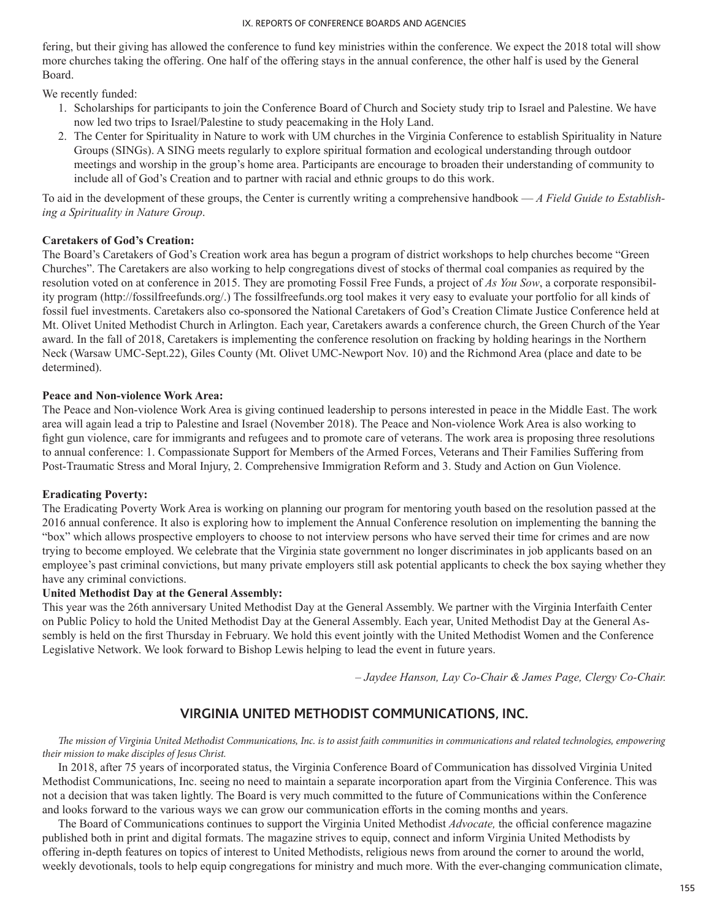fering, but their giving has allowed the conference to fund key ministries within the conference. We expect the 2018 total will show more churches taking the offering. One half of the offering stays in the annual conference, the other half is used by the General Board.

We recently funded:

- 1. Scholarships for participants to join the Conference Board of Church and Society study trip to Israel and Palestine. We have now led two trips to Israel/Palestine to study peacemaking in the Holy Land.
- 2. The Center for Spirituality in Nature to work with UM churches in the Virginia Conference to establish Spirituality in Nature Groups (SINGs). A SING meets regularly to explore spiritual formation and ecological understanding through outdoor meetings and worship in the group's home area. Participants are encourage to broaden their understanding of community to include all of God's Creation and to partner with racial and ethnic groups to do this work.

To aid in the development of these groups, the Center is currently writing a comprehensive handbook — *A Field Guide to Establishing a Spirituality in Nature Group*.

## **Caretakers of God's Creation:**

The Board's Caretakers of God's Creation work area has begun a program of district workshops to help churches become "Green Churches". The Caretakers are also working to help congregations divest of stocks of thermal coal companies as required by the resolution voted on at conference in 2015. They are promoting Fossil Free Funds, a project of *As You Sow*, a corporate responsibility program (http://fossilfreefunds.org/.) The fossilfreefunds.org tool makes it very easy to evaluate your portfolio for all kinds of fossil fuel investments. Caretakers also co-sponsored the National Caretakers of God's Creation Climate Justice Conference held at Mt. Olivet United Methodist Church in Arlington. Each year, Caretakers awards a conference church, the Green Church of the Year award. In the fall of 2018, Caretakers is implementing the conference resolution on fracking by holding hearings in the Northern Neck (Warsaw UMC-Sept.22), Giles County (Mt. Olivet UMC-Newport Nov. 10) and the Richmond Area (place and date to be determined).

### **Peace and Non-violence Work Area:**

The Peace and Non-violence Work Area is giving continued leadership to persons interested in peace in the Middle East. The work area will again lead a trip to Palestine and Israel (November 2018). The Peace and Non-violence Work Area is also working to fight gun violence, care for immigrants and refugees and to promote care of veterans. The work area is proposing three resolutions to annual conference: 1. Compassionate Support for Members of the Armed Forces, Veterans and Their Families Suffering from Post-Traumatic Stress and Moral Injury, 2. Comprehensive Immigration Reform and 3. Study and Action on Gun Violence.

#### **Eradicating Poverty:**

The Eradicating Poverty Work Area is working on planning our program for mentoring youth based on the resolution passed at the 2016 annual conference. It also is exploring how to implement the Annual Conference resolution on implementing the banning the "box" which allows prospective employers to choose to not interview persons who have served their time for crimes and are now trying to become employed. We celebrate that the Virginia state government no longer discriminates in job applicants based on an employee's past criminal convictions, but many private employers still ask potential applicants to check the box saying whether they have any criminal convictions.

#### **United Methodist Day at the General Assembly:**

This year was the 26th anniversary United Methodist Day at the General Assembly. We partner with the Virginia Interfaith Center on Public Policy to hold the United Methodist Day at the General Assembly. Each year, United Methodist Day at the General Assembly is held on the first Thursday in February. We hold this event jointly with the United Methodist Women and the Conference Legislative Network. We look forward to Bishop Lewis helping to lead the event in future years.

*– Jaydee Hanson, Lay Co-Chair & James Page, Clergy Co-Chair.*

# **VIRGINIA UNITED METHODIST COMMUNICATIONS, INC.**

*The mission of Virginia United Methodist Communications, Inc. is to assist faith communities in communications and related technologies, empowering their mission to make disciples of Jesus Christ.*

In 2018, after 75 years of incorporated status, the Virginia Conference Board of Communication has dissolved Virginia United Methodist Communications, Inc. seeing no need to maintain a separate incorporation apart from the Virginia Conference. This was not a decision that was taken lightly. The Board is very much committed to the future of Communications within the Conference and looks forward to the various ways we can grow our communication efforts in the coming months and years.

The Board of Communications continues to support the Virginia United Methodist *Advocate,* the official conference magazine published both in print and digital formats. The magazine strives to equip, connect and inform Virginia United Methodists by offering in-depth features on topics of interest to United Methodists, religious news from around the corner to around the world, weekly devotionals, tools to help equip congregations for ministry and much more. With the ever-changing communication climate,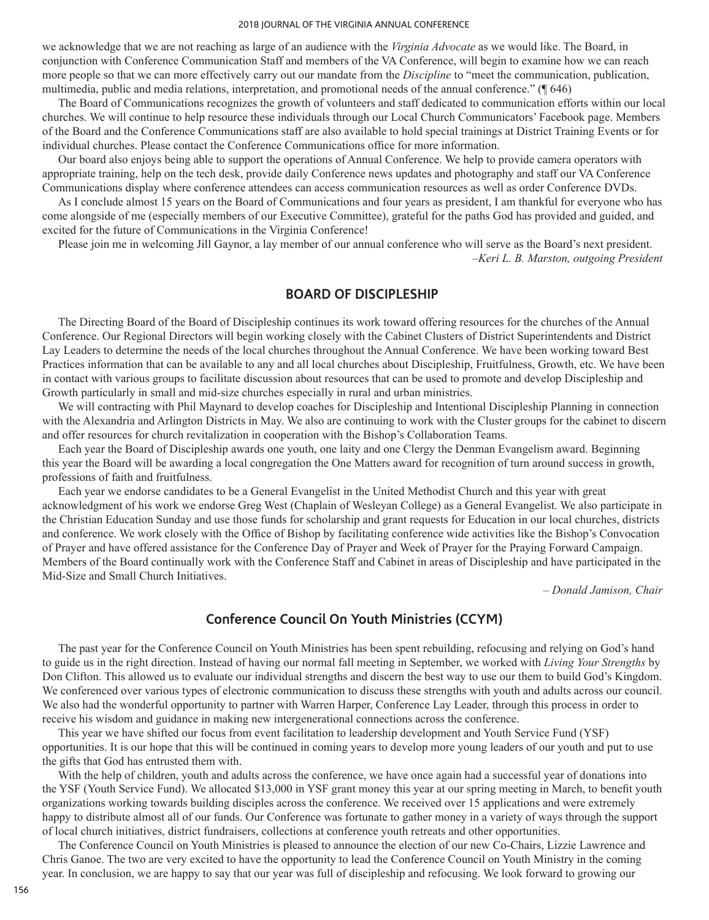we acknowledge that we are not reaching as large of an audience with the *Virginia Advocate* as we would like. The Board, in conjunction with Conference Communication Staff and members of the VA Conference, will begin to examine how we can reach more people so that we can more effectively carry out our mandate from the *Discipline* to "meet the communication, publication, multimedia, public and media relations, interpretation, and promotional needs of the annual conference." (¶ 646)

The Board of Communications recognizes the growth of volunteers and staff dedicated to communication efforts within our local churches. We will continue to help resource these individuals through our Local Church Communicators' Facebook page. Members of the Board and the Conference Communications staff are also available to hold special trainings at District Training Events or for individual churches. Please contact the Conference Communications office for more information.

Our board also enjoys being able to support the operations of Annual Conference. We help to provide camera operators with appropriate training, help on the tech desk, provide daily Conference news updates and photography and staff our VA Conference Communications display where conference attendees can access communication resources as well as order Conference DVDs.

As I conclude almost 15 years on the Board of Communications and four years as president, I am thankful for everyone who has come alongside of me (especially members of our Executive Committee), grateful for the paths God has provided and guided, and excited for the future of Communications in the Virginia Conference!

Please join me in welcoming Jill Gaynor, a lay member of our annual conference who will serve as the Board's next president. –*Keri L. B. Marston, outgoing President*

# **BOARD OF DISCIPLESHIP**

The Directing Board of the Board of Discipleship continues its work toward offering resources for the churches of the Annual Conference. Our Regional Directors will begin working closely with the Cabinet Clusters of District Superintendents and District Lay Leaders to determine the needs of the local churches throughout the Annual Conference. We have been working toward Best Practices information that can be available to any and all local churches about Discipleship, Fruitfulness, Growth, etc. We have been in contact with various groups to facilitate discussion about resources that can be used to promote and develop Discipleship and Growth particularly in small and mid-size churches especially in rural and urban ministries.

We will contracting with Phil Maynard to develop coaches for Discipleship and Intentional Discipleship Planning in connection with the Alexandria and Arlington Districts in May. We also are continuing to work with the Cluster groups for the cabinet to discern and offer resources for church revitalization in cooperation with the Bishop's Collaboration Teams.

Each year the Board of Discipleship awards one youth, one laity and one Clergy the Denman Evangelism award. Beginning this year the Board will be awarding a local congregation the One Matters award for recognition of turn around success in growth, professions of faith and fruitfulness.

Each year we endorse candidates to be a General Evangelist in the United Methodist Church and this year with great acknowledgment of his work we endorse Greg West (Chaplain of Wesleyan College) as a General Evangelist. We also participate in the Christian Education Sunday and use those funds for scholarship and grant requests for Education in our local churches, districts and conference. We work closely with the Office of Bishop by facilitating conference wide activities like the Bishop's Convocation of Prayer and have offered assistance for the Conference Day of Prayer and Week of Prayer for the Praying Forward Campaign. Members of the Board continually work with the Conference Staff and Cabinet in areas of Discipleship and have participated in the Mid-Size and Small Church Initiatives.

*– Donald Jamison, Chair* 

# **Conference Council On Youth Ministries (CCYM)**

The past year for the Conference Council on Youth Ministries has been spent rebuilding, refocusing and relying on God's hand to guide us in the right direction. Instead of having our normal fall meeting in September, we worked with *Living Your Strengths* by Don Clifton. This allowed us to evaluate our individual strengths and discern the best way to use our them to build God's Kingdom. We conferenced over various types of electronic communication to discuss these strengths with youth and adults across our council. We also had the wonderful opportunity to partner with Warren Harper, Conference Lay Leader, through this process in order to receive his wisdom and guidance in making new intergenerational connections across the conference.

This year we have shifted our focus from event facilitation to leadership development and Youth Service Fund (YSF) opportunities. It is our hope that this will be continued in coming years to develop more young leaders of our youth and put to use the gifts that God has entrusted them with.

With the help of children, youth and adults across the conference, we have once again had a successful year of donations into the YSF (Youth Service Fund). We allocated \$13,000 in YSF grant money this year at our spring meeting in March, to benefit youth organizations working towards building disciples across the conference. We received over 15 applications and were extremely happy to distribute almost all of our funds. Our Conference was fortunate to gather money in a variety of ways through the support of local church initiatives, district fundraisers, collections at conference youth retreats and other opportunities.

The Conference Council on Youth Ministries is pleased to announce the election of our new Co-Chairs, Lizzie Lawrence and Chris Ganoe. The two are very excited to have the opportunity to lead the Conference Council on Youth Ministry in the coming year. In conclusion, we are happy to say that our year was full of discipleship and refocusing. We look forward to growing our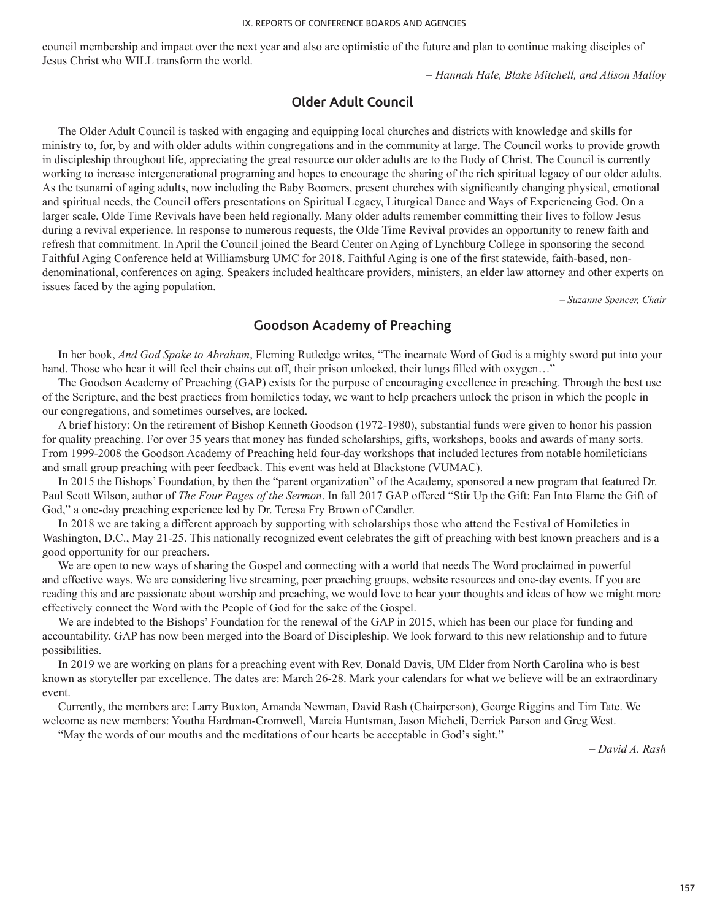council membership and impact over the next year and also are optimistic of the future and plan to continue making disciples of Jesus Christ who WILL transform the world.

– *Hannah Hale, Blake Mitchell, and Alison Malloy*

# **Older Adult Council**

The Older Adult Council is tasked with engaging and equipping local churches and districts with knowledge and skills for ministry to, for, by and with older adults within congregations and in the community at large. The Council works to provide growth in discipleship throughout life, appreciating the great resource our older adults are to the Body of Christ. The Council is currently working to increase intergenerational programing and hopes to encourage the sharing of the rich spiritual legacy of our older adults. As the tsunami of aging adults, now including the Baby Boomers, present churches with significantly changing physical, emotional and spiritual needs, the Council offers presentations on Spiritual Legacy, Liturgical Dance and Ways of Experiencing God. On a larger scale, Olde Time Revivals have been held regionally. Many older adults remember committing their lives to follow Jesus during a revival experience. In response to numerous requests, the Olde Time Revival provides an opportunity to renew faith and refresh that commitment. In April the Council joined the Beard Center on Aging of Lynchburg College in sponsoring the second Faithful Aging Conference held at Williamsburg UMC for 2018. Faithful Aging is one of the first statewide, faith-based, nondenominational, conferences on aging. Speakers included healthcare providers, ministers, an elder law attorney and other experts on issues faced by the aging population.

 *– Suzanne Spencer, Chair*

# **Goodson Academy of Preaching**

In her book, *And God Spoke to Abraham*, Fleming Rutledge writes, "The incarnate Word of God is a mighty sword put into your hand. Those who hear it will feel their chains cut off, their prison unlocked, their lungs filled with oxygen..."

The Goodson Academy of Preaching (GAP) exists for the purpose of encouraging excellence in preaching. Through the best use of the Scripture, and the best practices from homiletics today, we want to help preachers unlock the prison in which the people in our congregations, and sometimes ourselves, are locked.

A brief history: On the retirement of Bishop Kenneth Goodson (1972-1980), substantial funds were given to honor his passion for quality preaching. For over 35 years that money has funded scholarships, gifts, workshops, books and awards of many sorts. From 1999-2008 the Goodson Academy of Preaching held four-day workshops that included lectures from notable homileticians and small group preaching with peer feedback. This event was held at Blackstone (VUMAC).

In 2015 the Bishops' Foundation, by then the "parent organization" of the Academy, sponsored a new program that featured Dr. Paul Scott Wilson, author of *The Four Pages of the Sermon*. In fall 2017 GAP offered "Stir Up the Gift: Fan Into Flame the Gift of God," a one-day preaching experience led by Dr. Teresa Fry Brown of Candler.

In 2018 we are taking a different approach by supporting with scholarships those who attend the Festival of Homiletics in Washington, D.C., May 21-25. This nationally recognized event celebrates the gift of preaching with best known preachers and is a good opportunity for our preachers.

We are open to new ways of sharing the Gospel and connecting with a world that needs The Word proclaimed in powerful and effective ways. We are considering live streaming, peer preaching groups, website resources and one-day events. If you are reading this and are passionate about worship and preaching, we would love to hear your thoughts and ideas of how we might more effectively connect the Word with the People of God for the sake of the Gospel.

We are indebted to the Bishops' Foundation for the renewal of the GAP in 2015, which has been our place for funding and accountability. GAP has now been merged into the Board of Discipleship. We look forward to this new relationship and to future possibilities.

In 2019 we are working on plans for a preaching event with Rev. Donald Davis, UM Elder from North Carolina who is best known as storyteller par excellence. The dates are: March 26-28. Mark your calendars for what we believe will be an extraordinary event.

Currently, the members are: Larry Buxton, Amanda Newman, David Rash (Chairperson), George Riggins and Tim Tate. We welcome as new members: Youtha Hardman-Cromwell, Marcia Huntsman, Jason Micheli, Derrick Parson and Greg West.

"May the words of our mouths and the meditations of our hearts be acceptable in God's sight."

*– David A. Rash*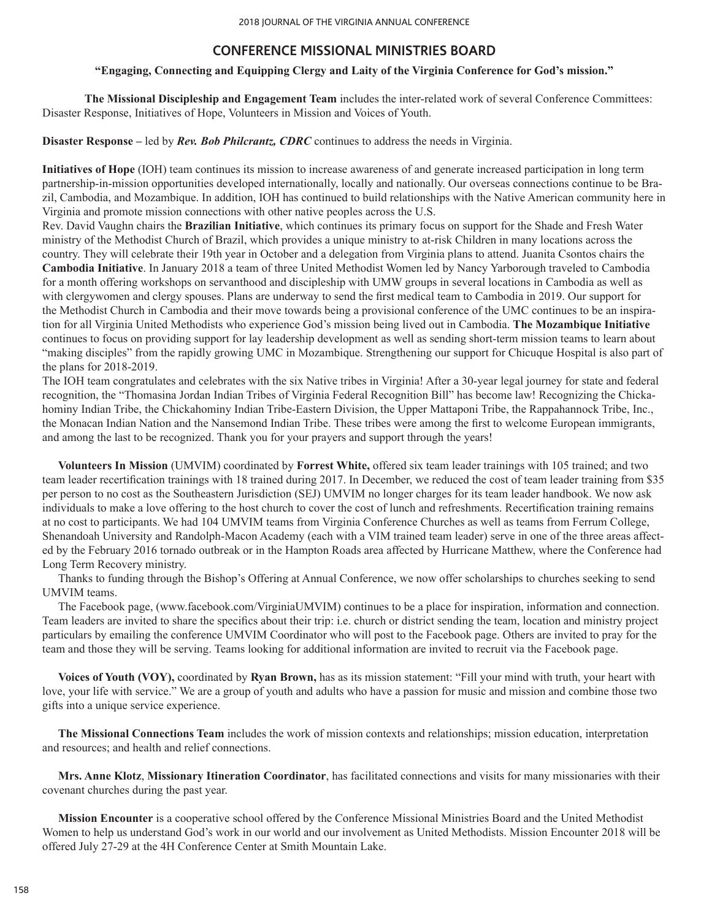# **CONFERENCE MISSIONAL MINISTRIES BOARD**

# **"Engaging, Connecting and Equipping Clergy and Laity of the Virginia Conference for God's mission."**

**The Missional Discipleship and Engagement Team** includes the inter-related work of several Conference Committees: Disaster Response, Initiatives of Hope, Volunteers in Mission and Voices of Youth.

**Disaster Response –** led by *Rev. Bob Philcrantz, CDRC* continues to address the needs in Virginia.

**Initiatives of Hope** (IOH) team continues its mission to increase awareness of and generate increased participation in long term partnership-in-mission opportunities developed internationally, locally and nationally. Our overseas connections continue to be Brazil, Cambodia, and Mozambique. In addition, IOH has continued to build relationships with the Native American community here in Virginia and promote mission connections with other native peoples across the U.S.

Rev. David Vaughn chairs the **Brazilian Initiative**, which continues its primary focus on support for the Shade and Fresh Water ministry of the Methodist Church of Brazil, which provides a unique ministry to at-risk Children in many locations across the country. They will celebrate their 19th year in October and a delegation from Virginia plans to attend. Juanita Csontos chairs the **Cambodia Initiative**. In January 2018 a team of three United Methodist Women led by Nancy Yarborough traveled to Cambodia for a month offering workshops on servanthood and discipleship with UMW groups in several locations in Cambodia as well as with clergywomen and clergy spouses. Plans are underway to send the first medical team to Cambodia in 2019. Our support for the Methodist Church in Cambodia and their move towards being a provisional conference of the UMC continues to be an inspiration for all Virginia United Methodists who experience God's mission being lived out in Cambodia. **The Mozambique Initiative**  continues to focus on providing support for lay leadership development as well as sending short-term mission teams to learn about "making disciples" from the rapidly growing UMC in Mozambique. Strengthening our support for Chicuque Hospital is also part of the plans for 2018-2019.

The IOH team congratulates and celebrates with the six Native tribes in Virginia! After a 30-year legal journey for state and federal recognition, the "Thomasina Jordan Indian Tribes of Virginia Federal Recognition Bill" has become law! Recognizing the Chickahominy Indian Tribe, the Chickahominy Indian Tribe-Eastern Division, the Upper Mattaponi Tribe, the Rappahannock Tribe, Inc., the Monacan Indian Nation and the Nansemond Indian Tribe. These tribes were among the first to welcome European immigrants, and among the last to be recognized. Thank you for your prayers and support through the years!

**Volunteers In Mission** (UMVIM) coordinated by **Forrest White,** offered six team leader trainings with 105 trained; and two team leader recertification trainings with 18 trained during 2017. In December, we reduced the cost of team leader training from \$35 per person to no cost as the Southeastern Jurisdiction (SEJ) UMVIM no longer charges for its team leader handbook. We now ask individuals to make a love offering to the host church to cover the cost of lunch and refreshments. Recertification training remains at no cost to participants. We had 104 UMVIM teams from Virginia Conference Churches as well as teams from Ferrum College, Shenandoah University and Randolph-Macon Academy (each with a VIM trained team leader) serve in one of the three areas affected by the February 2016 tornado outbreak or in the Hampton Roads area affected by Hurricane Matthew, where the Conference had Long Term Recovery ministry.

Thanks to funding through the Bishop's Offering at Annual Conference, we now offer scholarships to churches seeking to send UMVIM teams.

The Facebook page, (www.facebook.com/VirginiaUMVIM) continues to be a place for inspiration, information and connection. Team leaders are invited to share the specifics about their trip: i.e. church or district sending the team, location and ministry project particulars by emailing the conference UMVIM Coordinator who will post to the Facebook page. Others are invited to pray for the team and those they will be serving. Teams looking for additional information are invited to recruit via the Facebook page.

**Voices of Youth (VOY),** coordinated by **Ryan Brown,** has as its mission statement: "Fill your mind with truth, your heart with love, your life with service." We are a group of youth and adults who have a passion for music and mission and combine those two gifts into a unique service experience.

**The Missional Connections Team** includes the work of mission contexts and relationships; mission education, interpretation and resources; and health and relief connections.

**Mrs. Anne Klotz**, **Missionary Itineration Coordinator**, has facilitated connections and visits for many missionaries with their covenant churches during the past year.

**Mission Encounter** is a cooperative school offered by the Conference Missional Ministries Board and the United Methodist Women to help us understand God's work in our world and our involvement as United Methodists. Mission Encounter 2018 will be offered July 27-29 at the 4H Conference Center at Smith Mountain Lake.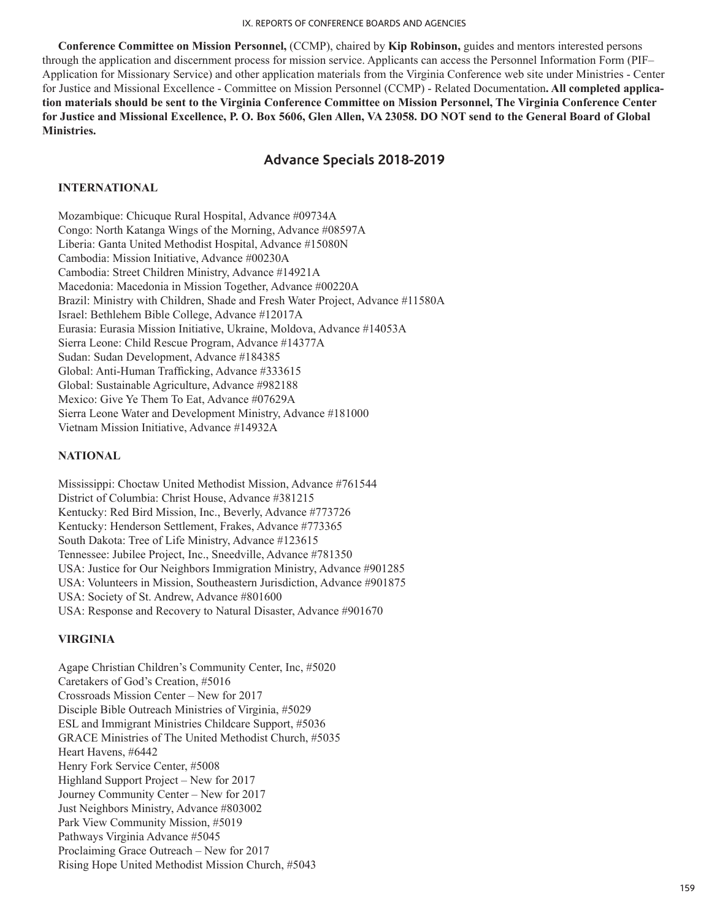**Conference Committee on Mission Personnel,** (CCMP), chaired by **Kip Robinson,** guides and mentors interested persons through the application and discernment process for mission service. Applicants can access the Personnel Information Form (PIF– Application for Missionary Service) and other application materials from the Virginia Conference web site under Ministries - Center for Justice and Missional Excellence - Committee on Mission Personnel (CCMP) - Related Documentation**. All completed application materials should be sent to the Virginia Conference Committee on Mission Personnel, The Virginia Conference Center for Justice and Missional Excellence, P. O. Box 5606, Glen Allen, VA 23058. DO NOT send to the General Board of Global Ministries.** 

# **Advance Specials 2018-2019**

## **INTERNATIONAL**

Mozambique: Chicuque Rural Hospital, Advance #09734A Congo: North Katanga Wings of the Morning, Advance #08597A Liberia: Ganta United Methodist Hospital, Advance #15080N Cambodia: Mission Initiative, Advance #00230A Cambodia: Street Children Ministry, Advance #14921A Macedonia: Macedonia in Mission Together, Advance #00220A Brazil: Ministry with Children, Shade and Fresh Water Project, Advance #11580A Israel: Bethlehem Bible College, Advance #12017A Eurasia: Eurasia Mission Initiative, Ukraine, Moldova, Advance #14053A Sierra Leone: Child Rescue Program, Advance #14377A Sudan: Sudan Development, Advance #184385 Global: Anti-Human Trafficking, Advance #333615 Global: Sustainable Agriculture, Advance #982188 Mexico: Give Ye Them To Eat, Advance #07629A Sierra Leone Water and Development Ministry, Advance #181000 Vietnam Mission Initiative, Advance #14932A

## **NATIONAL**

Mississippi: Choctaw United Methodist Mission, Advance #761544 District of Columbia: Christ House, Advance #381215 Kentucky: Red Bird Mission, Inc., Beverly, Advance #773726 Kentucky: Henderson Settlement, Frakes, Advance #773365 South Dakota: Tree of Life Ministry, Advance #123615 Tennessee: Jubilee Project, Inc., Sneedville, Advance #781350 USA: Justice for Our Neighbors Immigration Ministry, Advance #901285 USA: Volunteers in Mission, Southeastern Jurisdiction, Advance #901875 USA: Society of St. Andrew, Advance #801600 USA: Response and Recovery to Natural Disaster, Advance #901670

#### **VIRGINIA**

Agape Christian Children's Community Center, Inc, #5020 Caretakers of God's Creation, #5016 Crossroads Mission Center – New for 2017 Disciple Bible Outreach Ministries of Virginia, #5029 ESL and Immigrant Ministries Childcare Support, #5036 GRACE Ministries of The United Methodist Church, #5035 Heart Havens, #6442 Henry Fork Service Center, #5008 Highland Support Project – New for 2017 Journey Community Center – New for 2017 Just Neighbors Ministry, Advance #803002 Park View Community Mission, #5019 Pathways Virginia Advance #5045 Proclaiming Grace Outreach – New for 2017 Rising Hope United Methodist Mission Church, #5043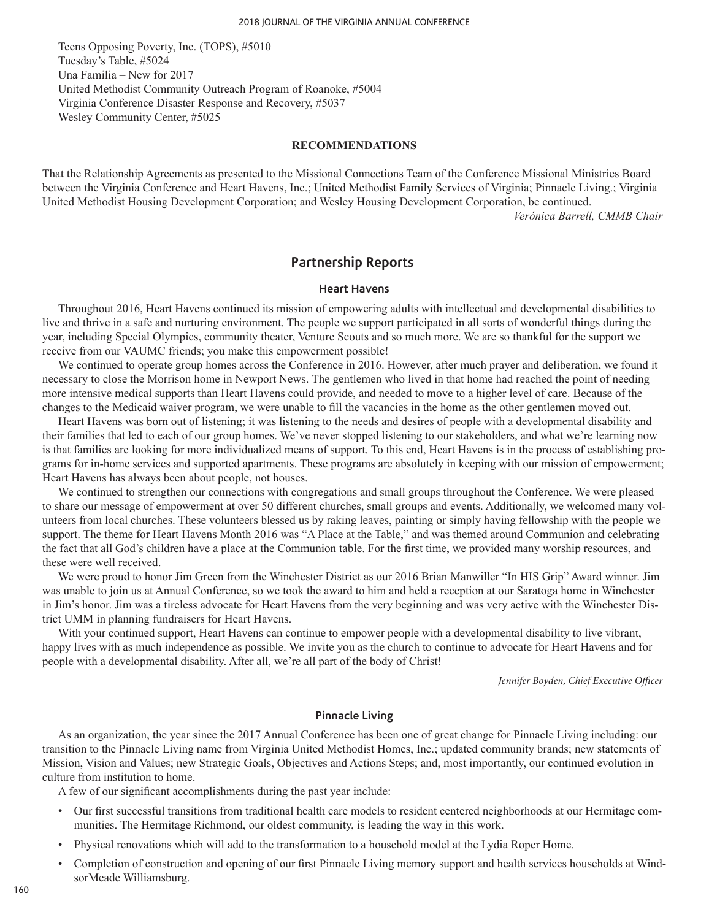Teens Opposing Poverty, Inc. (TOPS), #5010 Tuesday's Table, #5024 Una Familia – New for 2017 United Methodist Community Outreach Program of Roanoke, #5004 Virginia Conference Disaster Response and Recovery, #5037 Wesley Community Center, #5025

#### **RECOMMENDATIONS**

That the Relationship Agreements as presented to the Missional Connections Team of the Conference Missional Ministries Board between the Virginia Conference and Heart Havens, Inc.; United Methodist Family Services of Virginia; Pinnacle Living.; Virginia United Methodist Housing Development Corporation; and Wesley Housing Development Corporation, be continued. *– Verónica Barrell, CMMB Chair*

**Partnership Reports**

#### **Heart Havens**

Throughout 2016, Heart Havens continued its mission of empowering adults with intellectual and developmental disabilities to live and thrive in a safe and nurturing environment. The people we support participated in all sorts of wonderful things during the year, including Special Olympics, community theater, Venture Scouts and so much more. We are so thankful for the support we receive from our VAUMC friends; you make this empowerment possible!

We continued to operate group homes across the Conference in 2016. However, after much prayer and deliberation, we found it necessary to close the Morrison home in Newport News. The gentlemen who lived in that home had reached the point of needing more intensive medical supports than Heart Havens could provide, and needed to move to a higher level of care. Because of the changes to the Medicaid waiver program, we were unable to fill the vacancies in the home as the other gentlemen moved out.

Heart Havens was born out of listening; it was listening to the needs and desires of people with a developmental disability and their families that led to each of our group homes. We've never stopped listening to our stakeholders, and what we're learning now is that families are looking for more individualized means of support. To this end, Heart Havens is in the process of establishing programs for in-home services and supported apartments. These programs are absolutely in keeping with our mission of empowerment; Heart Havens has always been about people, not houses.

We continued to strengthen our connections with congregations and small groups throughout the Conference. We were pleased to share our message of empowerment at over 50 different churches, small groups and events. Additionally, we welcomed many volunteers from local churches. These volunteers blessed us by raking leaves, painting or simply having fellowship with the people we support. The theme for Heart Havens Month 2016 was "A Place at the Table," and was themed around Communion and celebrating the fact that all God's children have a place at the Communion table. For the first time, we provided many worship resources, and these were well received.

We were proud to honor Jim Green from the Winchester District as our 2016 Brian Manwiller "In HIS Grip" Award winner. Jim was unable to join us at Annual Conference, so we took the award to him and held a reception at our Saratoga home in Winchester in Jim's honor. Jim was a tireless advocate for Heart Havens from the very beginning and was very active with the Winchester District UMM in planning fundraisers for Heart Havens.

With your continued support, Heart Havens can continue to empower people with a developmental disability to live vibrant, happy lives with as much independence as possible. We invite you as the church to continue to advocate for Heart Havens and for people with a developmental disability. After all, we're all part of the body of Christ!

*– Jennifer Boyden, Chief Executive Officer*

#### **Pinnacle Living**

As an organization, the year since the 2017 Annual Conference has been one of great change for Pinnacle Living including: our transition to the Pinnacle Living name from Virginia United Methodist Homes, Inc.; updated community brands; new statements of Mission, Vision and Values; new Strategic Goals, Objectives and Actions Steps; and, most importantly, our continued evolution in culture from institution to home.

A few of our significant accomplishments during the past year include:

- Our first successful transitions from traditional health care models to resident centered neighborhoods at our Hermitage communities. The Hermitage Richmond, our oldest community, is leading the way in this work.
- Physical renovations which will add to the transformation to a household model at the Lydia Roper Home.
- Completion of construction and opening of our first Pinnacle Living memory support and health services households at WindsorMeade Williamsburg.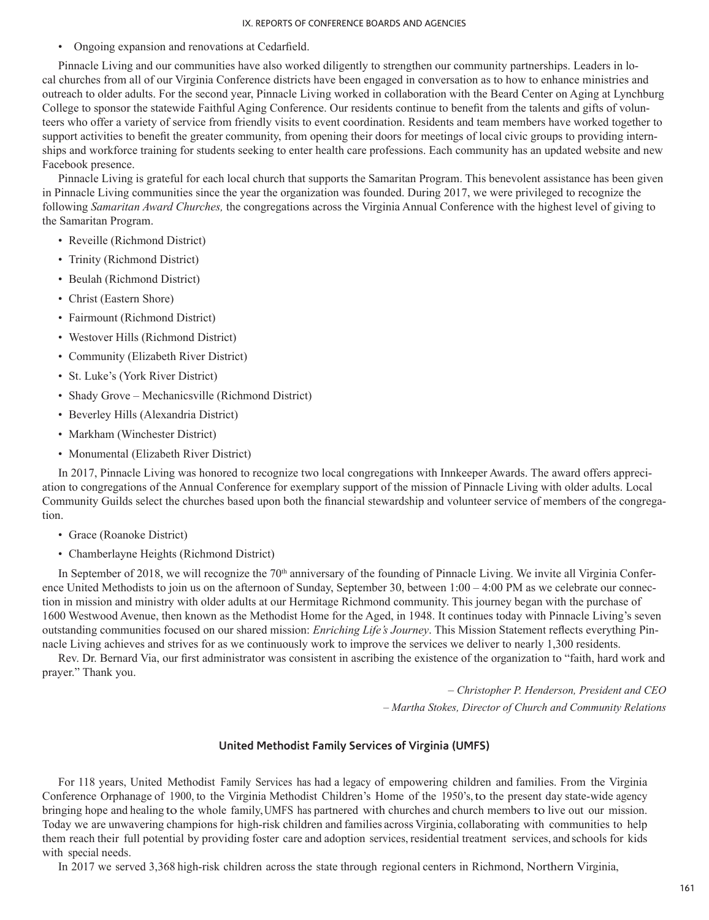• Ongoing expansion and renovations at Cedarfield.

Pinnacle Living and our communities have also worked diligently to strengthen our community partnerships. Leaders in local churches from all of our Virginia Conference districts have been engaged in conversation as to how to enhance ministries and outreach to older adults. For the second year, Pinnacle Living worked in collaboration with the Beard Center on Aging at Lynchburg College to sponsor the statewide Faithful Aging Conference. Our residents continue to benefit from the talents and gifts of volunteers who offer a variety of service from friendly visits to event coordination. Residents and team members have worked together to support activities to benefit the greater community, from opening their doors for meetings of local civic groups to providing internships and workforce training for students seeking to enter health care professions. Each community has an updated website and new Facebook presence.

Pinnacle Living is grateful for each local church that supports the Samaritan Program. This benevolent assistance has been given in Pinnacle Living communities since the year the organization was founded. During 2017, we were privileged to recognize the following *Samaritan Award Churches,* the congregations across the Virginia Annual Conference with the highest level of giving to the Samaritan Program.

- Reveille (Richmond District)
- Trinity (Richmond District)
- Beulah (Richmond District)
- Christ (Eastern Shore)
- Fairmount (Richmond District)
- Westover Hills (Richmond District)
- Community (Elizabeth River District)
- St. Luke's (York River District)
- Shady Grove Mechanicsville (Richmond District)
- Beverley Hills (Alexandria District)
- Markham (Winchester District)
- Monumental (Elizabeth River District)

In 2017, Pinnacle Living was honored to recognize two local congregations with Innkeeper Awards. The award offers appreciation to congregations of the Annual Conference for exemplary support of the mission of Pinnacle Living with older adults. Local Community Guilds select the churches based upon both the financial stewardship and volunteer service of members of the congregation.

- Grace (Roanoke District)
- Chamberlayne Heights (Richmond District)

In September of 2018, we will recognize the  $70<sup>th</sup>$  anniversary of the founding of Pinnacle Living. We invite all Virginia Conference United Methodists to join us on the afternoon of Sunday, September 30, between  $1:00 - 4:00$  PM as we celebrate our connection in mission and ministry with older adults at our Hermitage Richmond community. This journey began with the purchase of 1600 Westwood Avenue, then known as the Methodist Home for the Aged, in 1948. It continues today with Pinnacle Living's seven outstanding communities focused on our shared mission: *Enriching Life's Journey*. This Mission Statement reflects everything Pinnacle Living achieves and strives for as we continuously work to improve the services we deliver to nearly 1,300 residents.

Rev. Dr. Bernard Via, our first administrator was consistent in ascribing the existence of the organization to "faith, hard work and prayer." Thank you.

– *Christopher P. Henderson, President and CEO*

*– Martha Stokes, Director of Church and Community Relations*

#### **United Methodist Family Services of Virginia (UMFS)**

For 118 years, United Methodist Family Services has had a legacy of empowering children and families. From the Virginia Conference Orphanage of 1900, to the Virginia Methodist Children's Home of the 1950's,to the present day state-wide agency bringing hope and healing to the whole family,UMFS has partnered with churches and church members to live out our mission. Today we are unwavering champions for high-risk children and families across Virginia, collaborating with communities to help them reach their full potential by providing foster care and adoption services, residential treatment services, and schools for kids with special needs.

In 2017 we served 3,368 high-risk children across the state through regional centers in Richmond, Northern Virginia,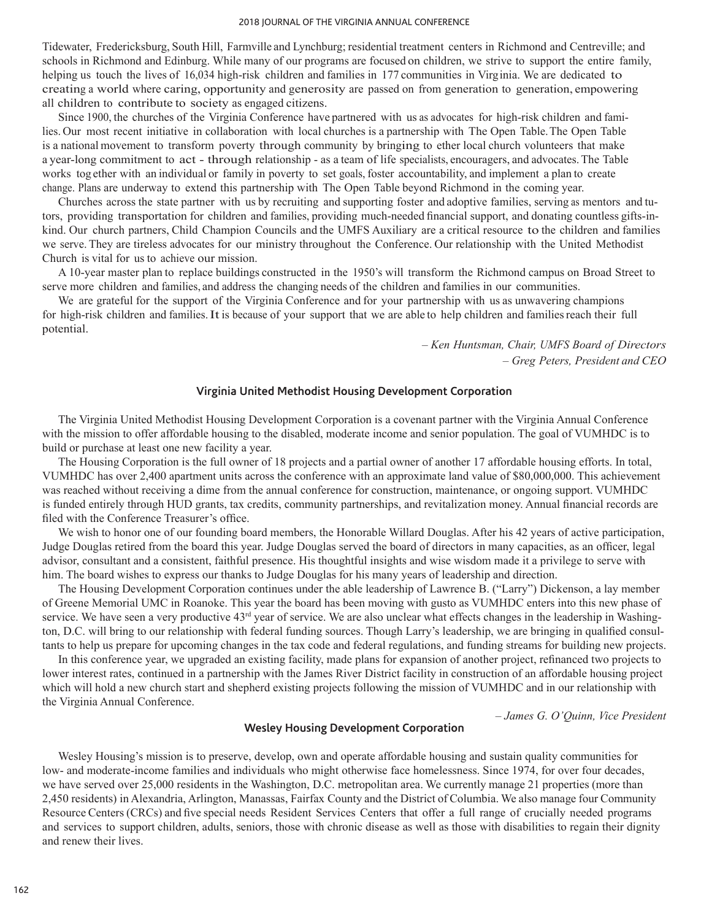Tidewater, Fredericksburg, South Hill, Farmville and Lynchburg; residential treatment centers in Richmond and Centreville; and schools in Richmond and Edinburg. While many of our programs are focused on children, we strive to support the entire family, helping us touch the lives of 16,034 high-risk children and families in 177 communities in Virginia. We are dedicated to creating a world where caring, opportunity and generosity are passed on from generation to generation, empowering all children to contribute to society as engaged citizens.

Since 1900, the churches of the Virginia Conference have partnered with us as advocates for high-risk children and families. Our most recent initiative in collaboration with local churches is a partnership with The Open Table. The Open Table is a national movement to transform poverty through community by bringing to ether local church volunteers that make a year-long commitment to act - through relationship - as a team of life specialists, encouragers, and advocates. The Table works tog ether with an individual or family in poverty to set goals, foster accountability, and implement a plan to create change. Plans are underway to extend this partnership with The Open Table beyond Richmond in the coming year.

Churches across the state partner with us by recruiting and supporting foster and adoptive families, serving as mentors and tutors, providing transportation for children and families, providing much-needed financial support, and donating countless gifts-inkind. Our church partners, Child Champion Councils and the UMFS Auxiliary are a critical resource to the children and families we serve. They are tireless advocates for our ministry throughout the Conference. Our relationship with the United Methodist Church is vital for us to achieve our mission.

A 10-year master plan to replace buildings constructed in the 1950's will transform the Richmond campus on Broad Street to serve more children and families, and address the changing needs of the children and families in our communities.

We are grateful for the support of the Virginia Conference and for your partnership with us as unwavering champions for high-risk children and families.It is because of your support that we are able to help children and families reach their full potential.

> *– Ken Huntsman, Chair, UMFS Board of Directors – Greg Peters, President and CEO*

## **Virginia United Methodist Housing Development Corporation**

The Virginia United Methodist Housing Development Corporation is a covenant partner with the Virginia Annual Conference with the mission to offer affordable housing to the disabled, moderate income and senior population. The goal of VUMHDC is to build or purchase at least one new facility a year.

The Housing Corporation is the full owner of 18 projects and a partial owner of another 17 affordable housing efforts. In total, VUMHDC has over 2,400 apartment units across the conference with an approximate land value of \$80,000,000. This achievement was reached without receiving a dime from the annual conference for construction, maintenance, or ongoing support. VUMHDC is funded entirely through HUD grants, tax credits, community partnerships, and revitalization money. Annual financial records are filed with the Conference Treasurer's office.

We wish to honor one of our founding board members, the Honorable Willard Douglas. After his 42 years of active participation, Judge Douglas retired from the board this year. Judge Douglas served the board of directors in many capacities, as an officer, legal advisor, consultant and a consistent, faithful presence. His thoughtful insights and wise wisdom made it a privilege to serve with him. The board wishes to express our thanks to Judge Douglas for his many years of leadership and direction.

The Housing Development Corporation continues under the able leadership of Lawrence B. ("Larry") Dickenson, a lay member of Greene Memorial UMC in Roanoke. This year the board has been moving with gusto as VUMHDC enters into this new phase of service. We have seen a very productive  $43<sup>rd</sup>$  year of service. We are also unclear what effects changes in the leadership in Washington, D.C. will bring to our relationship with federal funding sources. Though Larry's leadership, we are bringing in qualified consultants to help us prepare for upcoming changes in the tax code and federal regulations, and funding streams for building new projects.

In this conference year, we upgraded an existing facility, made plans for expansion of another project, refinanced two projects to lower interest rates, continued in a partnership with the James River District facility in construction of an affordable housing project which will hold a new church start and shepherd existing projects following the mission of VUMHDC and in our relationship with the Virginia Annual Conference.

# *– James G. O'Quinn, Vice President*

#### **Wesley Housing Development Corporation**

Wesley Housing's mission is to preserve, develop, own and operate affordable housing and sustain quality communities for low- and moderate-income families and individuals who might otherwise face homelessness. Since 1974, for over four decades, we have served over 25,000 residents in the Washington, D.C. metropolitan area. We currently manage 21 properties (more than 2,450 residents) in Alexandria, Arlington, Manassas, Fairfax County and the District of Columbia. We also manage four Community Resource Centers (CRCs) and five special needs Resident Services Centers that offer a full range of crucially needed programs and services to support children, adults, seniors, those with chronic disease as well as those with disabilities to regain their dignity and renew their lives.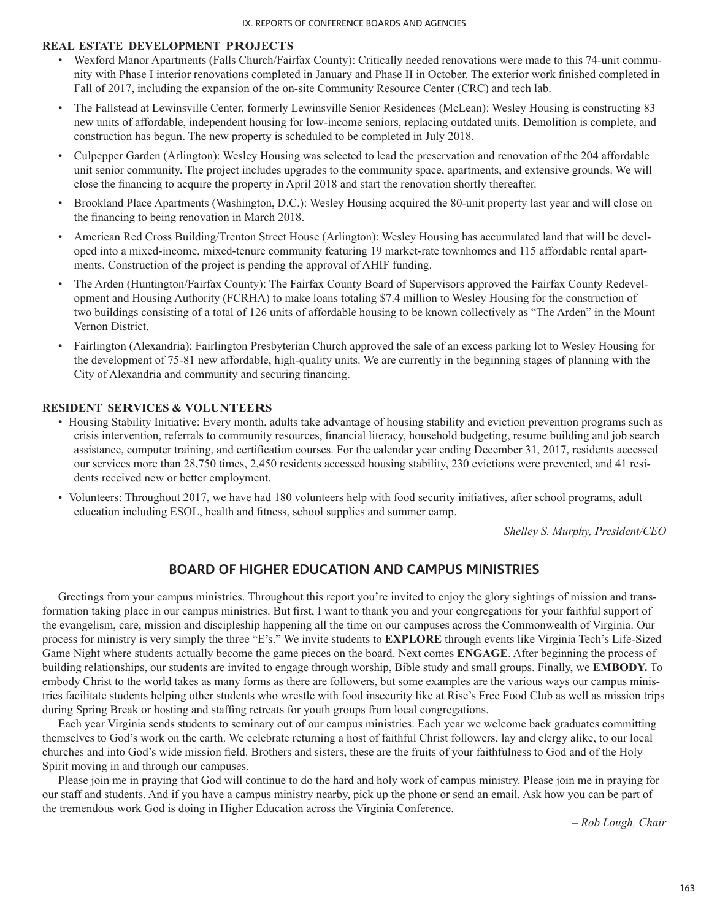## **REAL ESTATE DEVELOPMENT PROJECTS**

- Wexford Manor Apartments (Falls Church/Fairfax County): Critically needed renovations were made to this 74-unit community with Phase I interior renovations completed in January and Phase II in October. The exterior work finished completed in Fall of 2017, including the expansion of the on-site Community Resource Center (CRC) and tech lab.
- The Fallstead at Lewinsville Center, formerly Lewinsville Senior Residences (McLean): Wesley Housing is constructing 83 new units of affordable, independent housing for low-income seniors, replacing outdated units. Demolition is complete, and construction has begun. The new property is scheduled to be completed in July 2018.
- Culpepper Garden (Arlington): Wesley Housing was selected to lead the preservation and renovation of the 204 affordable unit senior community. The project includes upgrades to the community space, apartments, and extensive grounds. We will close the financing to acquire the property in April 2018 and start the renovation shortly thereafter.
- Brookland Place Apartments (Washington, D.C.): Wesley Housing acquired the 80-unit property last year and will close on the financing to being renovation in March 2018.
- American Red Cross Building/Trenton Street House (Arlington): Wesley Housing has accumulated land that will be developed into a mixed-income, mixed-tenure community featuring 19 market-rate townhomes and 115 affordable rental apartments. Construction of the project is pending the approval of AHIF funding.
- The Arden (Huntington/Fairfax County): The Fairfax County Board of Supervisors approved the Fairfax County Redevelopment and Housing Authority (FCRHA) to make loans totaling \$7.4 million to Wesley Housing for the construction of two buildings consisting of a total of 126 units of affordable housing to be known collectively as "The Arden" in the Mount Vernon District.
- Fairlington (Alexandria): Fairlington Presbyterian Church approved the sale of an excess parking lot to Wesley Housing for the development of 75-81 new affordable, high-quality units. We are currently in the beginning stages of planning with the City of Alexandria and community and securing financing.

## **RESIDENT SERVICES & VOLUNTEERS**

- Housing Stability Initiative: Every month, adults take advantage of housing stability and eviction prevention programs such as crisis intervention, referrals to community resources, financial literacy, household budgeting, resume building and job search assistance, computer training, and certification courses. For the calendar year ending December 31, 2017, residents accessed our services more than 28,750 times, 2,450 residents accessed housing stability, 230 evictions were prevented, and 41 residents received new or better employment.
- Volunteers: Throughout 2017, we have had 180 volunteers help with food security initiatives, after school programs, adult education including ESOL, health and fitness, school supplies and summer camp.

– *Shelley S. Murphy, President/CEO*

# **BOARD OF HIGHER EDUCATION AND CAMPUS MINISTRIES**

Greetings from your campus ministries. Throughout this report you're invited to enjoy the glory sightings of mission and transformation taking place in our campus ministries. But first, I want to thank you and your congregations for your faithful support of the evangelism, care, mission and discipleship happening all the time on our campuses across the Commonwealth of Virginia. Our process for ministry is very simply the three "E's." We invite students to **EXPLORE** through events like Virginia Tech's Life-Sized Game Night where students actually become the game pieces on the board. Next comes **ENGAGE**. After beginning the process of building relationships, our students are invited to engage through worship, Bible study and small groups. Finally, we **EMBODY.** To embody Christ to the world takes as many forms as there are followers, but some examples are the various ways our campus ministries facilitate students helping other students who wrestle with food insecurity like at Rise's Free Food Club as well as mission trips during Spring Break or hosting and staffing retreats for youth groups from local congregations.

Each year Virginia sends students to seminary out of our campus ministries. Each year we welcome back graduates committing themselves to God's work on the earth. We celebrate returning a host of faithful Christ followers, lay and clergy alike, to our local churches and into God's wide mission field. Brothers and sisters, these are the fruits of your faithfulness to God and of the Holy Spirit moving in and through our campuses.

Please join me in praying that God will continue to do the hard and holy work of campus ministry. Please join me in praying for our staff and students. And if you have a campus ministry nearby, pick up the phone or send an email. Ask how you can be part of the tremendous work God is doing in Higher Education across the Virginia Conference.

*– Rob Lough, Chair*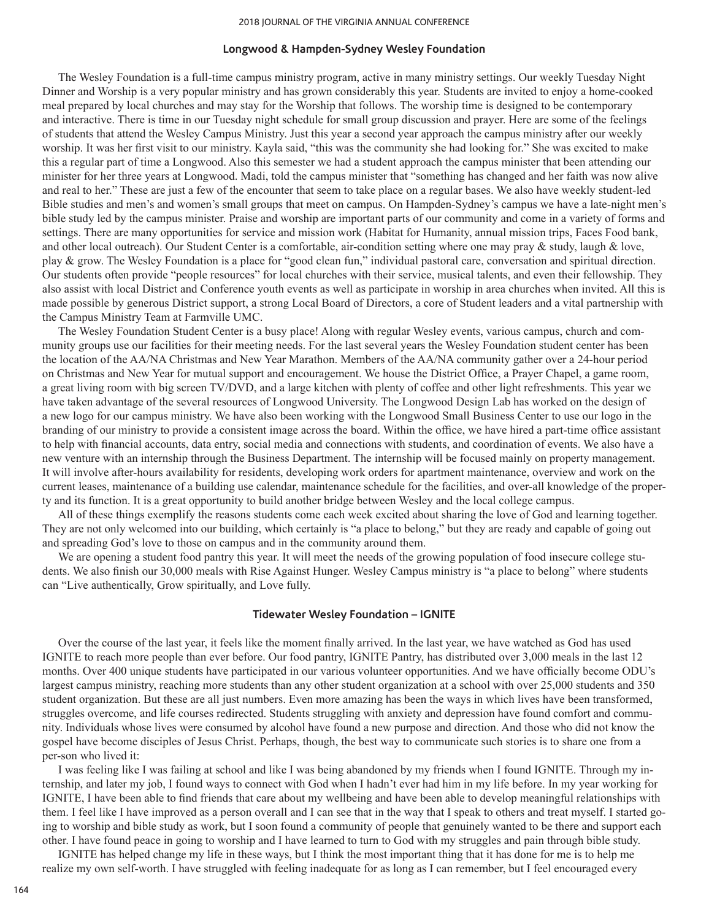#### **Longwood & Hampden-Sydney Wesley Foundation**

The Wesley Foundation is a full-time campus ministry program, active in many ministry settings. Our weekly Tuesday Night Dinner and Worship is a very popular ministry and has grown considerably this year. Students are invited to enjoy a home-cooked meal prepared by local churches and may stay for the Worship that follows. The worship time is designed to be contemporary and interactive. There is time in our Tuesday night schedule for small group discussion and prayer. Here are some of the feelings of students that attend the Wesley Campus Ministry. Just this year a second year approach the campus ministry after our weekly worship. It was her first visit to our ministry. Kayla said, "this was the community she had looking for." She was excited to make this a regular part of time a Longwood. Also this semester we had a student approach the campus minister that been attending our minister for her three years at Longwood. Madi, told the campus minister that "something has changed and her faith was now alive and real to her." These are just a few of the encounter that seem to take place on a regular bases. We also have weekly student-led Bible studies and men's and women's small groups that meet on campus. On Hampden-Sydney's campus we have a late-night men's bible study led by the campus minister. Praise and worship are important parts of our community and come in a variety of forms and settings. There are many opportunities for service and mission work (Habitat for Humanity, annual mission trips, Faces Food bank, and other local outreach). Our Student Center is a comfortable, air-condition setting where one may pray & study, laugh & love, play & grow. The Wesley Foundation is a place for "good clean fun," individual pastoral care, conversation and spiritual direction. Our students often provide "people resources" for local churches with their service, musical talents, and even their fellowship. They also assist with local District and Conference youth events as well as participate in worship in area churches when invited. All this is made possible by generous District support, a strong Local Board of Directors, a core of Student leaders and a vital partnership with the Campus Ministry Team at Farmville UMC.

The Wesley Foundation Student Center is a busy place! Along with regular Wesley events, various campus, church and community groups use our facilities for their meeting needs. For the last several years the Wesley Foundation student center has been the location of the AA/NA Christmas and New Year Marathon. Members of the AA/NA community gather over a 24-hour period on Christmas and New Year for mutual support and encouragement. We house the District Office, a Prayer Chapel, a game room, a great living room with big screen TV/DVD, and a large kitchen with plenty of coffee and other light refreshments. This year we have taken advantage of the several resources of Longwood University. The Longwood Design Lab has worked on the design of a new logo for our campus ministry. We have also been working with the Longwood Small Business Center to use our logo in the branding of our ministry to provide a consistent image across the board. Within the office, we have hired a part-time office assistant to help with financial accounts, data entry, social media and connections with students, and coordination of events. We also have a new venture with an internship through the Business Department. The internship will be focused mainly on property management. It will involve after-hours availability for residents, developing work orders for apartment maintenance, overview and work on the current leases, maintenance of a building use calendar, maintenance schedule for the facilities, and over-all knowledge of the property and its function. It is a great opportunity to build another bridge between Wesley and the local college campus.

All of these things exemplify the reasons students come each week excited about sharing the love of God and learning together. They are not only welcomed into our building, which certainly is "a place to belong," but they are ready and capable of going out and spreading God's love to those on campus and in the community around them.

We are opening a student food pantry this year. It will meet the needs of the growing population of food insecure college students. We also finish our 30,000 meals with Rise Against Hunger. Wesley Campus ministry is "a place to belong" where students can "Live authentically, Grow spiritually, and Love fully.

### **Tidewater Wesley Foundation – IGNITE**

Over the course of the last year, it feels like the moment finally arrived. In the last year, we have watched as God has used IGNITE to reach more people than ever before. Our food pantry, IGNITE Pantry, has distributed over 3,000 meals in the last 12 months. Over 400 unique students have participated in our various volunteer opportunities. And we have officially become ODU's largest campus ministry, reaching more students than any other student organization at a school with over 25,000 students and 350 student organization. But these are all just numbers. Even more amazing has been the ways in which lives have been transformed, struggles overcome, and life courses redirected. Students struggling with anxiety and depression have found comfort and community. Individuals whose lives were consumed by alcohol have found a new purpose and direction. And those who did not know the gospel have become disciples of Jesus Christ. Perhaps, though, the best way to communicate such stories is to share one from a per-son who lived it:

I was feeling like I was failing at school and like I was being abandoned by my friends when I found IGNITE. Through my internship, and later my job, I found ways to connect with God when I hadn't ever had him in my life before. In my year working for IGNITE, I have been able to find friends that care about my wellbeing and have been able to develop meaningful relationships with them. I feel like I have improved as a person overall and I can see that in the way that I speak to others and treat myself. I started going to worship and bible study as work, but I soon found a community of people that genuinely wanted to be there and support each other. I have found peace in going to worship and I have learned to turn to God with my struggles and pain through bible study.

IGNITE has helped change my life in these ways, but I think the most important thing that it has done for me is to help me realize my own self-worth. I have struggled with feeling inadequate for as long as I can remember, but I feel encouraged every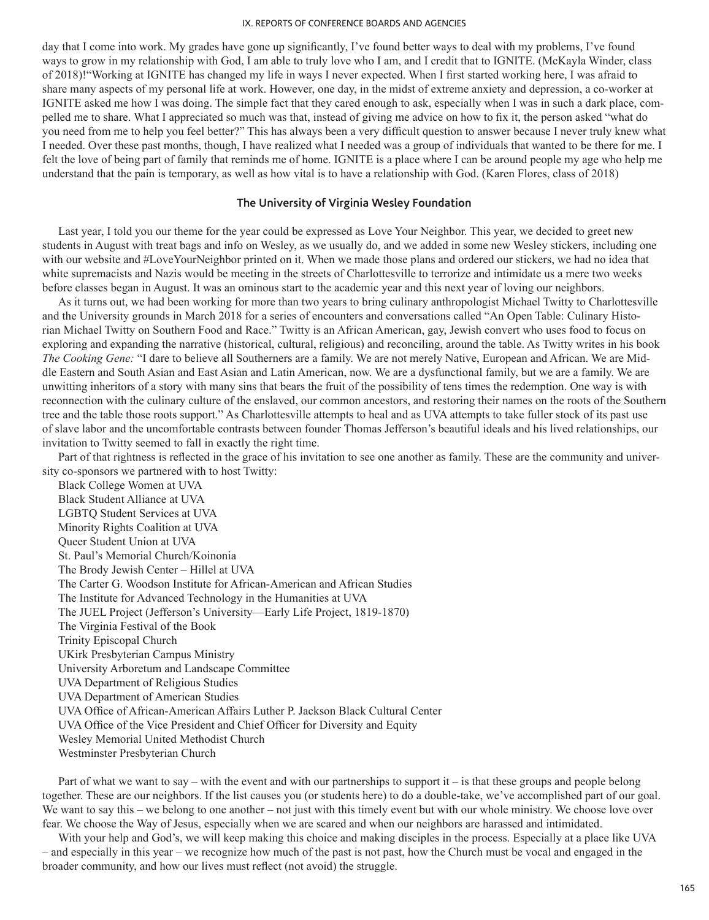day that I come into work. My grades have gone up significantly, I've found better ways to deal with my problems, I've found ways to grow in my relationship with God, I am able to truly love who I am, and I credit that to IGNITE. (McKayla Winder, class of 2018)!"Working at IGNITE has changed my life in ways I never expected. When I first started working here, I was afraid to share many aspects of my personal life at work. However, one day, in the midst of extreme anxiety and depression, a co-worker at IGNITE asked me how I was doing. The simple fact that they cared enough to ask, especially when I was in such a dark place, compelled me to share. What I appreciated so much was that, instead of giving me advice on how to fix it, the person asked "what do you need from me to help you feel better?" This has always been a very difficult question to answer because I never truly knew what I needed. Over these past months, though, I have realized what I needed was a group of individuals that wanted to be there for me. I felt the love of being part of family that reminds me of home. IGNITE is a place where I can be around people my age who help me understand that the pain is temporary, as well as how vital is to have a relationship with God. (Karen Flores, class of 2018)

## **The University of Virginia Wesley Foundation**

Last year, I told you our theme for the year could be expressed as Love Your Neighbor. This year, we decided to greet new students in August with treat bags and info on Wesley, as we usually do, and we added in some new Wesley stickers, including one with our website and #LoveYourNeighbor printed on it. When we made those plans and ordered our stickers, we had no idea that white supremacists and Nazis would be meeting in the streets of Charlottesville to terrorize and intimidate us a mere two weeks before classes began in August. It was an ominous start to the academic year and this next year of loving our neighbors.

As it turns out, we had been working for more than two years to bring culinary anthropologist Michael Twitty to Charlottesville and the University grounds in March 2018 for a series of encounters and conversations called "An Open Table: Culinary Historian Michael Twitty on Southern Food and Race." Twitty is an African American, gay, Jewish convert who uses food to focus on exploring and expanding the narrative (historical, cultural, religious) and reconciling, around the table. As Twitty writes in his book *The Cooking Gene:* "I dare to believe all Southerners are a family. We are not merely Native, European and African. We are Middle Eastern and South Asian and East Asian and Latin American, now. We are a dysfunctional family, but we are a family. We are unwitting inheritors of a story with many sins that bears the fruit of the possibility of tens times the redemption. One way is with reconnection with the culinary culture of the enslaved, our common ancestors, and restoring their names on the roots of the Southern tree and the table those roots support." As Charlottesville attempts to heal and as UVA attempts to take fuller stock of its past use of slave labor and the uncomfortable contrasts between founder Thomas Jefferson's beautiful ideals and his lived relationships, our invitation to Twitty seemed to fall in exactly the right time.

Part of that rightness is reflected in the grace of his invitation to see one another as family. These are the community and university co-sponsors we partnered with to host Twitty:

Black College Women at UVA Black Student Alliance at UVA LGBTQ Student Services at UVA Minority Rights Coalition at UVA Queer Student Union at UVA St. Paul's Memorial Church/Koinonia The Brody Jewish Center – Hillel at UVA The Carter G. Woodson Institute for African-American and African Studies The Institute for Advanced Technology in the Humanities at UVA The JUEL Project (Jefferson's University—Early Life Project, 1819-1870) The Virginia Festival of the Book Trinity Episcopal Church UKirk Presbyterian Campus Ministry University Arboretum and Landscape Committee UVA Department of Religious Studies UVA Department of American Studies UVA Office of African-American Affairs Luther P. Jackson Black Cultural Center UVA Office of the Vice President and Chief Officer for Diversity and Equity Wesley Memorial United Methodist Church Westminster Presbyterian Church

Part of what we want to say – with the event and with our partnerships to support it – is that these groups and people belong together. These are our neighbors. If the list causes you (or students here) to do a double-take, we've accomplished part of our goal. We want to say this – we belong to one another – not just with this timely event but with our whole ministry. We choose love over fear. We choose the Way of Jesus, especially when we are scared and when our neighbors are harassed and intimidated.

With your help and God's, we will keep making this choice and making disciples in the process. Especially at a place like UVA – and especially in this year – we recognize how much of the past is not past, how the Church must be vocal and engaged in the broader community, and how our lives must reflect (not avoid) the struggle.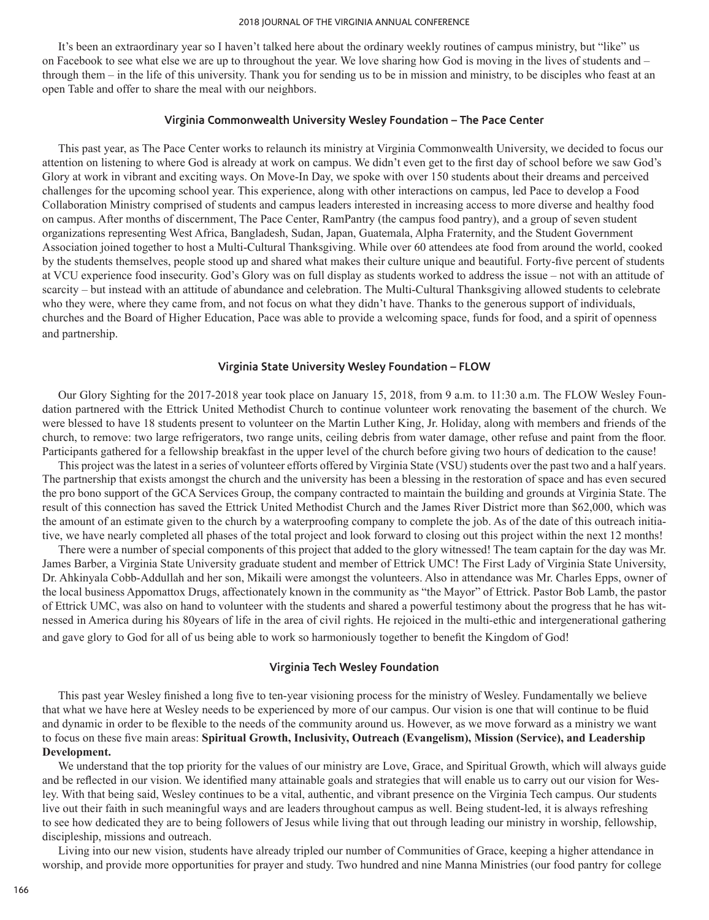It's been an extraordinary year so I haven't talked here about the ordinary weekly routines of campus ministry, but "like" us on Facebook to see what else we are up to throughout the year. We love sharing how God is moving in the lives of students and – through them – in the life of this university. Thank you for sending us to be in mission and ministry, to be disciples who feast at an open Table and offer to share the meal with our neighbors.

### **Virginia Commonwealth University Wesley Foundation – The Pace Center**

This past year, as The Pace Center works to relaunch its ministry at Virginia Commonwealth University, we decided to focus our attention on listening to where God is already at work on campus. We didn't even get to the first day of school before we saw God's Glory at work in vibrant and exciting ways. On Move-In Day, we spoke with over 150 students about their dreams and perceived challenges for the upcoming school year. This experience, along with other interactions on campus, led Pace to develop a Food Collaboration Ministry comprised of students and campus leaders interested in increasing access to more diverse and healthy food on campus. After months of discernment, The Pace Center, RamPantry (the campus food pantry), and a group of seven student organizations representing West Africa, Bangladesh, Sudan, Japan, Guatemala, Alpha Fraternity, and the Student Government Association joined together to host a Multi-Cultural Thanksgiving. While over 60 attendees ate food from around the world, cooked by the students themselves, people stood up and shared what makes their culture unique and beautiful. Forty-five percent of students at VCU experience food insecurity. God's Glory was on full display as students worked to address the issue – not with an attitude of scarcity – but instead with an attitude of abundance and celebration. The Multi-Cultural Thanksgiving allowed students to celebrate who they were, where they came from, and not focus on what they didn't have. Thanks to the generous support of individuals, churches and the Board of Higher Education, Pace was able to provide a welcoming space, funds for food, and a spirit of openness and partnership.

### **Virginia State University Wesley Foundation – FLOW**

Our Glory Sighting for the 2017-2018 year took place on January 15, 2018, from 9 a.m. to 11:30 a.m. The FLOW Wesley Foundation partnered with the Ettrick United Methodist Church to continue volunteer work renovating the basement of the church. We were blessed to have 18 students present to volunteer on the Martin Luther King, Jr. Holiday, along with members and friends of the church, to remove: two large refrigerators, two range units, ceiling debris from water damage, other refuse and paint from the floor. Participants gathered for a fellowship breakfast in the upper level of the church before giving two hours of dedication to the cause!

This project was the latest in a series of volunteer efforts offered by Virginia State (VSU) students over the past two and a half years. The partnership that exists amongst the church and the university has been a blessing in the restoration of space and has even secured the pro bono support of the GCA Services Group, the company contracted to maintain the building and grounds at Virginia State. The result of this connection has saved the Ettrick United Methodist Church and the James River District more than \$62,000, which was the amount of an estimate given to the church by a waterproofing company to complete the job. As of the date of this outreach initiative, we have nearly completed all phases of the total project and look forward to closing out this project within the next 12 months!

There were a number of special components of this project that added to the glory witnessed! The team captain for the day was Mr. James Barber, a Virginia State University graduate student and member of Ettrick UMC! The First Lady of Virginia State University, Dr. Ahkinyala Cobb-Addullah and her son, Mikaili were amongst the volunteers. Also in attendance was Mr. Charles Epps, owner of the local business Appomattox Drugs, affectionately known in the community as "the Mayor" of Ettrick. Pastor Bob Lamb, the pastor of Ettrick UMC, was also on hand to volunteer with the students and shared a powerful testimony about the progress that he has witnessed in America during his 80years of life in the area of civil rights. He rejoiced in the multi-ethic and intergenerational gathering and gave glory to God for all of us being able to work so harmoniously together to benefit the Kingdom of God!

## **Virginia Tech Wesley Foundation**

This past year Wesley finished a long five to ten-year visioning process for the ministry of Wesley. Fundamentally we believe that what we have here at Wesley needs to be experienced by more of our campus. Our vision is one that will continue to be fluid and dynamic in order to be flexible to the needs of the community around us. However, as we move forward as a ministry we want to focus on these five main areas: **Spiritual Growth, Inclusivity, Outreach (Evangelism), Mission (Service), and Leadership Development.**

We understand that the top priority for the values of our ministry are Love, Grace, and Spiritual Growth, which will always guide and be reflected in our vision. We identified many attainable goals and strategies that will enable us to carry out our vision for Wesley. With that being said, Wesley continues to be a vital, authentic, and vibrant presence on the Virginia Tech campus. Our students live out their faith in such meaningful ways and are leaders throughout campus as well. Being student-led, it is always refreshing to see how dedicated they are to being followers of Jesus while living that out through leading our ministry in worship, fellowship, discipleship, missions and outreach.

Living into our new vision, students have already tripled our number of Communities of Grace, keeping a higher attendance in worship, and provide more opportunities for prayer and study. Two hundred and nine Manna Ministries (our food pantry for college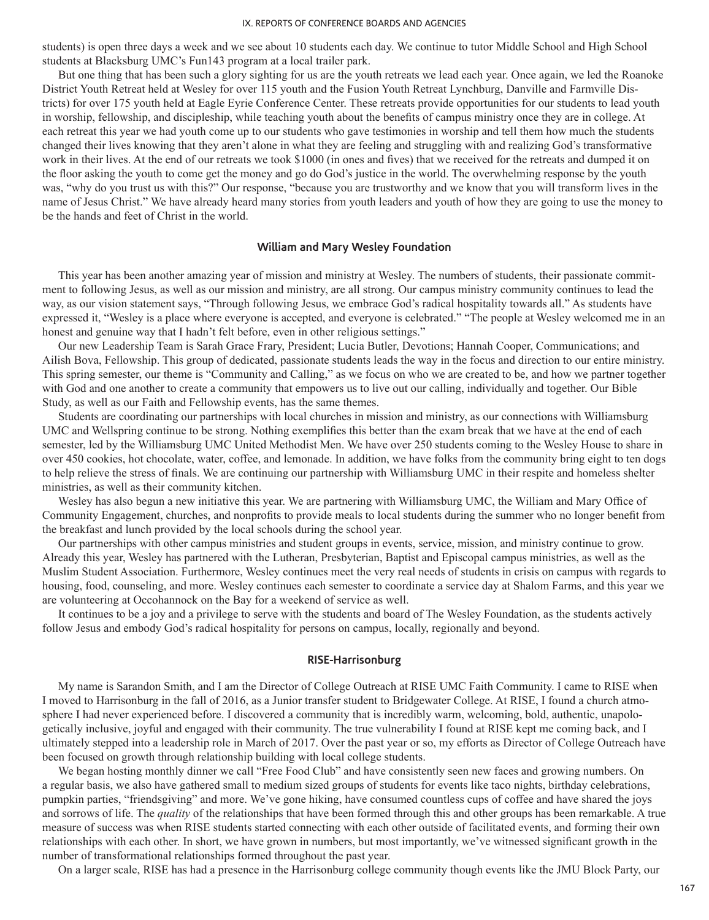students) is open three days a week and we see about 10 students each day. We continue to tutor Middle School and High School students at Blacksburg UMC's Fun143 program at a local trailer park.

But one thing that has been such a glory sighting for us are the youth retreats we lead each year. Once again, we led the Roanoke District Youth Retreat held at Wesley for over 115 youth and the Fusion Youth Retreat Lynchburg, Danville and Farmville Districts) for over 175 youth held at Eagle Eyrie Conference Center. These retreats provide opportunities for our students to lead youth in worship, fellowship, and discipleship, while teaching youth about the benefits of campus ministry once they are in college. At each retreat this year we had youth come up to our students who gave testimonies in worship and tell them how much the students changed their lives knowing that they aren't alone in what they are feeling and struggling with and realizing God's transformative work in their lives. At the end of our retreats we took \$1000 (in ones and fives) that we received for the retreats and dumped it on the floor asking the youth to come get the money and go do God's justice in the world. The overwhelming response by the youth was, "why do you trust us with this?" Our response, "because you are trustworthy and we know that you will transform lives in the name of Jesus Christ." We have already heard many stories from youth leaders and youth of how they are going to use the money to be the hands and feet of Christ in the world.

### **William and Mary Wesley Foundation**

This year has been another amazing year of mission and ministry at Wesley. The numbers of students, their passionate commitment to following Jesus, as well as our mission and ministry, are all strong. Our campus ministry community continues to lead the way, as our vision statement says, "Through following Jesus, we embrace God's radical hospitality towards all." As students have expressed it, "Wesley is a place where everyone is accepted, and everyone is celebrated." "The people at Wesley welcomed me in an honest and genuine way that I hadn't felt before, even in other religious settings."

Our new Leadership Team is Sarah Grace Frary, President; Lucia Butler, Devotions; Hannah Cooper, Communications; and Ailish Bova, Fellowship. This group of dedicated, passionate students leads the way in the focus and direction to our entire ministry. This spring semester, our theme is "Community and Calling," as we focus on who we are created to be, and how we partner together with God and one another to create a community that empowers us to live out our calling, individually and together. Our Bible Study, as well as our Faith and Fellowship events, has the same themes.

Students are coordinating our partnerships with local churches in mission and ministry, as our connections with Williamsburg UMC and Wellspring continue to be strong. Nothing exemplifies this better than the exam break that we have at the end of each semester, led by the Williamsburg UMC United Methodist Men. We have over 250 students coming to the Wesley House to share in over 450 cookies, hot chocolate, water, coffee, and lemonade. In addition, we have folks from the community bring eight to ten dogs to help relieve the stress of finals. We are continuing our partnership with Williamsburg UMC in their respite and homeless shelter ministries, as well as their community kitchen.

Wesley has also begun a new initiative this year. We are partnering with Williamsburg UMC, the William and Mary Office of Community Engagement, churches, and nonprofits to provide meals to local students during the summer who no longer benefit from the breakfast and lunch provided by the local schools during the school year.

Our partnerships with other campus ministries and student groups in events, service, mission, and ministry continue to grow. Already this year, Wesley has partnered with the Lutheran, Presbyterian, Baptist and Episcopal campus ministries, as well as the Muslim Student Association. Furthermore, Wesley continues meet the very real needs of students in crisis on campus with regards to housing, food, counseling, and more. Wesley continues each semester to coordinate a service day at Shalom Farms, and this year we are volunteering at Occohannock on the Bay for a weekend of service as well.

It continues to be a joy and a privilege to serve with the students and board of The Wesley Foundation, as the students actively follow Jesus and embody God's radical hospitality for persons on campus, locally, regionally and beyond.

## **RISE-Harrisonburg**

My name is Sarandon Smith, and I am the Director of College Outreach at RISE UMC Faith Community. I came to RISE when I moved to Harrisonburg in the fall of 2016, as a Junior transfer student to Bridgewater College. At RISE, I found a church atmosphere I had never experienced before. I discovered a community that is incredibly warm, welcoming, bold, authentic, unapologetically inclusive, joyful and engaged with their community. The true vulnerability I found at RISE kept me coming back, and I ultimately stepped into a leadership role in March of 2017. Over the past year or so, my efforts as Director of College Outreach have been focused on growth through relationship building with local college students.

We began hosting monthly dinner we call "Free Food Club" and have consistently seen new faces and growing numbers. On a regular basis, we also have gathered small to medium sized groups of students for events like taco nights, birthday celebrations, pumpkin parties, "friendsgiving" and more. We've gone hiking, have consumed countless cups of coffee and have shared the joys and sorrows of life. The *quality* of the relationships that have been formed through this and other groups has been remarkable. A true measure of success was when RISE students started connecting with each other outside of facilitated events, and forming their own relationships with each other. In short, we have grown in numbers, but most importantly, we've witnessed significant growth in the number of transformational relationships formed throughout the past year.

On a larger scale, RISE has had a presence in the Harrisonburg college community though events like the JMU Block Party, our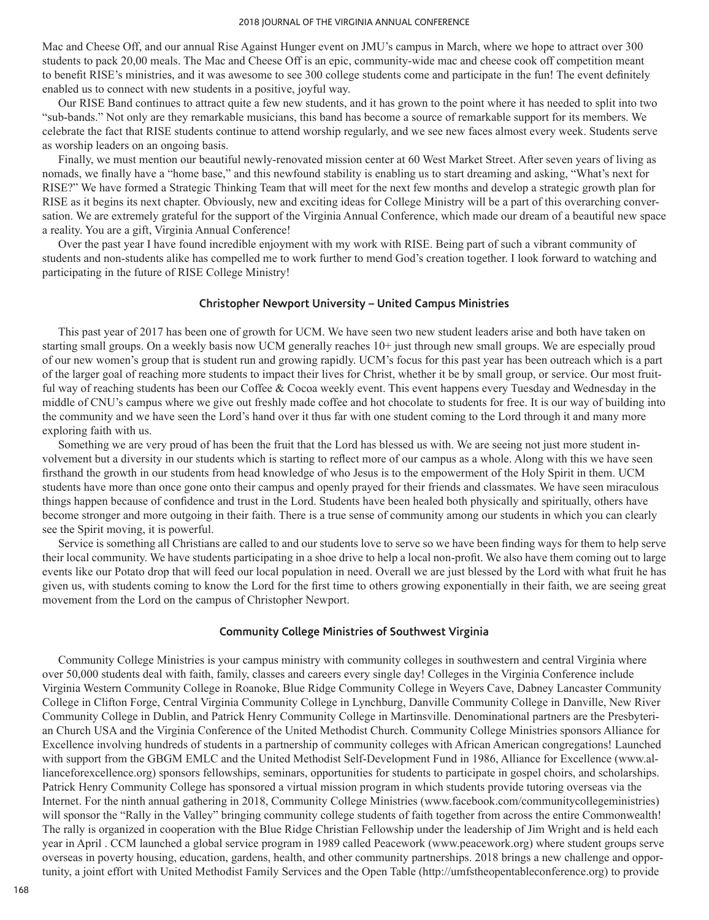Mac and Cheese Off, and our annual Rise Against Hunger event on JMU's campus in March, where we hope to attract over 300 students to pack 20,00 meals. The Mac and Cheese Off is an epic, community-wide mac and cheese cook off competition meant to benefit RISE's ministries, and it was awesome to see 300 college students come and participate in the fun! The event definitely enabled us to connect with new students in a positive, joyful way.

Our RISE Band continues to attract quite a few new students, and it has grown to the point where it has needed to split into two "sub-bands." Not only are they remarkable musicians, this band has become a source of remarkable support for its members. We celebrate the fact that RISE students continue to attend worship regularly, and we see new faces almost every week. Students serve as worship leaders on an ongoing basis.

Finally, we must mention our beautiful newly-renovated mission center at 60 West Market Street. After seven years of living as nomads, we finally have a "home base," and this newfound stability is enabling us to start dreaming and asking, "What's next for RISE?" We have formed a Strategic Thinking Team that will meet for the next few months and develop a strategic growth plan for RISE as it begins its next chapter. Obviously, new and exciting ideas for College Ministry will be a part of this overarching conversation. We are extremely grateful for the support of the Virginia Annual Conference, which made our dream of a beautiful new space a reality. You are a gift, Virginia Annual Conference!

Over the past year I have found incredible enjoyment with my work with RISE. Being part of such a vibrant community of students and non-students alike has compelled me to work further to mend God's creation together. I look forward to watching and participating in the future of RISE College Ministry!

#### **Christopher Newport University – United Campus Ministries**

This past year of 2017 has been one of growth for UCM. We have seen two new student leaders arise and both have taken on starting small groups. On a weekly basis now UCM generally reaches 10+ just through new small groups. We are especially proud of our new women's group that is student run and growing rapidly. UCM's focus for this past year has been outreach which is a part of the larger goal of reaching more students to impact their lives for Christ, whether it be by small group, or service. Our most fruitful way of reaching students has been our Coffee & Cocoa weekly event. This event happens every Tuesday and Wednesday in the middle of CNU's campus where we give out freshly made coffee and hot chocolate to students for free. It is our way of building into the community and we have seen the Lord's hand over it thus far with one student coming to the Lord through it and many more exploring faith with us.

Something we are very proud of has been the fruit that the Lord has blessed us with. We are seeing not just more student involvement but a diversity in our students which is starting to reflect more of our campus as a whole. Along with this we have seen firsthand the growth in our students from head knowledge of who Jesus is to the empowerment of the Holy Spirit in them. UCM students have more than once gone onto their campus and openly prayed for their friends and classmates. We have seen miraculous things happen because of confidence and trust in the Lord. Students have been healed both physically and spiritually, others have become stronger and more outgoing in their faith. There is a true sense of community among our students in which you can clearly see the Spirit moving, it is powerful.

Service is something all Christians are called to and our students love to serve so we have been finding ways for them to help serve their local community. We have students participating in a shoe drive to help a local non-profit. We also have them coming out to large events like our Potato drop that will feed our local population in need. Overall we are just blessed by the Lord with what fruit he has given us, with students coming to know the Lord for the first time to others growing exponentially in their faith, we are seeing great movement from the Lord on the campus of Christopher Newport.

## **Community College Ministries of Southwest Virginia**

Community College Ministries is your campus ministry with community colleges in southwestern and central Virginia where over 50,000 students deal with faith, family, classes and careers every single day! Colleges in the Virginia Conference include Virginia Western Community College in Roanoke, Blue Ridge Community College in Weyers Cave, Dabney Lancaster Community College in Clifton Forge, Central Virginia Community College in Lynchburg, Danville Community College in Danville, New River Community College in Dublin, and Patrick Henry Community College in Martinsville. Denominational partners are the Presbyterian Church USA and the Virginia Conference of the United Methodist Church. Community College Ministries sponsors Alliance for Excellence involving hundreds of students in a partnership of community colleges with African American congregations! Launched with support from the GBGM EMLC and the United Methodist Self-Development Fund in 1986, Alliance for Excellence (www.allianceforexcellence.org) sponsors fellowships, seminars, opportunities for students to participate in gospel choirs, and scholarships. Patrick Henry Community College has sponsored a virtual mission program in which students provide tutoring overseas via the Internet. For the ninth annual gathering in 2018, Community College Ministries (www.facebook.com/communitycollegeministries) will sponsor the "Rally in the Valley" bringing community college students of faith together from across the entire Commonwealth! The rally is organized in cooperation with the Blue Ridge Christian Fellowship under the leadership of Jim Wright and is held each year in April . CCM launched a global service program in 1989 called Peacework (www.peacework.org) where student groups serve overseas in poverty housing, education, gardens, health, and other community partnerships. 2018 brings a new challenge and opportunity, a joint effort with United Methodist Family Services and the Open Table (http://umfstheopentableconference.org) to provide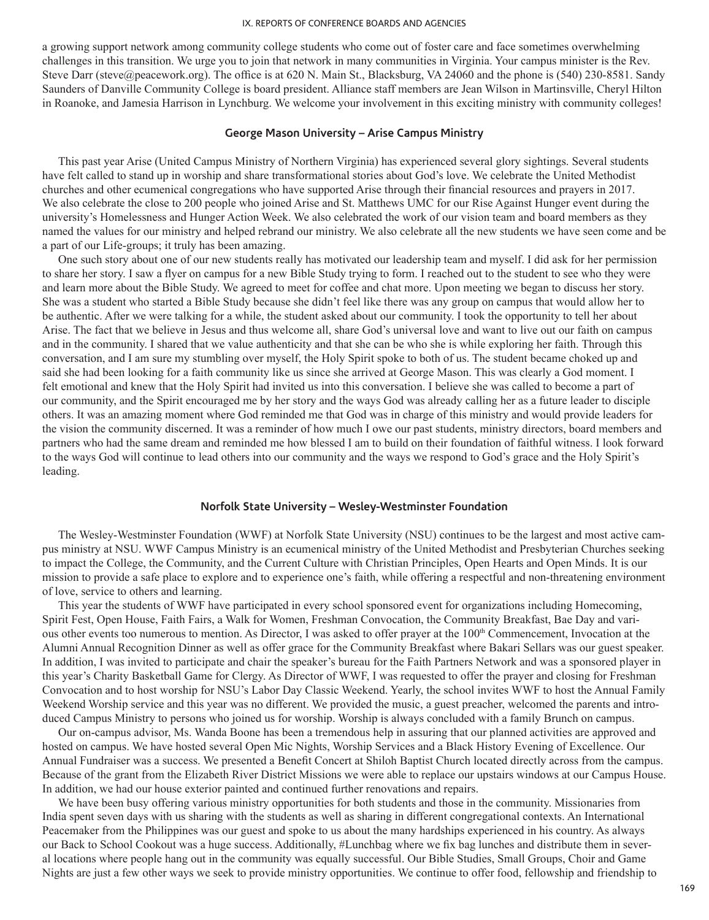a growing support network among community college students who come out of foster care and face sometimes overwhelming challenges in this transition. We urge you to join that network in many communities in Virginia. Your campus minister is the Rev. Steve Darr (steve@peacework.org). The office is at 620 N. Main St., Blacksburg, VA 24060 and the phone is (540) 230-8581. Sandy Saunders of Danville Community College is board president. Alliance staff members are Jean Wilson in Martinsville, Cheryl Hilton in Roanoke, and Jamesia Harrison in Lynchburg. We welcome your involvement in this exciting ministry with community colleges!

### **George Mason University – Arise Campus Ministry**

This past year Arise (United Campus Ministry of Northern Virginia) has experienced several glory sightings. Several students have felt called to stand up in worship and share transformational stories about God's love. We celebrate the United Methodist churches and other ecumenical congregations who have supported Arise through their financial resources and prayers in 2017. We also celebrate the close to 200 people who joined Arise and St. Matthews UMC for our Rise Against Hunger event during the university's Homelessness and Hunger Action Week. We also celebrated the work of our vision team and board members as they named the values for our ministry and helped rebrand our ministry. We also celebrate all the new students we have seen come and be a part of our Life-groups; it truly has been amazing.

One such story about one of our new students really has motivated our leadership team and myself. I did ask for her permission to share her story. I saw a flyer on campus for a new Bible Study trying to form. I reached out to the student to see who they were and learn more about the Bible Study. We agreed to meet for coffee and chat more. Upon meeting we began to discuss her story. She was a student who started a Bible Study because she didn't feel like there was any group on campus that would allow her to be authentic. After we were talking for a while, the student asked about our community. I took the opportunity to tell her about Arise. The fact that we believe in Jesus and thus welcome all, share God's universal love and want to live out our faith on campus and in the community. I shared that we value authenticity and that she can be who she is while exploring her faith. Through this conversation, and I am sure my stumbling over myself, the Holy Spirit spoke to both of us. The student became choked up and said she had been looking for a faith community like us since she arrived at George Mason. This was clearly a God moment. I felt emotional and knew that the Holy Spirit had invited us into this conversation. I believe she was called to become a part of our community, and the Spirit encouraged me by her story and the ways God was already calling her as a future leader to disciple others. It was an amazing moment where God reminded me that God was in charge of this ministry and would provide leaders for the vision the community discerned. It was a reminder of how much I owe our past students, ministry directors, board members and partners who had the same dream and reminded me how blessed I am to build on their foundation of faithful witness. I look forward to the ways God will continue to lead others into our community and the ways we respond to God's grace and the Holy Spirit's leading.

### **Norfolk State University – Wesley-Westminster Foundation**

The Wesley-Westminster Foundation (WWF) at Norfolk State University (NSU) continues to be the largest and most active campus ministry at NSU. WWF Campus Ministry is an ecumenical ministry of the United Methodist and Presbyterian Churches seeking to impact the College, the Community, and the Current Culture with Christian Principles, Open Hearts and Open Minds. It is our mission to provide a safe place to explore and to experience one's faith, while offering a respectful and non-threatening environment of love, service to others and learning.

This year the students of WWF have participated in every school sponsored event for organizations including Homecoming, Spirit Fest, Open House, Faith Fairs, a Walk for Women, Freshman Convocation, the Community Breakfast, Bae Day and various other events too numerous to mention. As Director, I was asked to offer prayer at the 100<sup>th</sup> Commencement, Invocation at the Alumni Annual Recognition Dinner as well as offer grace for the Community Breakfast where Bakari Sellars was our guest speaker. In addition, I was invited to participate and chair the speaker's bureau for the Faith Partners Network and was a sponsored player in this year's Charity Basketball Game for Clergy. As Director of WWF, I was requested to offer the prayer and closing for Freshman Convocation and to host worship for NSU's Labor Day Classic Weekend. Yearly, the school invites WWF to host the Annual Family Weekend Worship service and this year was no different. We provided the music, a guest preacher, welcomed the parents and introduced Campus Ministry to persons who joined us for worship. Worship is always concluded with a family Brunch on campus.

Our on-campus advisor, Ms. Wanda Boone has been a tremendous help in assuring that our planned activities are approved and hosted on campus. We have hosted several Open Mic Nights, Worship Services and a Black History Evening of Excellence. Our Annual Fundraiser was a success. We presented a Benefit Concert at Shiloh Baptist Church located directly across from the campus. Because of the grant from the Elizabeth River District Missions we were able to replace our upstairs windows at our Campus House. In addition, we had our house exterior painted and continued further renovations and repairs.

We have been busy offering various ministry opportunities for both students and those in the community. Missionaries from India spent seven days with us sharing with the students as well as sharing in different congregational contexts. An International Peacemaker from the Philippines was our guest and spoke to us about the many hardships experienced in his country. As always our Back to School Cookout was a huge success. Additionally, #Lunchbag where we fix bag lunches and distribute them in several locations where people hang out in the community was equally successful. Our Bible Studies, Small Groups, Choir and Game Nights are just a few other ways we seek to provide ministry opportunities. We continue to offer food, fellowship and friendship to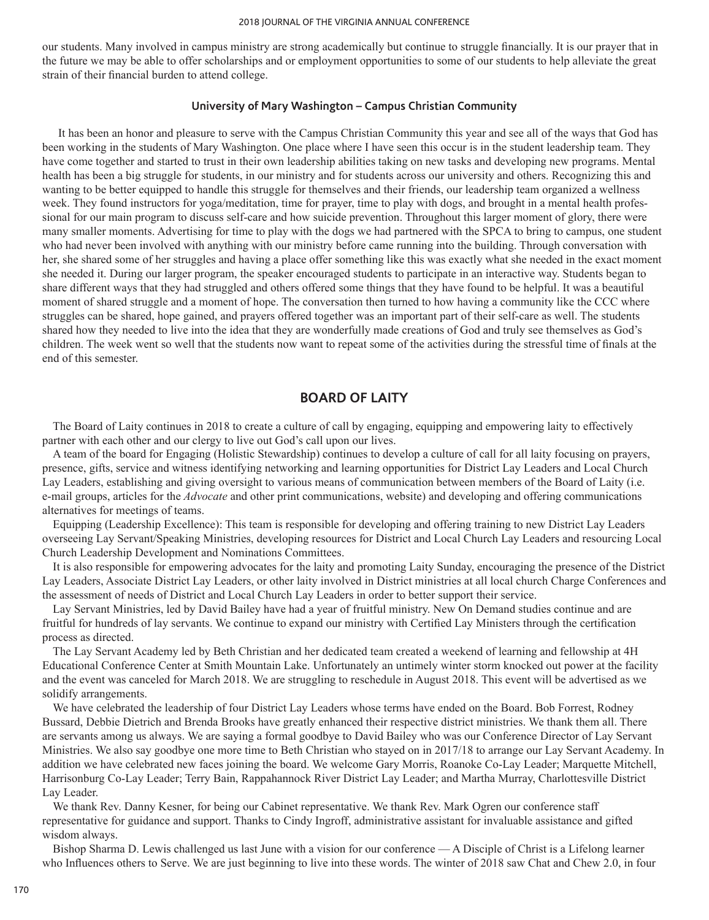our students. Many involved in campus ministry are strong academically but continue to struggle financially. It is our prayer that in the future we may be able to offer scholarships and or employment opportunities to some of our students to help alleviate the great strain of their financial burden to attend college.

### **University of Mary Washington – Campus Christian Community**

It has been an honor and pleasure to serve with the Campus Christian Community this year and see all of the ways that God has been working in the students of Mary Washington. One place where I have seen this occur is in the student leadership team. They have come together and started to trust in their own leadership abilities taking on new tasks and developing new programs. Mental health has been a big struggle for students, in our ministry and for students across our university and others. Recognizing this and wanting to be better equipped to handle this struggle for themselves and their friends, our leadership team organized a wellness week. They found instructors for yoga/meditation, time for prayer, time to play with dogs, and brought in a mental health professional for our main program to discuss self-care and how suicide prevention. Throughout this larger moment of glory, there were many smaller moments. Advertising for time to play with the dogs we had partnered with the SPCA to bring to campus, one student who had never been involved with anything with our ministry before came running into the building. Through conversation with her, she shared some of her struggles and having a place offer something like this was exactly what she needed in the exact moment she needed it. During our larger program, the speaker encouraged students to participate in an interactive way. Students began to share different ways that they had struggled and others offered some things that they have found to be helpful. It was a beautiful moment of shared struggle and a moment of hope. The conversation then turned to how having a community like the CCC where struggles can be shared, hope gained, and prayers offered together was an important part of their self-care as well. The students shared how they needed to live into the idea that they are wonderfully made creations of God and truly see themselves as God's children. The week went so well that the students now want to repeat some of the activities during the stressful time of finals at the end of this semester.

# **BOARD OF LAITY**

The Board of Laity continues in 2018 to create a culture of call by engaging, equipping and empowering laity to effectively partner with each other and our clergy to live out God's call upon our lives.

A team of the board for Engaging (Holistic Stewardship) continues to develop a culture of call for all laity focusing on prayers, presence, gifts, service and witness identifying networking and learning opportunities for District Lay Leaders and Local Church Lay Leaders, establishing and giving oversight to various means of communication between members of the Board of Laity (i.e. e-mail groups, articles for the *Advocate* and other print communications, website) and developing and offering communications alternatives for meetings of teams.

Equipping (Leadership Excellence): This team is responsible for developing and offering training to new District Lay Leaders overseeing Lay Servant/Speaking Ministries, developing resources for District and Local Church Lay Leaders and resourcing Local Church Leadership Development and Nominations Committees.

It is also responsible for empowering advocates for the laity and promoting Laity Sunday, encouraging the presence of the District Lay Leaders, Associate District Lay Leaders, or other laity involved in District ministries at all local church Charge Conferences and the assessment of needs of District and Local Church Lay Leaders in order to better support their service.

Lay Servant Ministries, led by David Bailey have had a year of fruitful ministry. New On Demand studies continue and are fruitful for hundreds of lay servants. We continue to expand our ministry with Certified Lay Ministers through the certification process as directed.

The Lay Servant Academy led by Beth Christian and her dedicated team created a weekend of learning and fellowship at 4H Educational Conference Center at Smith Mountain Lake. Unfortunately an untimely winter storm knocked out power at the facility and the event was canceled for March 2018. We are struggling to reschedule in August 2018. This event will be advertised as we solidify arrangements.

We have celebrated the leadership of four District Lay Leaders whose terms have ended on the Board. Bob Forrest, Rodney Bussard, Debbie Dietrich and Brenda Brooks have greatly enhanced their respective district ministries. We thank them all. There are servants among us always. We are saying a formal goodbye to David Bailey who was our Conference Director of Lay Servant Ministries. We also say goodbye one more time to Beth Christian who stayed on in 2017/18 to arrange our Lay Servant Academy. In addition we have celebrated new faces joining the board. We welcome Gary Morris, Roanoke Co-Lay Leader; Marquette Mitchell, Harrisonburg Co-Lay Leader; Terry Bain, Rappahannock River District Lay Leader; and Martha Murray, Charlottesville District Lay Leader.

We thank Rev. Danny Kesner, for being our Cabinet representative. We thank Rev. Mark Ogren our conference staff representative for guidance and support. Thanks to Cindy Ingroff, administrative assistant for invaluable assistance and gifted wisdom always.

Bishop Sharma D. Lewis challenged us last June with a vision for our conference — A Disciple of Christ is a Lifelong learner who Influences others to Serve. We are just beginning to live into these words. The winter of 2018 saw Chat and Chew 2.0, in four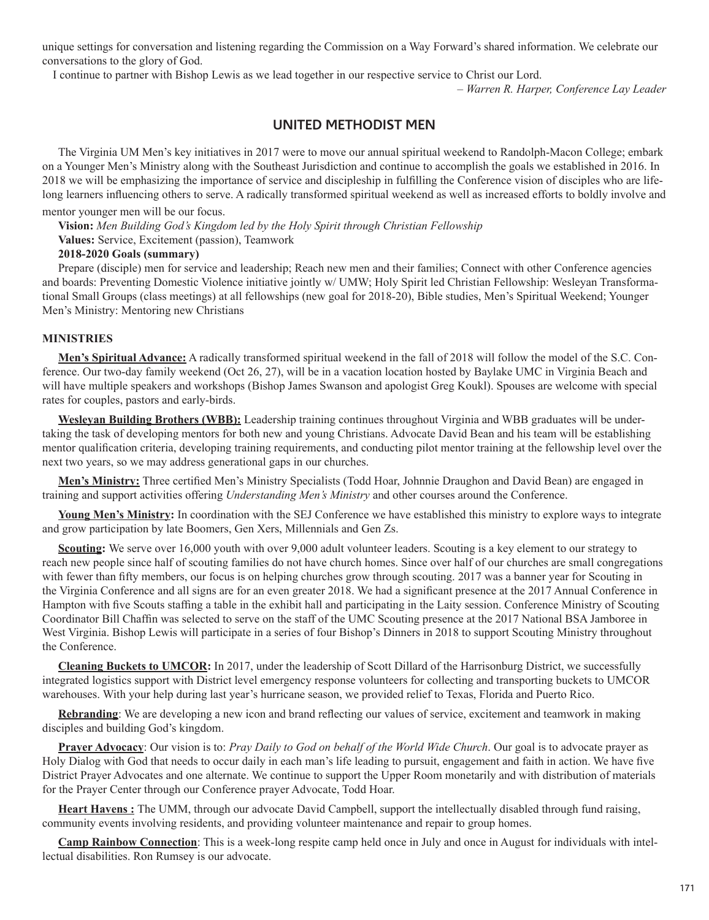unique settings for conversation and listening regarding the Commission on a Way Forward's shared information. We celebrate our conversations to the glory of God.

I continue to partner with Bishop Lewis as we lead together in our respective service to Christ our Lord.

*– Warren R. Harper, Conference Lay Leader*

# **UNITED METHODIST MEN**

The Virginia UM Men's key initiatives in 2017 were to move our annual spiritual weekend to Randolph-Macon College; embark on a Younger Men's Ministry along with the Southeast Jurisdiction and continue to accomplish the goals we established in 2016. In 2018 we will be emphasizing the importance of service and discipleship in fulfilling the Conference vision of disciples who are lifelong learners influencing others to serve. A radically transformed spiritual weekend as well as increased efforts to boldly involve and

# mentor younger men will be our focus.

**Vision:** *Men Building God's Kingdom led by the Holy Spirit through Christian Fellowship*

**Values:** Service, Excitement (passion), Teamwork

# **2018-2020 Goals (summary)**

Prepare (disciple) men for service and leadership; Reach new men and their families; Connect with other Conference agencies and boards: Preventing Domestic Violence initiative jointly w/ UMW; Holy Spirit led Christian Fellowship: Wesleyan Transformational Small Groups (class meetings) at all fellowships (new goal for 2018-20), Bible studies, Men's Spiritual Weekend; Younger Men's Ministry: Mentoring new Christians

## **MINISTRIES**

**Men's Spiritual Advance:** A radically transformed spiritual weekend in the fall of 2018 will follow the model of the S.C. Conference. Our two-day family weekend (Oct 26, 27), will be in a vacation location hosted by Baylake UMC in Virginia Beach and will have multiple speakers and workshops (Bishop James Swanson and apologist Greg Koukl). Spouses are welcome with special rates for couples, pastors and early-birds.

**Wesleyan Building Brothers (WBB):** Leadership training continues throughout Virginia and WBB graduates will be undertaking the task of developing mentors for both new and young Christians. Advocate David Bean and his team will be establishing mentor qualification criteria, developing training requirements, and conducting pilot mentor training at the fellowship level over the next two years, so we may address generational gaps in our churches.

**Men's Ministry:** Three certified Men's Ministry Specialists (Todd Hoar, Johnnie Draughon and David Bean) are engaged in training and support activities offering *Understanding Men's Ministry* and other courses around the Conference.

Young Men's Ministry: In coordination with the SEJ Conference we have established this ministry to explore ways to integrate and grow participation by late Boomers, Gen Xers, Millennials and Gen Zs.

**Scouting:** We serve over 16,000 youth with over 9,000 adult volunteer leaders. Scouting is a key element to our strategy to reach new people since half of scouting families do not have church homes. Since over half of our churches are small congregations with fewer than fifty members, our focus is on helping churches grow through scouting. 2017 was a banner year for Scouting in the Virginia Conference and all signs are for an even greater 2018. We had a significant presence at the 2017 Annual Conference in Hampton with five Scouts staffing a table in the exhibit hall and participating in the Laity session. Conference Ministry of Scouting Coordinator Bill Chaffin was selected to serve on the staff of the UMC Scouting presence at the 2017 National BSA Jamboree in West Virginia. Bishop Lewis will participate in a series of four Bishop's Dinners in 2018 to support Scouting Ministry throughout the Conference.

**Cleaning Buckets to UMCOR:** In 2017, under the leadership of Scott Dillard of the Harrisonburg District, we successfully integrated logistics support with District level emergency response volunteers for collecting and transporting buckets to UMCOR warehouses. With your help during last year's hurricane season, we provided relief to Texas, Florida and Puerto Rico.

**Rebranding**: We are developing a new icon and brand reflecting our values of service, excitement and teamwork in making disciples and building God's kingdom.

**Prayer Advocacy**: Our vision is to: *Pray Daily to God on behalf of the World Wide Church*. Our goal is to advocate prayer as Holy Dialog with God that needs to occur daily in each man's life leading to pursuit, engagement and faith in action. We have five District Prayer Advocates and one alternate. We continue to support the Upper Room monetarily and with distribution of materials for the Prayer Center through our Conference prayer Advocate, Todd Hoar.

**Heart Havens :** The UMM, through our advocate David Campbell, support the intellectually disabled through fund raising, community events involving residents, and providing volunteer maintenance and repair to group homes.

**Camp Rainbow Connection**: This is a week-long respite camp held once in July and once in August for individuals with intellectual disabilities. Ron Rumsey is our advocate.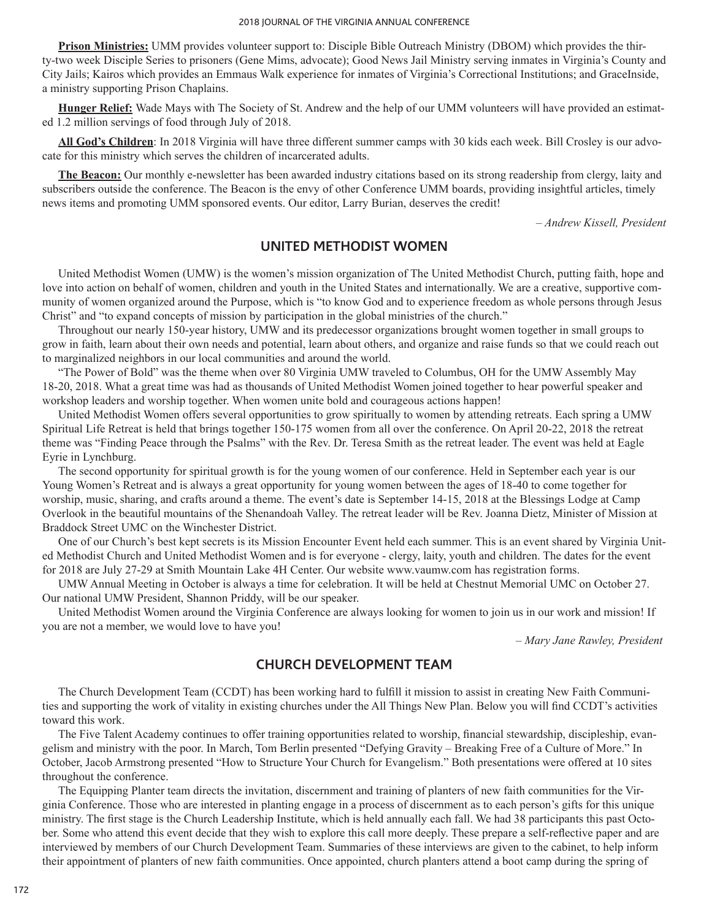**Prison Ministries:** UMM provides volunteer support to: Disciple Bible Outreach Ministry (DBOM) which provides the thirty-two week Disciple Series to prisoners (Gene Mims, advocate); Good News Jail Ministry serving inmates in Virginia's County and City Jails; Kairos which provides an Emmaus Walk experience for inmates of Virginia's Correctional Institutions; and GraceInside, a ministry supporting Prison Chaplains.

**Hunger Relief:** Wade Mays with The Society of St. Andrew and the help of our UMM volunteers will have provided an estimated 1.2 million servings of food through July of 2018.

**All God's Children**: In 2018 Virginia will have three different summer camps with 30 kids each week. Bill Crosley is our advocate for this ministry which serves the children of incarcerated adults.

**The Beacon:** Our monthly e-newsletter has been awarded industry citations based on its strong readership from clergy, laity and subscribers outside the conference. The Beacon is the envy of other Conference UMM boards, providing insightful articles, timely news items and promoting UMM sponsored events. Our editor, Larry Burian, deserves the credit!

*– Andrew Kissell, President*

# **UNITED METHODIST WOMEN**

United Methodist Women (UMW) is the women's mission organization of The United Methodist Church, putting faith, hope and love into action on behalf of women, children and youth in the United States and internationally. We are a creative, supportive community of women organized around the Purpose, which is "to know God and to experience freedom as whole persons through Jesus Christ" and "to expand concepts of mission by participation in the global ministries of the church."

Throughout our nearly 150-year history, UMW and its predecessor organizations brought women together in small groups to grow in faith, learn about their own needs and potential, learn about others, and organize and raise funds so that we could reach out to marginalized neighbors in our local communities and around the world.

"The Power of Bold" was the theme when over 80 Virginia UMW traveled to Columbus, OH for the UMW Assembly May 18-20, 2018. What a great time was had as thousands of United Methodist Women joined together to hear powerful speaker and workshop leaders and worship together. When women unite bold and courageous actions happen!

United Methodist Women offers several opportunities to grow spiritually to women by attending retreats. Each spring a UMW Spiritual Life Retreat is held that brings together 150-175 women from all over the conference. On April 20-22, 2018 the retreat theme was "Finding Peace through the Psalms" with the Rev. Dr. Teresa Smith as the retreat leader. The event was held at Eagle Eyrie in Lynchburg.

The second opportunity for spiritual growth is for the young women of our conference. Held in September each year is our Young Women's Retreat and is always a great opportunity for young women between the ages of 18-40 to come together for worship, music, sharing, and crafts around a theme. The event's date is September 14-15, 2018 at the Blessings Lodge at Camp Overlook in the beautiful mountains of the Shenandoah Valley. The retreat leader will be Rev. Joanna Dietz, Minister of Mission at Braddock Street UMC on the Winchester District.

One of our Church's best kept secrets is its Mission Encounter Event held each summer. This is an event shared by Virginia United Methodist Church and United Methodist Women and is for everyone - clergy, laity, youth and children. The dates for the event for 2018 are July 27-29 at Smith Mountain Lake 4H Center. Our website www.vaumw.com has registration forms.

UMW Annual Meeting in October is always a time for celebration. It will be held at Chestnut Memorial UMC on October 27. Our national UMW President, Shannon Priddy, will be our speaker.

United Methodist Women around the Virginia Conference are always looking for women to join us in our work and mission! If you are not a member, we would love to have you!

*– Mary Jane Rawley, President*

# **CHURCH DEVELOPMENT TEAM**

The Church Development Team (CCDT) has been working hard to fulfill it mission to assist in creating New Faith Communities and supporting the work of vitality in existing churches under the All Things New Plan. Below you will find CCDT's activities toward this work.

The Five Talent Academy continues to offer training opportunities related to worship, financial stewardship, discipleship, evangelism and ministry with the poor. In March, Tom Berlin presented "Defying Gravity – Breaking Free of a Culture of More." In October, Jacob Armstrong presented "How to Structure Your Church for Evangelism." Both presentations were offered at 10 sites throughout the conference.

The Equipping Planter team directs the invitation, discernment and training of planters of new faith communities for the Virginia Conference. Those who are interested in planting engage in a process of discernment as to each person's gifts for this unique ministry. The first stage is the Church Leadership Institute, which is held annually each fall. We had 38 participants this past October. Some who attend this event decide that they wish to explore this call more deeply. These prepare a self-reflective paper and are interviewed by members of our Church Development Team. Summaries of these interviews are given to the cabinet, to help inform their appointment of planters of new faith communities. Once appointed, church planters attend a boot camp during the spring of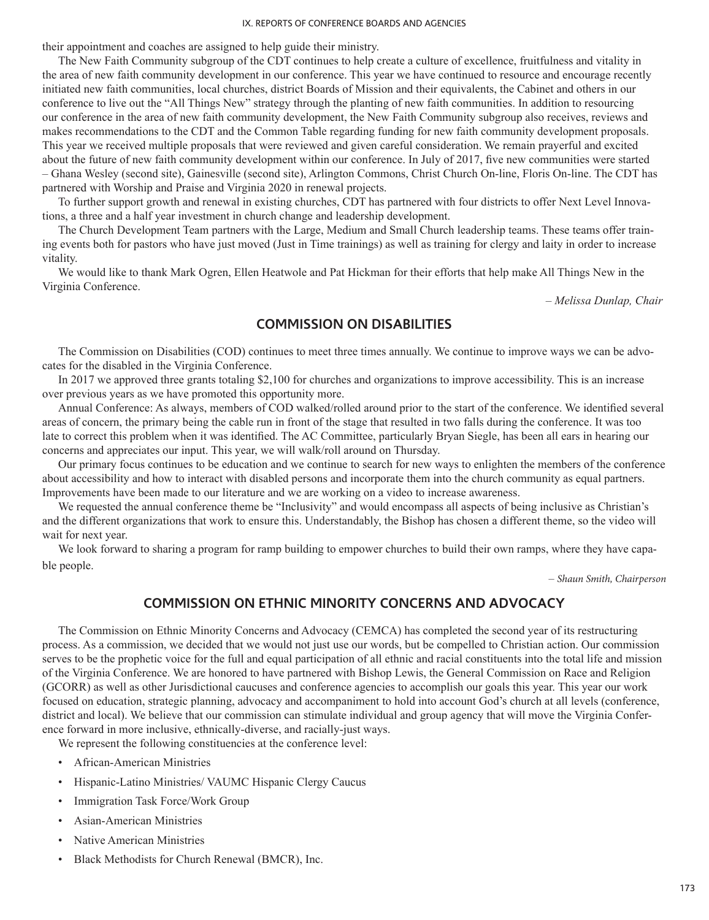their appointment and coaches are assigned to help guide their ministry.

The New Faith Community subgroup of the CDT continues to help create a culture of excellence, fruitfulness and vitality in the area of new faith community development in our conference. This year we have continued to resource and encourage recently initiated new faith communities, local churches, district Boards of Mission and their equivalents, the Cabinet and others in our conference to live out the "All Things New" strategy through the planting of new faith communities. In addition to resourcing our conference in the area of new faith community development, the New Faith Community subgroup also receives, reviews and makes recommendations to the CDT and the Common Table regarding funding for new faith community development proposals. This year we received multiple proposals that were reviewed and given careful consideration. We remain prayerful and excited about the future of new faith community development within our conference. In July of 2017, five new communities were started – Ghana Wesley (second site), Gainesville (second site), Arlington Commons, Christ Church On-line, Floris On-line. The CDT has partnered with Worship and Praise and Virginia 2020 in renewal projects.

To further support growth and renewal in existing churches, CDT has partnered with four districts to offer Next Level Innovations, a three and a half year investment in church change and leadership development.

The Church Development Team partners with the Large, Medium and Small Church leadership teams. These teams offer training events both for pastors who have just moved (Just in Time trainings) as well as training for clergy and laity in order to increase vitality.

We would like to thank Mark Ogren, Ellen Heatwole and Pat Hickman for their efforts that help make All Things New in the Virginia Conference.

*– Melissa Dunlap, Chair*

# **COMMISSION ON DISABILITIES**

The Commission on Disabilities (COD) continues to meet three times annually. We continue to improve ways we can be advocates for the disabled in the Virginia Conference.

In 2017 we approved three grants totaling \$2,100 for churches and organizations to improve accessibility. This is an increase over previous years as we have promoted this opportunity more.

Annual Conference: As always, members of COD walked/rolled around prior to the start of the conference. We identified several areas of concern, the primary being the cable run in front of the stage that resulted in two falls during the conference. It was too late to correct this problem when it was identified. The AC Committee, particularly Bryan Siegle, has been all ears in hearing our concerns and appreciates our input. This year, we will walk/roll around on Thursday.

Our primary focus continues to be education and we continue to search for new ways to enlighten the members of the conference about accessibility and how to interact with disabled persons and incorporate them into the church community as equal partners. Improvements have been made to our literature and we are working on a video to increase awareness.

We requested the annual conference theme be "Inclusivity" and would encompass all aspects of being inclusive as Christian's and the different organizations that work to ensure this. Understandably, the Bishop has chosen a different theme, so the video will wait for next year.

We look forward to sharing a program for ramp building to empower churches to build their own ramps, where they have capable people.

– *Shaun Smith, Chairperson*

# **COMMISSION ON ETHNIC MINORITY CONCERNS AND ADVOCACY**

The Commission on Ethnic Minority Concerns and Advocacy (CEMCA) has completed the second year of its restructuring process. As a commission, we decided that we would not just use our words, but be compelled to Christian action. Our commission serves to be the prophetic voice for the full and equal participation of all ethnic and racial constituents into the total life and mission of the Virginia Conference. We are honored to have partnered with Bishop Lewis, the General Commission on Race and Religion (GCORR) as well as other Jurisdictional caucuses and conference agencies to accomplish our goals this year. This year our work focused on education, strategic planning, advocacy and accompaniment to hold into account God's church at all levels (conference, district and local). We believe that our commission can stimulate individual and group agency that will move the Virginia Conference forward in more inclusive, ethnically-diverse, and racially-just ways.

We represent the following constituencies at the conference level:

- African-American Ministries
- Hispanic-Latino Ministries/ VAUMC Hispanic Clergy Caucus
- Immigration Task Force/Work Group
- Asian-American Ministries
- Native American Ministries
- Black Methodists for Church Renewal (BMCR), Inc.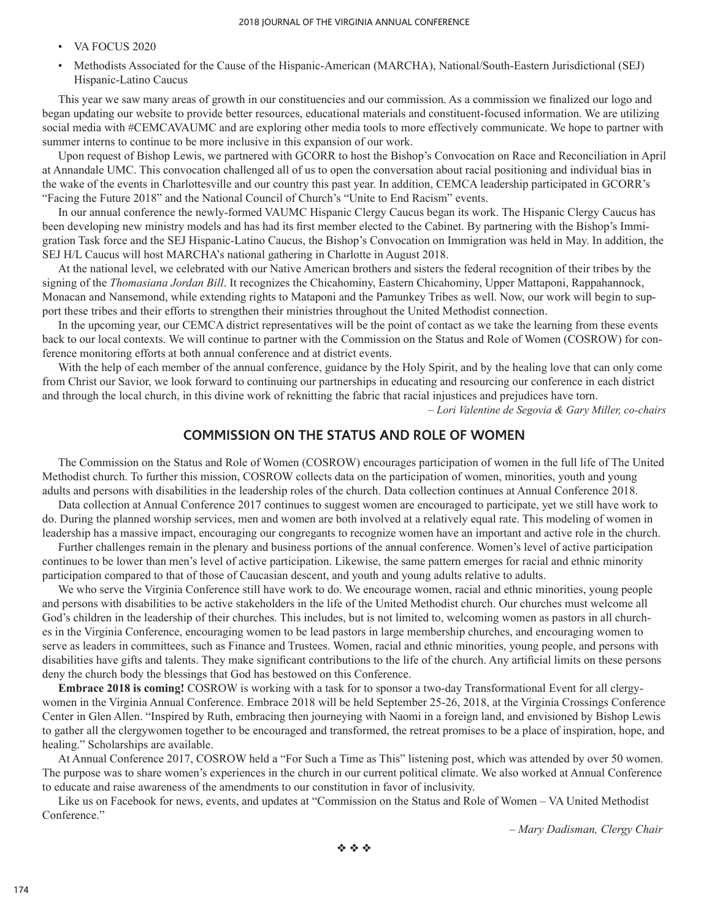- VA FOCUS 2020
- Methodists Associated for the Cause of the Hispanic-American (MARCHA), National/South-Eastern Jurisdictional (SEJ) Hispanic-Latino Caucus

This year we saw many areas of growth in our constituencies and our commission. As a commission we finalized our logo and began updating our website to provide better resources, educational materials and constituent-focused information. We are utilizing social media with #CEMCAVAUMC and are exploring other media tools to more effectively communicate. We hope to partner with summer interns to continue to be more inclusive in this expansion of our work.

Upon request of Bishop Lewis, we partnered with GCORR to host the Bishop's Convocation on Race and Reconciliation in April at Annandale UMC. This convocation challenged all of us to open the conversation about racial positioning and individual bias in the wake of the events in Charlottesville and our country this past year. In addition, CEMCA leadership participated in GCORR's "Facing the Future 2018" and the National Council of Church's "Unite to End Racism" events.

In our annual conference the newly-formed VAUMC Hispanic Clergy Caucus began its work. The Hispanic Clergy Caucus has been developing new ministry models and has had its first member elected to the Cabinet. By partnering with the Bishop's Immigration Task force and the SEJ Hispanic-Latino Caucus, the Bishop's Convocation on Immigration was held in May. In addition, the SEJ H/L Caucus will host MARCHA's national gathering in Charlotte in August 2018.

At the national level, we celebrated with our Native American brothers and sisters the federal recognition of their tribes by the signing of the *Thomasiana Jordan Bill*. It recognizes the Chicahominy, Eastern Chicahominy, Upper Mattaponi, Rappahannock, Monacan and Nansemond, while extending rights to Mataponi and the Pamunkey Tribes as well. Now, our work will begin to support these tribes and their efforts to strengthen their ministries throughout the United Methodist connection.

In the upcoming year, our CEMCA district representatives will be the point of contact as we take the learning from these events back to our local contexts. We will continue to partner with the Commission on the Status and Role of Women (COSROW) for conference monitoring efforts at both annual conference and at district events.

With the help of each member of the annual conference, guidance by the Holy Spirit, and by the healing love that can only come from Christ our Savior, we look forward to continuing our partnerships in educating and resourcing our conference in each district and through the local church, in this divine work of reknitting the fabric that racial injustices and prejudices have torn.

*– Lori Valentine de Segovia & Gary Miller, co-chairs*

# **COMMISSION ON THE STATUS AND ROLE OF WOMEN**

The Commission on the Status and Role of Women (COSROW) encourages participation of women in the full life of The United Methodist church. To further this mission, COSROW collects data on the participation of women, minorities, youth and young adults and persons with disabilities in the leadership roles of the church. Data collection continues at Annual Conference 2018.

Data collection at Annual Conference 2017 continues to suggest women are encouraged to participate, yet we still have work to do. During the planned worship services, men and women are both involved at a relatively equal rate. This modeling of women in leadership has a massive impact, encouraging our congregants to recognize women have an important and active role in the church.

Further challenges remain in the plenary and business portions of the annual conference. Women's level of active participation continues to be lower than men's level of active participation. Likewise, the same pattern emerges for racial and ethnic minority participation compared to that of those of Caucasian descent, and youth and young adults relative to adults.

We who serve the Virginia Conference still have work to do. We encourage women, racial and ethnic minorities, young people and persons with disabilities to be active stakeholders in the life of the United Methodist church. Our churches must welcome all God's children in the leadership of their churches. This includes, but is not limited to, welcoming women as pastors in all churches in the Virginia Conference, encouraging women to be lead pastors in large membership churches, and encouraging women to serve as leaders in committees, such as Finance and Trustees. Women, racial and ethnic minorities, young people, and persons with disabilities have gifts and talents. They make significant contributions to the life of the church. Any artificial limits on these persons deny the church body the blessings that God has bestowed on this Conference.

**Embrace 2018 is coming!** COSROW is working with a task for to sponsor a two-day Transformational Event for all clergywomen in the Virginia Annual Conference. Embrace 2018 will be held September 25-26, 2018, at the Virginia Crossings Conference Center in Glen Allen. "Inspired by Ruth, embracing then journeying with Naomi in a foreign land, and envisioned by Bishop Lewis to gather all the clergywomen together to be encouraged and transformed, the retreat promises to be a place of inspiration, hope, and healing." Scholarships are available.

At Annual Conference 2017, COSROW held a "For Such a Time as This" listening post, which was attended by over 50 women. The purpose was to share women's experiences in the church in our current political climate. We also worked at Annual Conference to educate and raise awareness of the amendments to our constitution in favor of inclusivity.

Like us on Facebook for news, events, and updates at "Commission on the Status and Role of Women – VA United Methodist Conference."

*– Mary Dadisman, Clergy Chair*

 $\phi \phi \phi$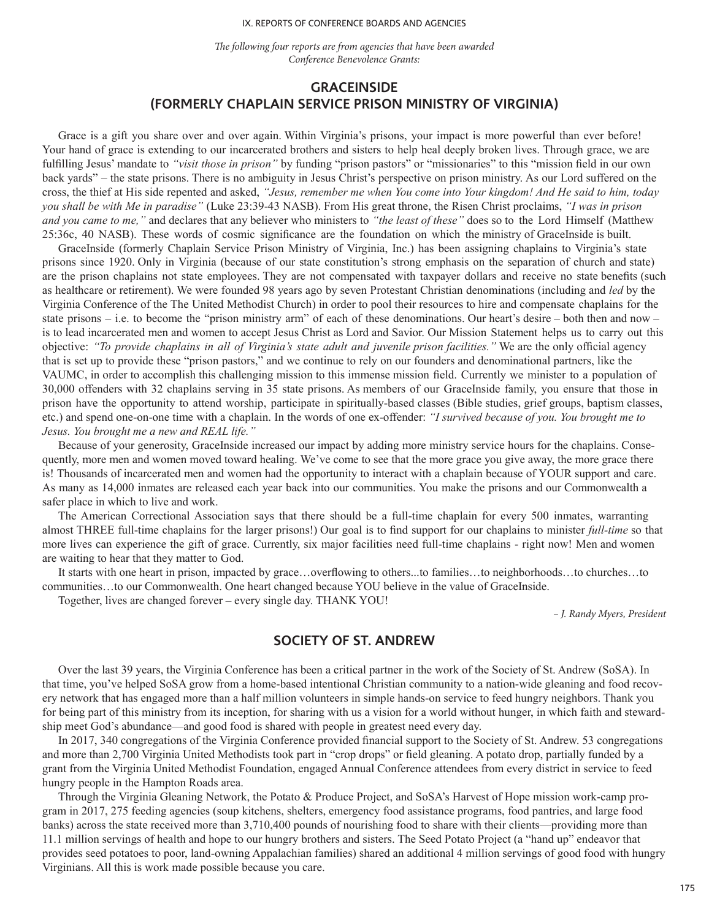*The following four reports are from agencies that have been awarded Conference Benevolence Grants:*

# **GRACEINSIDE (FORMERLY CHAPLAIN SERVICE PRISON MINISTRY OF VIRGINIA)**

Grace is a gift you share over and over again. Within Virginia's prisons, your impact is more powerful than ever before! Your hand of grace is extending to our incarcerated brothers and sisters to help heal deeply broken lives. Through grace, we are fulfilling Jesus' mandate to *"visit those in prison"* by funding "prison pastors" or "missionaries" to this "mission field in our own back yards" – the state prisons. There is no ambiguity in Jesus Christ's perspective on prison ministry. As our Lord suffered on the cross, the thief at His side repented and asked, *"Jesus, remember me when You come into Your kingdom! And He said to him, today you shall be with Me in paradise"* (Luke 23:39-43 NASB). From His great throne, the Risen Christ proclaims, *"I was in prison and you came to me,"* and declares that any believer who ministers to *"the least of these"* does so to the Lord Himself (Matthew 25:36c, 40 NASB). These words of cosmic significance are the foundation on which the ministry of GraceInside is built.

GraceInside (formerly Chaplain Service Prison Ministry of Virginia, Inc.) has been assigning chaplains to Virginia's state prisons since 1920. Only in Virginia (because of our state constitution's strong emphasis on the separation of church and state) are the prison chaplains not state employees. They are not compensated with taxpayer dollars and receive no state benefits (such as healthcare or retirement). We were founded 98 years ago by seven Protestant Christian denominations (including and *led* by the Virginia Conference of the The United Methodist Church) in order to pool their resources to hire and compensate chaplains for the state prisons – i.e. to become the "prison ministry arm" of each of these denominations. Our heart's desire – both then and now – is to lead incarcerated men and women to accept Jesus Christ as Lord and Savior. Our Mission Statement helps us to carry out this objective: *"To provide chaplains in all of Virginia's state adult and juvenile prison facilities."* We are the only official agency that is set up to provide these "prison pastors," and we continue to rely on our founders and denominational partners, like the VAUMC, in order to accomplish this challenging mission to this immense mission field. Currently we minister to a population of 30,000 offenders with 32 chaplains serving in 35 state prisons. As members of our GraceInside family, you ensure that those in prison have the opportunity to attend worship, participate in spiritually-based classes (Bible studies, grief groups, baptism classes, etc.) and spend one-on-one time with a chaplain. In the words of one ex-offender: *"I survived because of you. You brought me to Jesus. You brought me a new and REAL life."*

Because of your generosity, GraceInside increased our impact by adding more ministry service hours for the chaplains. Consequently, more men and women moved toward healing. We've come to see that the more grace you give away, the more grace there is! Thousands of incarcerated men and women had the opportunity to interact with a chaplain because of YOUR support and care. As many as 14,000 inmates are released each year back into our communities. You make the prisons and our Commonwealth a safer place in which to live and work.

The American Correctional Association says that there should be a full-time chaplain for every 500 inmates, warranting almost THREE full-time chaplains for the larger prisons!) Our goal is to find support for our chaplains to minister *full-time* so that more lives can experience the gift of grace. Currently, six major facilities need full-time chaplains - right now! Men and women are waiting to hear that they matter to God.

It starts with one heart in prison, impacted by grace…overflowing to others...to families…to neighborhoods…to churches…to communities...to our Commonwealth. One heart changed because YOU believe in the value of GraceInside.

Together, lives are changed forever – every single day. THANK YOU!

*– J. Randy Myers, President*

## **SOCIETY OF ST. ANDREW**

Over the last 39 years, the Virginia Conference has been a critical partner in the work of the Society of St. Andrew (SoSA). In that time, you've helped SoSA grow from a home-based intentional Christian community to a nation-wide gleaning and food recovery network that has engaged more than a half million volunteers in simple hands-on service to feed hungry neighbors. Thank you for being part of this ministry from its inception, for sharing with us a vision for a world without hunger, in which faith and stewardship meet God's abundance—and good food is shared with people in greatest need every day.

In 2017, 340 congregations of the Virginia Conference provided financial support to the Society of St. Andrew. 53 congregations and more than 2,700 Virginia United Methodists took part in "crop drops" or field gleaning. A potato drop, partially funded by a grant from the Virginia United Methodist Foundation, engaged Annual Conference attendees from every district in service to feed hungry people in the Hampton Roads area.

Through the Virginia Gleaning Network, the Potato & Produce Project, and SoSA's Harvest of Hope mission work-camp program in 2017, 275 feeding agencies (soup kitchens, shelters, emergency food assistance programs, food pantries, and large food banks) across the state received more than 3,710,400 pounds of nourishing food to share with their clients—providing more than 11.1 million servings of health and hope to our hungry brothers and sisters. The Seed Potato Project (a "hand up" endeavor that provides seed potatoes to poor, land-owning Appalachian families) shared an additional 4 million servings of good food with hungry Virginians. All this is work made possible because you care.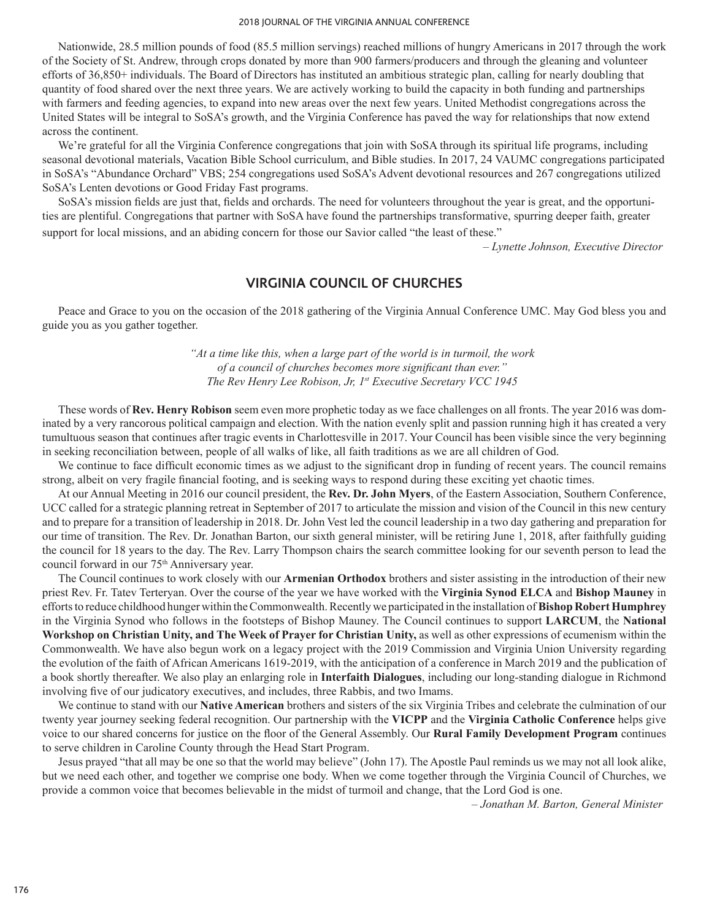Nationwide, 28.5 million pounds of food (85.5 million servings) reached millions of hungry Americans in 2017 through the work of the Society of St. Andrew, through crops donated by more than 900 farmers/producers and through the gleaning and volunteer efforts of 36,850+ individuals. The Board of Directors has instituted an ambitious strategic plan, calling for nearly doubling that quantity of food shared over the next three years. We are actively working to build the capacity in both funding and partnerships with farmers and feeding agencies, to expand into new areas over the next few years. United Methodist congregations across the United States will be integral to SoSA's growth, and the Virginia Conference has paved the way for relationships that now extend across the continent.

We're grateful for all the Virginia Conference congregations that join with SoSA through its spiritual life programs, including seasonal devotional materials, Vacation Bible School curriculum, and Bible studies. In 2017, 24 VAUMC congregations participated in SoSA's "Abundance Orchard" VBS; 254 congregations used SoSA's Advent devotional resources and 267 congregations utilized SoSA's Lenten devotions or Good Friday Fast programs.

SoSA's mission fields are just that, fields and orchards. The need for volunteers throughout the year is great, and the opportunities are plentiful. Congregations that partner with SoSA have found the partnerships transformative, spurring deeper faith, greater support for local missions, and an abiding concern for those our Savior called "the least of these."

*– Lynette Johnson, Executive Director*

# **VIRGINIA COUNCIL OF CHURCHES**

Peace and Grace to you on the occasion of the 2018 gathering of the Virginia Annual Conference UMC. May God bless you and guide you as you gather together.

> *"At a time like this, when a large part of the world is in turmoil, the work of a council of churches becomes more significant than ever." The Rev Henry Lee Robison, Jr, 1st Executive Secretary VCC 1945*

These words of **Rev. Henry Robison** seem even more prophetic today as we face challenges on all fronts. The year 2016 was dominated by a very rancorous political campaign and election. With the nation evenly split and passion running high it has created a very tumultuous season that continues after tragic events in Charlottesville in 2017. Your Council has been visible since the very beginning in seeking reconciliation between, people of all walks of like, all faith traditions as we are all children of God.

We continue to face difficult economic times as we adjust to the significant drop in funding of recent years. The council remains strong, albeit on very fragile financial footing, and is seeking ways to respond during these exciting yet chaotic times.

At our Annual Meeting in 2016 our council president, the **Rev. Dr. John Myers**, of the Eastern Association, Southern Conference, UCC called for a strategic planning retreat in September of 2017 to articulate the mission and vision of the Council in this new century and to prepare for a transition of leadership in 2018. Dr. John Vest led the council leadership in a two day gathering and preparation for our time of transition. The Rev. Dr. Jonathan Barton, our sixth general minister, will be retiring June 1, 2018, after faithfully guiding the council for 18 years to the day. The Rev. Larry Thompson chairs the search committee looking for our seventh person to lead the council forward in our 75<sup>th</sup> Anniversary year.

The Council continues to work closely with our **Armenian Orthodox** brothers and sister assisting in the introduction of their new priest Rev. Fr. Tatev Terteryan. Over the course of the year we have worked with the **Virginia Synod ELCA** and **Bishop Mauney** in efforts to reduce childhood hunger within the Commonwealth. Recently we participated in the installation of**Bishop Robert Humphrey**  in the Virginia Synod who follows in the footsteps of Bishop Mauney. The Council continues to support **LARCUM**, the **National Workshop on Christian Unity, and The Week of Prayer for Christian Unity,** as well as other expressions of ecumenism within the Commonwealth. We have also begun work on a legacy project with the 2019 Commission and Virginia Union University regarding the evolution of the faith of African Americans 1619-2019, with the anticipation of a conference in March 2019 and the publication of a book shortly thereafter. We also play an enlarging role in **Interfaith Dialogues**, including our long-standing dialogue in Richmond involving five of our judicatory executives, and includes, three Rabbis, and two Imams.

We continue to stand with our **Native American** brothers and sisters of the six Virginia Tribes and celebrate the culmination of our twenty year journey seeking federal recognition. Our partnership with the **VICPP** and the **Virginia Catholic Conference** helps give voice to our shared concerns for justice on the floor of the General Assembly. Our **Rural Family Development Program** continues to serve children in Caroline County through the Head Start Program.

Jesus prayed "that all may be one so that the world may believe" (John 17). The Apostle Paul reminds us we may not all look alike, but we need each other, and together we comprise one body. When we come together through the Virginia Council of Churches, we provide a common voice that becomes believable in the midst of turmoil and change, that the Lord God is one.

*– Jonathan M. Barton, General Minister*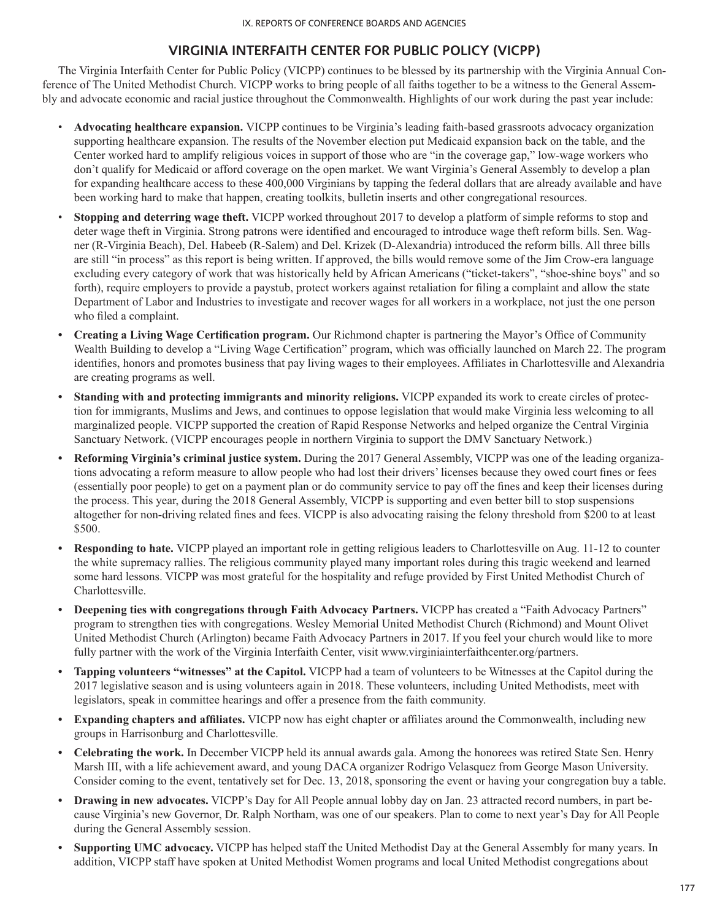# **VIRGINIA INTERFAITH CENTER FOR PUBLIC POLICY (VICPP)**

The Virginia Interfaith Center for Public Policy (VICPP) continues to be blessed by its partnership with the Virginia Annual Conference of The United Methodist Church. VICPP works to bring people of all faiths together to be a witness to the General Assembly and advocate economic and racial justice throughout the Commonwealth. Highlights of our work during the past year include:

- **Advocating healthcare expansion.** VICPP continues to be Virginia's leading faith-based grassroots advocacy organization supporting healthcare expansion. The results of the November election put Medicaid expansion back on the table, and the Center worked hard to amplify religious voices in support of those who are "in the coverage gap," low-wage workers who don't qualify for Medicaid or afford coverage on the open market. We want Virginia's General Assembly to develop a plan for expanding healthcare access to these 400,000 Virginians by tapping the federal dollars that are already available and have been working hard to make that happen, creating toolkits, bulletin inserts and other congregational resources.
- **Stopping and deterring wage theft.** VICPP worked throughout 2017 to develop a platform of simple reforms to stop and deter wage theft in Virginia. Strong patrons were identified and encouraged to introduce wage theft reform bills. Sen. Wagner (R-Virginia Beach), Del. Habeeb (R-Salem) and Del. Krizek (D-Alexandria) introduced the reform bills. All three bills are still "in process" as this report is being written. If approved, the bills would remove some of the Jim Crow-era language excluding every category of work that was historically held by African Americans ("ticket-takers", "shoe-shine boys" and so forth), require employers to provide a paystub, protect workers against retaliation for filing a complaint and allow the state Department of Labor and Industries to investigate and recover wages for all workers in a workplace, not just the one person who filed a complaint.
- **• Creating a Living Wage Certification program.** Our Richmond chapter is partnering the Mayor's Office of Community Wealth Building to develop a "Living Wage Certification" program, which was officially launched on March 22. The program identifies, honors and promotes business that pay living wages to their employees. Affiliates in Charlottesville and Alexandria are creating programs as well.
- **• Standing with and protecting immigrants and minority religions.** VICPP expanded its work to create circles of protection for immigrants, Muslims and Jews, and continues to oppose legislation that would make Virginia less welcoming to all marginalized people. VICPP supported the creation of Rapid Response Networks and helped organize the Central Virginia Sanctuary Network. (VICPP encourages people in northern Virginia to support the DMV Sanctuary Network.)
- **• Reforming Virginia's criminal justice system.** During the 2017 General Assembly, VICPP was one of the leading organizations advocating a reform measure to allow people who had lost their drivers' licenses because they owed court fines or fees (essentially poor people) to get on a payment plan or do community service to pay off the fines and keep their licenses during the process. This year, during the 2018 General Assembly, VICPP is supporting and even better bill to stop suspensions altogether for non-driving related fines and fees. VICPP is also advocating raising the felony threshold from \$200 to at least \$500.
- **• Responding to hate.** VICPP played an important role in getting religious leaders to Charlottesville on Aug. 11-12 to counter the white supremacy rallies. The religious community played many important roles during this tragic weekend and learned some hard lessons. VICPP was most grateful for the hospitality and refuge provided by First United Methodist Church of Charlottesville.
- **• Deepening ties with congregations through Faith Advocacy Partners.** VICPP has created a "Faith Advocacy Partners" program to strengthen ties with congregations. Wesley Memorial United Methodist Church (Richmond) and Mount Olivet United Methodist Church (Arlington) became Faith Advocacy Partners in 2017. If you feel your church would like to more fully partner with the work of the Virginia Interfaith Center, visit www.virginiainterfaithcenter.org/partners.
- **• Tapping volunteers "witnesses" at the Capitol.** VICPP had a team of volunteers to be Witnesses at the Capitol during the 2017 legislative season and is using volunteers again in 2018. These volunteers, including United Methodists, meet with legislators, speak in committee hearings and offer a presence from the faith community.
- **• Expanding chapters and affiliates.** VICPP now has eight chapter or affiliates around the Commonwealth, including new groups in Harrisonburg and Charlottesville.
- **• Celebrating the work.** In December VICPP held its annual awards gala. Among the honorees was retired State Sen. Henry Marsh III, with a life achievement award, and young DACA organizer Rodrigo Velasquez from George Mason University. Consider coming to the event, tentatively set for Dec. 13, 2018, sponsoring the event or having your congregation buy a table.
- **• Drawing in new advocates.** VICPP's Day for All People annual lobby day on Jan. 23 attracted record numbers, in part because Virginia's new Governor, Dr. Ralph Northam, was one of our speakers. Plan to come to next year's Day for All People during the General Assembly session.
- **• Supporting UMC advocacy.** VICPP has helped staff the United Methodist Day at the General Assembly for many years. In addition, VICPP staff have spoken at United Methodist Women programs and local United Methodist congregations about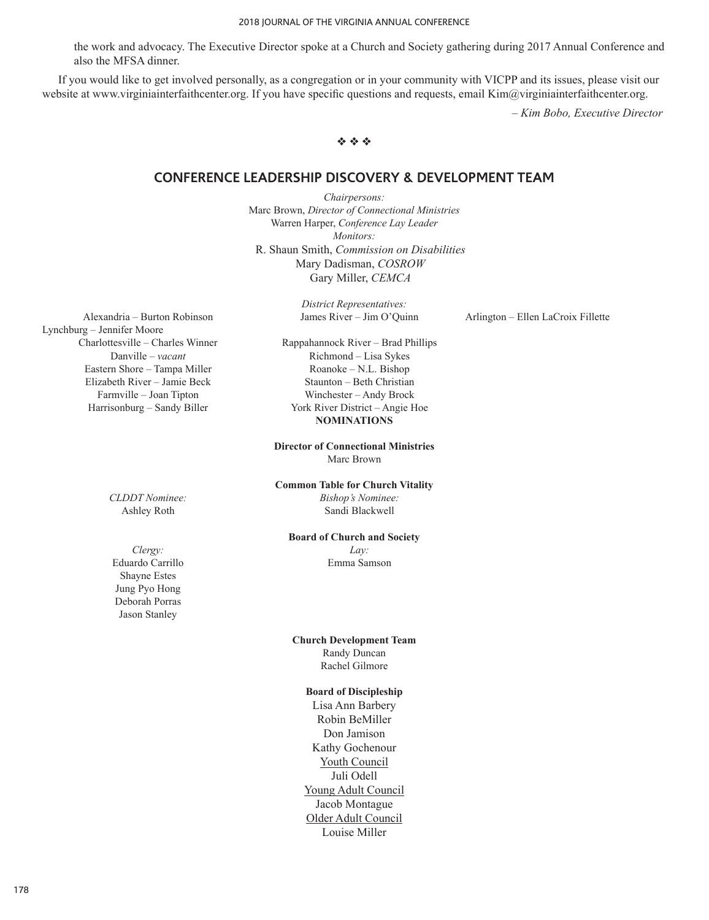the work and advocacy. The Executive Director spoke at a Church and Society gathering during 2017 Annual Conference and also the MFSA dinner.

If you would like to get involved personally, as a congregation or in your community with VICPP and its issues, please visit our website at www.virginiainterfaithcenter.org. If you have specific questions and requests, email Kim@virginiainterfaithcenter.org.

*– Kim Bobo, Executive Director*

# $\phi$   $\phi$   $\phi$

## **CONFERENCE LEADERSHIP DISCOVERY & DEVELOPMENT TEAM**

*Chairpersons:* Marc Brown, *Director of Connectional Ministries* Warren Harper, *Conference Lay Leader Monitors:* R. Shaun Smith, *Commission on Disabilities* Mary Dadisman, *COSROW* Gary Miller, *CEMCA*

*District Representatives:*

Alexandria – Burton Robinson James River – Jim O'Quinn Arlington – Ellen LaCroix Fillette

Lynchburg – Jennifer Moore Charlottesville – Charles Winner Rappahannock River – Brad Phillips Eastern Shore – Tampa Miller Roanoke – N.L. Bishop

Danville – *vacant* Richmond – Lisa Sykes Elizabeth River – Jamie Beck Staunton – Beth Christian Farmville – Joan Tipton Winchester – Andy Brock Harrisonburg – Sandy Biller York River District – Angie Hoe **NOMINATIONS**

> **Director of Connectional Ministries** Marc Brown

**Common Table for Church Vitality** *CLDDT Nominee: Bishop's Nominee:*

Ashley Roth Sandi Blackwell

### **Board of Church and Society**

**Church Development Team** Randy Duncan Rachel Gilmore

#### **Board of Discipleship**

Lisa Ann Barbery Robin BeMiller Don Jamison Kathy Gochenour Youth Council Juli Odell Young Adult Council Jacob Montague Older Adult Council Louise Miller

*Clergy: Lay:* Eduardo Carrillo Emma Samson Shayne Estes Jung Pyo Hong Deborah Porras Jason Stanley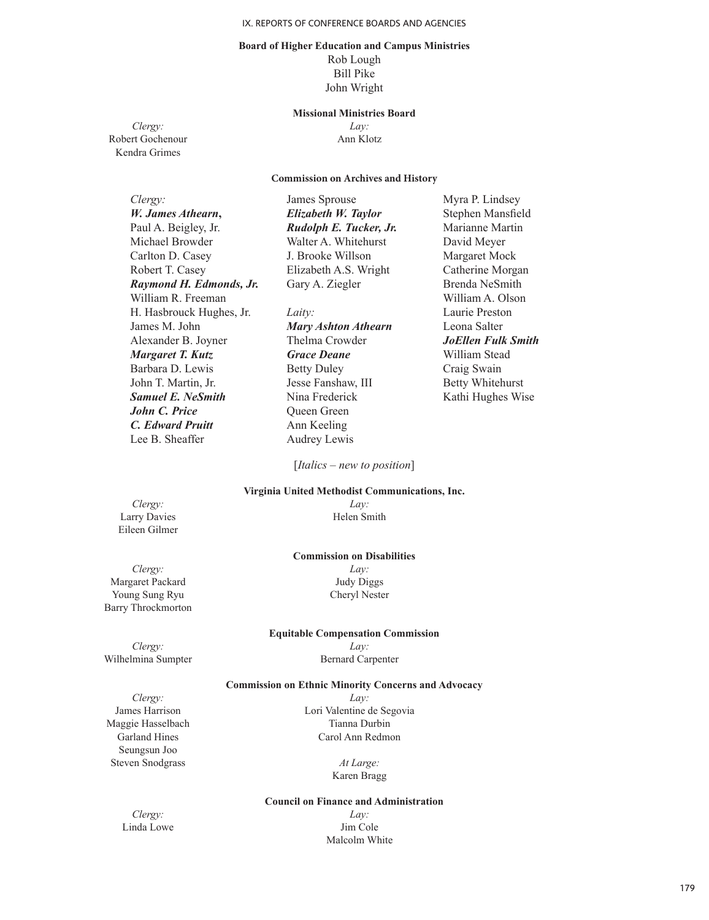### **Board of Higher Education and Campus Ministries** Rob Lough

Bill Pike John Wright

#### **Missional Ministries Board**

Robert Gochenour Kendra Grimes

*Clergy: Lay:*

#### **Commission on Archives and History**

| Clergy:                  | James Sprouse              | Myra P. Lindsey           |
|--------------------------|----------------------------|---------------------------|
| W. James Athearn,        | Elizabeth W. Taylor        | Stephen Mansfield         |
| Paul A. Beigley, Jr.     | Rudolph E. Tucker, Jr.     | Marianne Martin           |
| Michael Browder          | Walter A. Whitehurst       | David Meyer               |
| Carlton D. Casey         | J. Brooke Willson          | Margaret Mock             |
| Robert T. Casey          | Elizabeth A.S. Wright      | Catherine Morgan          |
| Raymond H. Edmonds, Jr.  | Gary A. Ziegler            | Brenda NeSmith            |
| William R. Freeman       |                            | William A. Olson          |
| H. Hasbrouck Hughes, Jr. | Laity:                     | Laurie Preston            |
| James M. John            | <b>Mary Ashton Athearn</b> | Leona Salter              |
| Alexander B. Joyner      | Thelma Crowder             | <b>JoEllen Fulk Smith</b> |
| Margaret T. Kutz         | <b>Grace Deane</b>         | William Stead             |
| Barbara D. Lewis         | <b>Betty Duley</b>         | Craig Swain               |
| John T. Martin, Jr.      | Jesse Fanshaw, III         | <b>Betty Whitehurst</b>   |
| <b>Samuel E. NeSmith</b> | Nina Frederick             | Kathi Hughes Wise         |
| <b>John C. Price</b>     | <b>Oueen Green</b>         |                           |
| C. Edward Pruitt         | Ann Keeling                |                           |

[*Italics – new to position*]

Audrey Lewis

#### **Virginia United Methodist Communications, Inc.**

*Clergy: Lay:* Eileen Gilmer

Lee B. Sheaffer

Barry Throckmorton

Larry Davies Helen Smith

#### **Commission on Disabilities**

*Clergy: Lay:* Margaret Packard Judy Diggs Young Sung Ryu Cheryl Nester

#### **Equitable Compensation Commission**

*Clergy: Lay:* Wilhelmina Sumpter Bernard Carpenter

## **Commission on Ethnic Minority Concerns and Advocacy**

Seungsun Joo Steven Snodgrass *At Large:* 

*Clergy: Lay:* James Harrison Lori Valentine de Segovia Maggie Hasselbach Tianna Durbin<br>Garland Hines Carol Ann Redmo Carol Ann Redmon

Karen Bragg

#### **Council on Finance and Administration**

*Clergy: Lay:* Linda Lowe Jim Cole Malcolm White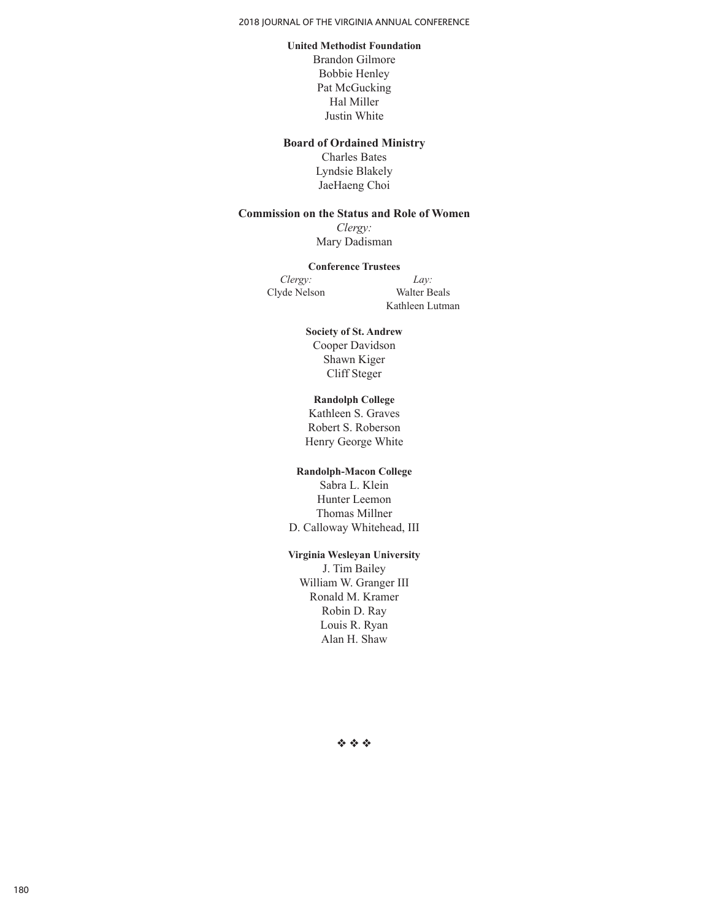#### 2018 JOURNAL OF THE VIRGINIA ANNUAL CONFERENCE

#### **United Methodist Foundation**

Brandon Gilmore Bobbie Henley Pat McGucking Hal Miller Justin White

### **Board of Ordained Ministry**

Charles Bates Lyndsie Blakely JaeHaeng Choi

# **Commission on the Status and Role of Women**

*Clergy:* Mary Dadisman

### **Conference Trustees**

*Clergy: Lay:* Clyde Nelson Walter Beals

Kathleen Lutman

## **Society of St. Andrew** Cooper Davidson Shawn Kiger Cliff Steger

## **Randolph College**

Kathleen S. Graves Robert S. Roberson Henry George White

## **Randolph-Macon College**

Sabra L. Klein Hunter Leemon Thomas Millner D. Calloway Whitehead, III

# **Virginia Wesleyan University**

J. Tim Bailey William W. Granger III Ronald M. Kramer Robin D. Ray Louis R. Ryan Alan H. Shaw

 $\phi \phi \phi$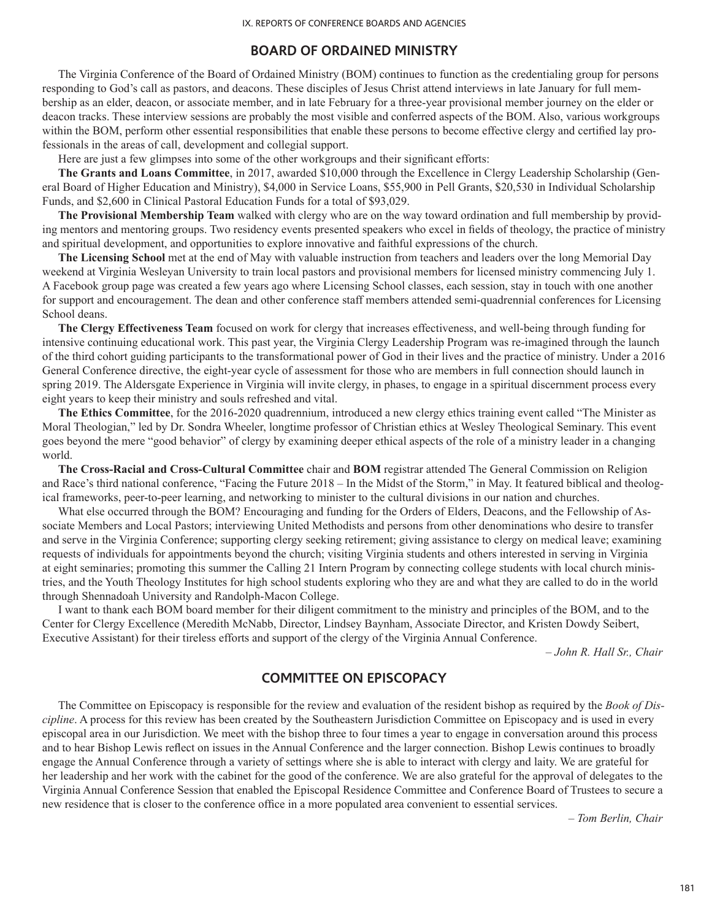## **BOARD OF ORDAINED MINISTRY**

The Virginia Conference of the Board of Ordained Ministry (BOM) continues to function as the credentialing group for persons responding to God's call as pastors, and deacons. These disciples of Jesus Christ attend interviews in late January for full membership as an elder, deacon, or associate member, and in late February for a three-year provisional member journey on the elder or deacon tracks. These interview sessions are probably the most visible and conferred aspects of the BOM. Also, various workgroups within the BOM, perform other essential responsibilities that enable these persons to become effective clergy and certified lay professionals in the areas of call, development and collegial support.

Here are just a few glimpses into some of the other workgroups and their significant efforts:

**The Grants and Loans Committee**, in 2017, awarded \$10,000 through the Excellence in Clergy Leadership Scholarship (General Board of Higher Education and Ministry), \$4,000 in Service Loans, \$55,900 in Pell Grants, \$20,530 in Individual Scholarship Funds, and \$2,600 in Clinical Pastoral Education Funds for a total of \$93,029.

**The Provisional Membership Team** walked with clergy who are on the way toward ordination and full membership by providing mentors and mentoring groups. Two residency events presented speakers who excel in fields of theology, the practice of ministry and spiritual development, and opportunities to explore innovative and faithful expressions of the church.

**The Licensing School** met at the end of May with valuable instruction from teachers and leaders over the long Memorial Day weekend at Virginia Wesleyan University to train local pastors and provisional members for licensed ministry commencing July 1. A Facebook group page was created a few years ago where Licensing School classes, each session, stay in touch with one another for support and encouragement. The dean and other conference staff members attended semi-quadrennial conferences for Licensing School deans.

**The Clergy Effectiveness Team** focused on work for clergy that increases effectiveness, and well-being through funding for intensive continuing educational work. This past year, the Virginia Clergy Leadership Program was re-imagined through the launch of the third cohort guiding participants to the transformational power of God in their lives and the practice of ministry. Under a 2016 General Conference directive, the eight-year cycle of assessment for those who are members in full connection should launch in spring 2019. The Aldersgate Experience in Virginia will invite clergy, in phases, to engage in a spiritual discernment process every eight years to keep their ministry and souls refreshed and vital.

**The Ethics Committee**, for the 2016-2020 quadrennium, introduced a new clergy ethics training event called "The Minister as Moral Theologian," led by Dr. Sondra Wheeler, longtime professor of Christian ethics at Wesley Theological Seminary. This event goes beyond the mere "good behavior" of clergy by examining deeper ethical aspects of the role of a ministry leader in a changing world.

**The Cross-Racial and Cross-Cultural Committee** chair and **BOM** registrar attended The General Commission on Religion and Race's third national conference, "Facing the Future 2018 – In the Midst of the Storm," in May. It featured biblical and theological frameworks, peer-to-peer learning, and networking to minister to the cultural divisions in our nation and churches.

What else occurred through the BOM? Encouraging and funding for the Orders of Elders, Deacons, and the Fellowship of Associate Members and Local Pastors; interviewing United Methodists and persons from other denominations who desire to transfer and serve in the Virginia Conference; supporting clergy seeking retirement; giving assistance to clergy on medical leave; examining requests of individuals for appointments beyond the church; visiting Virginia students and others interested in serving in Virginia at eight seminaries; promoting this summer the Calling 21 Intern Program by connecting college students with local church ministries, and the Youth Theology Institutes for high school students exploring who they are and what they are called to do in the world through Shennadoah University and Randolph-Macon College.

I want to thank each BOM board member for their diligent commitment to the ministry and principles of the BOM, and to the Center for Clergy Excellence (Meredith McNabb, Director, Lindsey Baynham, Associate Director, and Kristen Dowdy Seibert, Executive Assistant) for their tireless efforts and support of the clergy of the Virginia Annual Conference.

*– John R. Hall Sr., Chair*

# **COMMITTEE ON EPISCOPACY**

The Committee on Episcopacy is responsible for the review and evaluation of the resident bishop as required by the *Book of Discipline*. A process for this review has been created by the Southeastern Jurisdiction Committee on Episcopacy and is used in every episcopal area in our Jurisdiction. We meet with the bishop three to four times a year to engage in conversation around this process and to hear Bishop Lewis reflect on issues in the Annual Conference and the larger connection. Bishop Lewis continues to broadly engage the Annual Conference through a variety of settings where she is able to interact with clergy and laity. We are grateful for her leadership and her work with the cabinet for the good of the conference. We are also grateful for the approval of delegates to the Virginia Annual Conference Session that enabled the Episcopal Residence Committee and Conference Board of Trustees to secure a new residence that is closer to the conference office in a more populated area convenient to essential services.

*– Tom Berlin, Chair*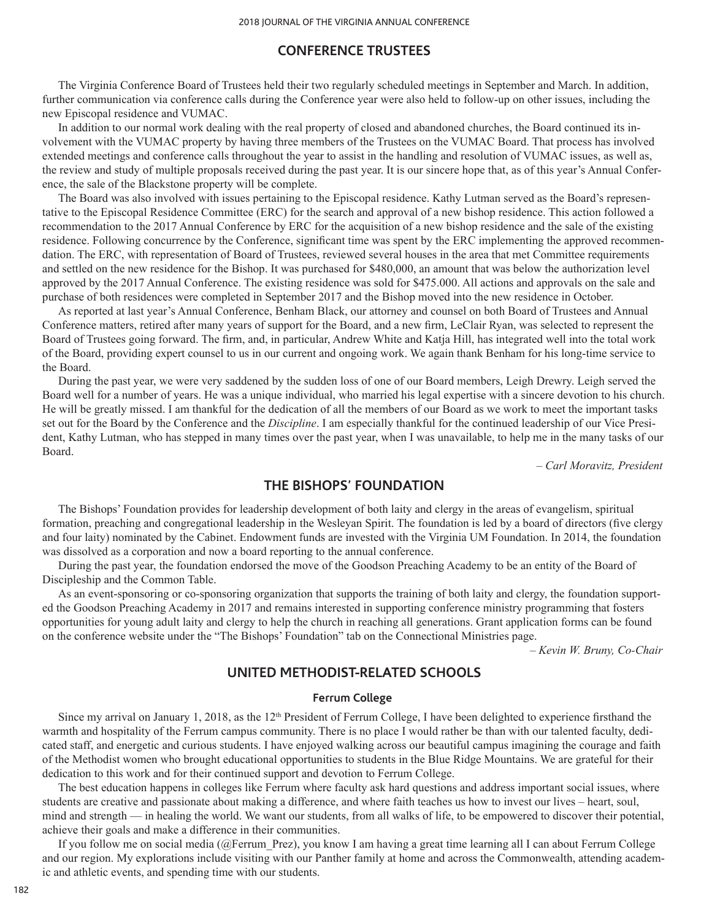# **CONFERENCE TRUSTEES**

The Virginia Conference Board of Trustees held their two regularly scheduled meetings in September and March. In addition, further communication via conference calls during the Conference year were also held to follow-up on other issues, including the new Episcopal residence and VUMAC.

In addition to our normal work dealing with the real property of closed and abandoned churches, the Board continued its involvement with the VUMAC property by having three members of the Trustees on the VUMAC Board. That process has involved extended meetings and conference calls throughout the year to assist in the handling and resolution of VUMAC issues, as well as, the review and study of multiple proposals received during the past year. It is our sincere hope that, as of this year's Annual Conference, the sale of the Blackstone property will be complete.

The Board was also involved with issues pertaining to the Episcopal residence. Kathy Lutman served as the Board's representative to the Episcopal Residence Committee (ERC) for the search and approval of a new bishop residence. This action followed a recommendation to the 2017 Annual Conference by ERC for the acquisition of a new bishop residence and the sale of the existing residence. Following concurrence by the Conference, significant time was spent by the ERC implementing the approved recommendation. The ERC, with representation of Board of Trustees, reviewed several houses in the area that met Committee requirements and settled on the new residence for the Bishop. It was purchased for \$480,000, an amount that was below the authorization level approved by the 2017 Annual Conference. The existing residence was sold for \$475.000. All actions and approvals on the sale and purchase of both residences were completed in September 2017 and the Bishop moved into the new residence in October.

As reported at last year's Annual Conference, Benham Black, our attorney and counsel on both Board of Trustees and Annual Conference matters, retired after many years of support for the Board, and a new firm, LeClair Ryan, was selected to represent the Board of Trustees going forward. The firm, and, in particular, Andrew White and Katja Hill, has integrated well into the total work of the Board, providing expert counsel to us in our current and ongoing work. We again thank Benham for his long-time service to the Board.

During the past year, we were very saddened by the sudden loss of one of our Board members, Leigh Drewry. Leigh served the Board well for a number of years. He was a unique individual, who married his legal expertise with a sincere devotion to his church. He will be greatly missed. I am thankful for the dedication of all the members of our Board as we work to meet the important tasks set out for the Board by the Conference and the *Discipline*. I am especially thankful for the continued leadership of our Vice President, Kathy Lutman, who has stepped in many times over the past year, when I was unavailable, to help me in the many tasks of our Board.

*– Carl Moravitz, President*

# **THE BISHOPS' FOUNDATION**

The Bishops' Foundation provides for leadership development of both laity and clergy in the areas of evangelism, spiritual formation, preaching and congregational leadership in the Wesleyan Spirit. The foundation is led by a board of directors (five clergy and four laity) nominated by the Cabinet. Endowment funds are invested with the Virginia UM Foundation. In 2014, the foundation was dissolved as a corporation and now a board reporting to the annual conference.

During the past year, the foundation endorsed the move of the Goodson Preaching Academy to be an entity of the Board of Discipleship and the Common Table.

As an event-sponsoring or co-sponsoring organization that supports the training of both laity and clergy, the foundation supported the Goodson Preaching Academy in 2017 and remains interested in supporting conference ministry programming that fosters opportunities for young adult laity and clergy to help the church in reaching all generations. Grant application forms can be found on the conference website under the "The Bishops' Foundation" tab on the Connectional Ministries page.

*– Kevin W. Bruny, Co-Chair*

# **UNITED METHODIST-RELATED SCHOOLS**

#### **Ferrum College**

Since my arrival on January 1, 2018, as the  $12<sup>th</sup>$  President of Ferrum College, I have been delighted to experience firsthand the warmth and hospitality of the Ferrum campus community. There is no place I would rather be than with our talented faculty, dedicated staff, and energetic and curious students. I have enjoyed walking across our beautiful campus imagining the courage and faith of the Methodist women who brought educational opportunities to students in the Blue Ridge Mountains. We are grateful for their dedication to this work and for their continued support and devotion to Ferrum College.

The best education happens in colleges like Ferrum where faculty ask hard questions and address important social issues, where students are creative and passionate about making a difference, and where faith teaches us how to invest our lives – heart, soul, mind and strength — in healing the world. We want our students, from all walks of life, to be empowered to discover their potential, achieve their goals and make a difference in their communities.

If you follow me on social media (@Ferrum\_Prez), you know I am having a great time learning all I can about Ferrum College and our region. My explorations include visiting with our Panther family at home and across the Commonwealth, attending academic and athletic events, and spending time with our students.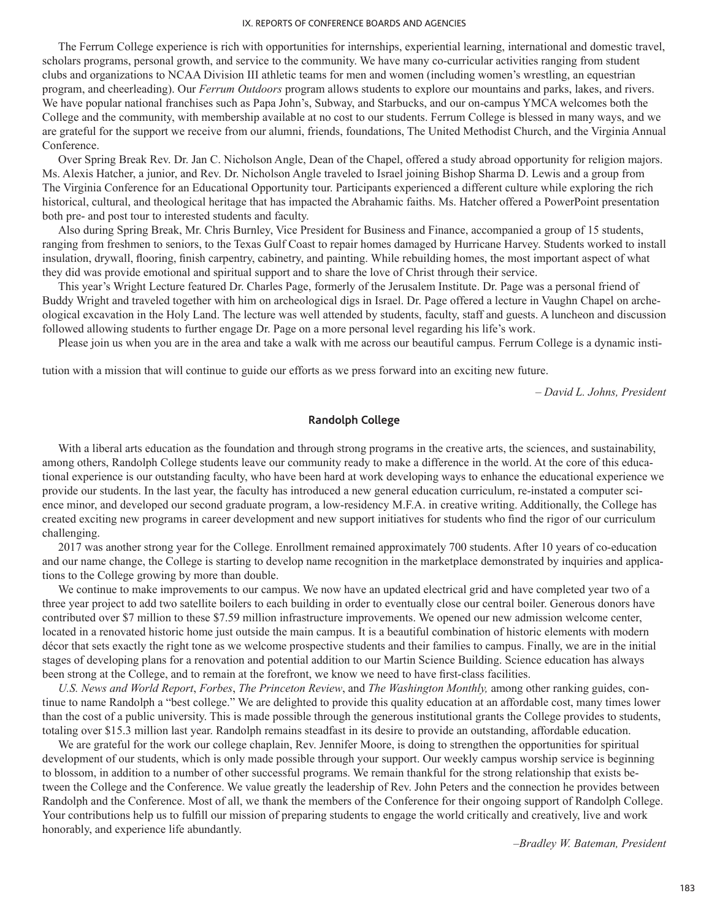The Ferrum College experience is rich with opportunities for internships, experiential learning, international and domestic travel, scholars programs, personal growth, and service to the community. We have many co-curricular activities ranging from student clubs and organizations to NCAA Division III athletic teams for men and women (including women's wrestling, an equestrian program, and cheerleading). Our *Ferrum Outdoors* program allows students to explore our mountains and parks, lakes, and rivers. We have popular national franchises such as Papa John's, Subway, and Starbucks, and our on-campus YMCA welcomes both the College and the community, with membership available at no cost to our students. Ferrum College is blessed in many ways, and we are grateful for the support we receive from our alumni, friends, foundations, The United Methodist Church, and the Virginia Annual Conference.

Over Spring Break Rev. Dr. Jan C. Nicholson Angle, Dean of the Chapel, offered a study abroad opportunity for religion majors. Ms. Alexis Hatcher, a junior, and Rev. Dr. Nicholson Angle traveled to Israel joining Bishop Sharma D. Lewis and a group from The Virginia Conference for an Educational Opportunity tour. Participants experienced a different culture while exploring the rich historical, cultural, and theological heritage that has impacted the Abrahamic faiths. Ms. Hatcher offered a PowerPoint presentation both pre- and post tour to interested students and faculty.

Also during Spring Break, Mr. Chris Burnley, Vice President for Business and Finance, accompanied a group of 15 students, ranging from freshmen to seniors, to the Texas Gulf Coast to repair homes damaged by Hurricane Harvey. Students worked to install insulation, drywall, flooring, finish carpentry, cabinetry, and painting. While rebuilding homes, the most important aspect of what they did was provide emotional and spiritual support and to share the love of Christ through their service.

This year's Wright Lecture featured Dr. Charles Page, formerly of the Jerusalem Institute. Dr. Page was a personal friend of Buddy Wright and traveled together with him on archeological digs in Israel. Dr. Page offered a lecture in Vaughn Chapel on archeological excavation in the Holy Land. The lecture was well attended by students, faculty, staff and guests. A luncheon and discussion followed allowing students to further engage Dr. Page on a more personal level regarding his life's work.

Please join us when you are in the area and take a walk with me across our beautiful campus. Ferrum College is a dynamic insti-

tution with a mission that will continue to guide our efforts as we press forward into an exciting new future.

*– David L. Johns, President*

## **Randolph College**

With a liberal arts education as the foundation and through strong programs in the creative arts, the sciences, and sustainability, among others, Randolph College students leave our community ready to make a difference in the world. At the core of this educational experience is our outstanding faculty, who have been hard at work developing ways to enhance the educational experience we provide our students. In the last year, the faculty has introduced a new general education curriculum, re-instated a computer science minor, and developed our second graduate program, a low-residency M.F.A. in creative writing. Additionally, the College has created exciting new programs in career development and new support initiatives for students who find the rigor of our curriculum challenging.

2017 was another strong year for the College. Enrollment remained approximately 700 students. After 10 years of co-education and our name change, the College is starting to develop name recognition in the marketplace demonstrated by inquiries and applications to the College growing by more than double.

We continue to make improvements to our campus. We now have an updated electrical grid and have completed year two of a three year project to add two satellite boilers to each building in order to eventually close our central boiler. Generous donors have contributed over \$7 million to these \$7.59 million infrastructure improvements. We opened our new admission welcome center, located in a renovated historic home just outside the main campus. It is a beautiful combination of historic elements with modern décor that sets exactly the right tone as we welcome prospective students and their families to campus. Finally, we are in the initial stages of developing plans for a renovation and potential addition to our Martin Science Building. Science education has always been strong at the College, and to remain at the forefront, we know we need to have first-class facilities.

*U.S. News and World Report*, *Forbes*, *The Princeton Review*, and *The Washington Monthly,* among other ranking guides, continue to name Randolph a "best college." We are delighted to provide this quality education at an affordable cost, many times lower than the cost of a public university. This is made possible through the generous institutional grants the College provides to students, totaling over \$15.3 million last year. Randolph remains steadfast in its desire to provide an outstanding, affordable education.

We are grateful for the work our college chaplain, Rev. Jennifer Moore, is doing to strengthen the opportunities for spiritual development of our students, which is only made possible through your support. Our weekly campus worship service is beginning to blossom, in addition to a number of other successful programs. We remain thankful for the strong relationship that exists between the College and the Conference. We value greatly the leadership of Rev. John Peters and the connection he provides between Randolph and the Conference. Most of all, we thank the members of the Conference for their ongoing support of Randolph College. Your contributions help us to fulfill our mission of preparing students to engage the world critically and creatively, live and work honorably, and experience life abundantly.

*–Bradley W. Bateman, President*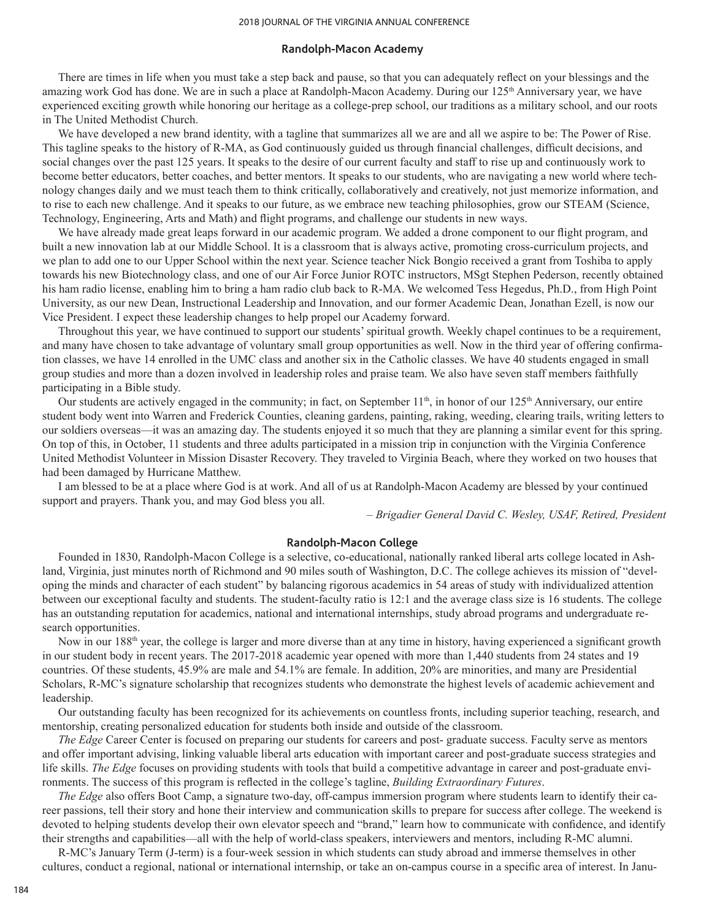#### **Randolph-Macon Academy**

There are times in life when you must take a step back and pause, so that you can adequately reflect on your blessings and the amazing work God has done. We are in such a place at Randolph-Macon Academy. During our 125<sup>th</sup> Anniversary year, we have experienced exciting growth while honoring our heritage as a college-prep school, our traditions as a military school, and our roots in The United Methodist Church.

We have developed a new brand identity, with a tagline that summarizes all we are and all we aspire to be: The Power of Rise. This tagline speaks to the history of R-MA, as God continuously guided us through financial challenges, difficult decisions, and social changes over the past 125 years. It speaks to the desire of our current faculty and staff to rise up and continuously work to become better educators, better coaches, and better mentors. It speaks to our students, who are navigating a new world where technology changes daily and we must teach them to think critically, collaboratively and creatively, not just memorize information, and to rise to each new challenge. And it speaks to our future, as we embrace new teaching philosophies, grow our STEAM (Science, Technology, Engineering, Arts and Math) and flight programs, and challenge our students in new ways.

We have already made great leaps forward in our academic program. We added a drone component to our flight program, and built a new innovation lab at our Middle School. It is a classroom that is always active, promoting cross-curriculum projects, and we plan to add one to our Upper School within the next year. Science teacher Nick Bongio received a grant from Toshiba to apply towards his new Biotechnology class, and one of our Air Force Junior ROTC instructors, MSgt Stephen Pederson, recently obtained his ham radio license, enabling him to bring a ham radio club back to R-MA. We welcomed Tess Hegedus, Ph.D., from High Point University, as our new Dean, Instructional Leadership and Innovation, and our former Academic Dean, Jonathan Ezell, is now our Vice President. I expect these leadership changes to help propel our Academy forward.

Throughout this year, we have continued to support our students' spiritual growth. Weekly chapel continues to be a requirement, and many have chosen to take advantage of voluntary small group opportunities as well. Now in the third year of offering confirmation classes, we have 14 enrolled in the UMC class and another six in the Catholic classes. We have 40 students engaged in small group studies and more than a dozen involved in leadership roles and praise team. We also have seven staff members faithfully participating in a Bible study.

Our students are actively engaged in the community; in fact, on September  $11<sup>th</sup>$ , in honor of our  $125<sup>th</sup>$  Anniversary, our entire student body went into Warren and Frederick Counties, cleaning gardens, painting, raking, weeding, clearing trails, writing letters to our soldiers overseas—it was an amazing day. The students enjoyed it so much that they are planning a similar event for this spring. On top of this, in October, 11 students and three adults participated in a mission trip in conjunction with the Virginia Conference United Methodist Volunteer in Mission Disaster Recovery. They traveled to Virginia Beach, where they worked on two houses that had been damaged by Hurricane Matthew.

I am blessed to be at a place where God is at work. And all of us at Randolph-Macon Academy are blessed by your continued support and prayers. Thank you, and may God bless you all.

*– Brigadier General David C. Wesley, USAF, Retired, President*

#### **Randolph-Macon College**

Founded in 1830, Randolph-Macon College is a selective, co-educational, nationally ranked liberal arts college located in Ashland, Virginia, just minutes north of Richmond and 90 miles south of Washington, D.C. The college achieves its mission of "developing the minds and character of each student" by balancing rigorous academics in 54 areas of study with individualized attention between our exceptional faculty and students. The student-faculty ratio is 12:1 and the average class size is 16 students. The college has an outstanding reputation for academics, national and international internships, study abroad programs and undergraduate research opportunities.

Now in our 188<sup>th</sup> year, the college is larger and more diverse than at any time in history, having experienced a significant growth in our student body in recent years. The 2017-2018 academic year opened with more than 1,440 students from 24 states and 19 countries. Of these students, 45.9% are male and 54.1% are female. In addition, 20% are minorities, and many are Presidential Scholars, R-MC's signature scholarship that recognizes students who demonstrate the highest levels of academic achievement and leadership.

Our outstanding faculty has been recognized for its achievements on countless fronts, including superior teaching, research, and mentorship, creating personalized education for students both inside and outside of the classroom.

*The Edge* Career Center is focused on preparing our students for careers and post- graduate success. Faculty serve as mentors and offer important advising, linking valuable liberal arts education with important career and post-graduate success strategies and life skills. *The Edge* focuses on providing students with tools that build a competitive advantage in career and post-graduate environments. The success of this program is reflected in the college's tagline, *Building Extraordinary Futures*.

*The Edge* also offers Boot Camp, a signature two-day, off-campus immersion program where students learn to identify their career passions, tell their story and hone their interview and communication skills to prepare for success after college. The weekend is devoted to helping students develop their own elevator speech and "brand," learn how to communicate with confidence, and identify their strengths and capabilities—all with the help of world-class speakers, interviewers and mentors, including R-MC alumni.

R-MC's January Term (J-term) is a four-week session in which students can study abroad and immerse themselves in other cultures, conduct a regional, national or international internship, or take an on-campus course in a specific area of interest. In Janu-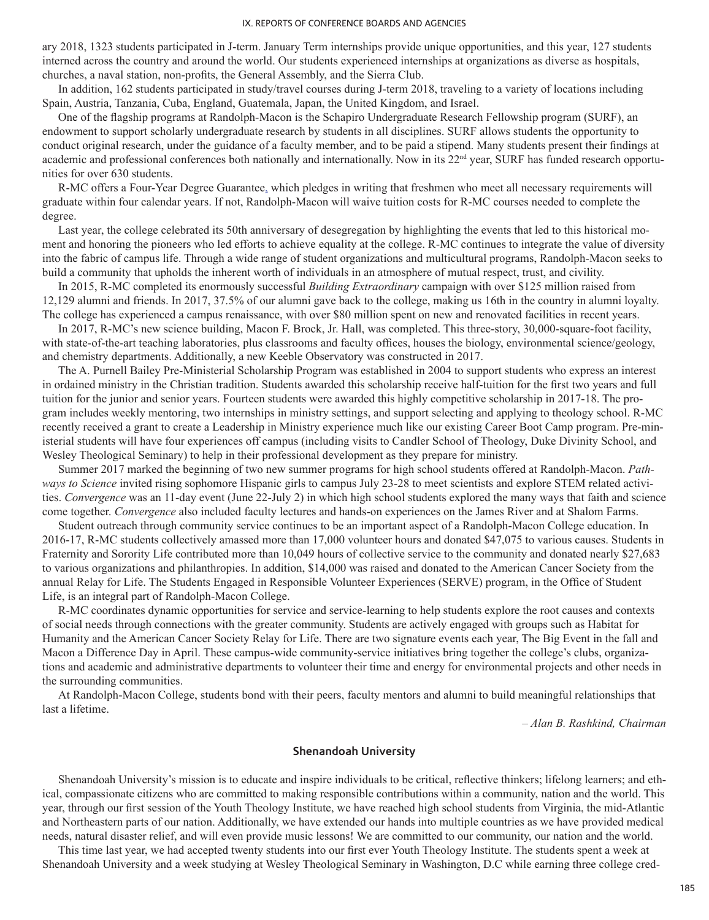ary 2018, 1323 students participated in J-term. January Term internships provide unique opportunities, and this year, 127 students interned across the country and around the world. Our students experienced internships at organizations as diverse as hospitals, churches, a naval station, non-profits, the General Assembly, and the Sierra Club.

In addition, 162 students participated in study/travel courses during J-term 2018, traveling to a variety of locations including Spain, Austria, Tanzania, Cuba, England, Guatemala, Japan, the United Kingdom, and Israel.

One of the flagship programs at Randolph-Macon is the Schapiro Undergraduate Research Fellowship program (SURF), an endowment to support scholarly undergraduate research by students in all disciplines. SURF allows students the opportunity to conduct original research, under the guidance of a faculty member, and to be paid a stipend. Many students present their findings at academic and professional conferences both nationally and internationally. Now in its 22<sup>nd</sup> year, SURF has funded research opportunities for over 630 students.

R-MC offers a Four-Year Degree Guarantee, which pledges in writing that freshmen who meet all necessary requirements will graduate within four calendar years. If not, Randolph-Macon will waive tuition costs for R-MC courses needed to complete the degree.

Last year, the college celebrated its 50th anniversary of desegregation by highlighting the events that led to this historical moment and honoring the pioneers who led efforts to achieve equality at the college. R-MC continues to integrate the value of diversity into the fabric of campus life. Through a wide range of student organizations and multicultural programs, Randolph-Macon seeks to build a community that upholds the inherent worth of individuals in an atmosphere of mutual respect, trust, and civility.

In 2015, R-MC completed its enormously successful *Building Extraordinary* campaign with over \$125 million raised from 12,129 alumni and friends. In 2017, 37.5% of our alumni gave back to the college, making us 16th in the country in alumni loyalty. The college has experienced a campus renaissance, with over \$80 million spent on new and renovated facilities in recent years.

In 2017, R-MC's new science building, Macon F. Brock, Jr. Hall, was completed. This three-story, 30,000-square-foot facility, with state-of-the-art teaching laboratories, plus classrooms and faculty offices, houses the biology, environmental science/geology, and chemistry departments. Additionally, a new Keeble Observatory was constructed in 2017.

The A. Purnell Bailey Pre-Ministerial Scholarship Program was established in 2004 to support students who express an interest in ordained ministry in the Christian tradition. Students awarded this scholarship receive half-tuition for the first two years and full tuition for the junior and senior years. Fourteen students were awarded this highly competitive scholarship in 2017-18. The program includes weekly mentoring, two internships in ministry settings, and support selecting and applying to theology school. R-MC recently received a grant to create a Leadership in Ministry experience much like our existing Career Boot Camp program. Pre-ministerial students will have four experiences off campus (including visits to Candler School of Theology, Duke Divinity School, and Wesley Theological Seminary) to help in their professional development as they prepare for ministry.

Summer 2017 marked the beginning of two new summer programs for high school students offered at Randolph-Macon. *Pathways to Science* invited rising sophomore Hispanic girls to campus July 23-28 to meet scientists and explore STEM related activities. *Convergence* was an 11-day event (June 22-July 2) in which high school students explored the many ways that faith and science come together. *Convergence* also included faculty lectures and hands-on experiences on the James River and at Shalom Farms.

Student outreach through community service continues to be an important aspect of a Randolph-Macon College education. In 2016-17, R-MC students collectively amassed more than 17,000 volunteer hours and donated \$47,075 to various causes. Students in Fraternity and Sorority Life contributed more than 10,049 hours of collective service to the community and donated nearly \$27,683 to various organizations and philanthropies. In addition, \$14,000 was raised and donated to the American Cancer Society from the annual Relay for Life. The Students Engaged in Responsible Volunteer Experiences (SERVE) program, in the Office of Student Life, is an integral part of Randolph-Macon College.

R-MC coordinates dynamic opportunities for service and service-learning to help students explore the root causes and contexts of social needs through connections with the greater community. Students are actively engaged with groups such as Habitat for Humanity and the American Cancer Society Relay for Life. There are two signature events each year, The Big Event in the fall and Macon a Difference Day in April. These campus-wide community-service initiatives bring together the college's clubs, organizations and academic and administrative departments to volunteer their time and energy for environmental projects and other needs in the surrounding communities.

At Randolph-Macon College, students bond with their peers, faculty mentors and alumni to build meaningful relationships that last a lifetime.

*– Alan B. Rashkind, Chairman*

#### **Shenandoah University**

Shenandoah University's mission is to educate and inspire individuals to be critical, reflective thinkers; lifelong learners; and ethical, compassionate citizens who are committed to making responsible contributions within a community, nation and the world. This year, through our first session of the Youth Theology Institute, we have reached high school students from Virginia, the mid-Atlantic and Northeastern parts of our nation. Additionally, we have extended our hands into multiple countries as we have provided medical needs, natural disaster relief, and will even provide music lessons! We are committed to our community, our nation and the world.

This time last year, we had accepted twenty students into our first ever Youth Theology Institute. The students spent a week at Shenandoah University and a week studying at Wesley Theological Seminary in Washington, D.C while earning three college cred-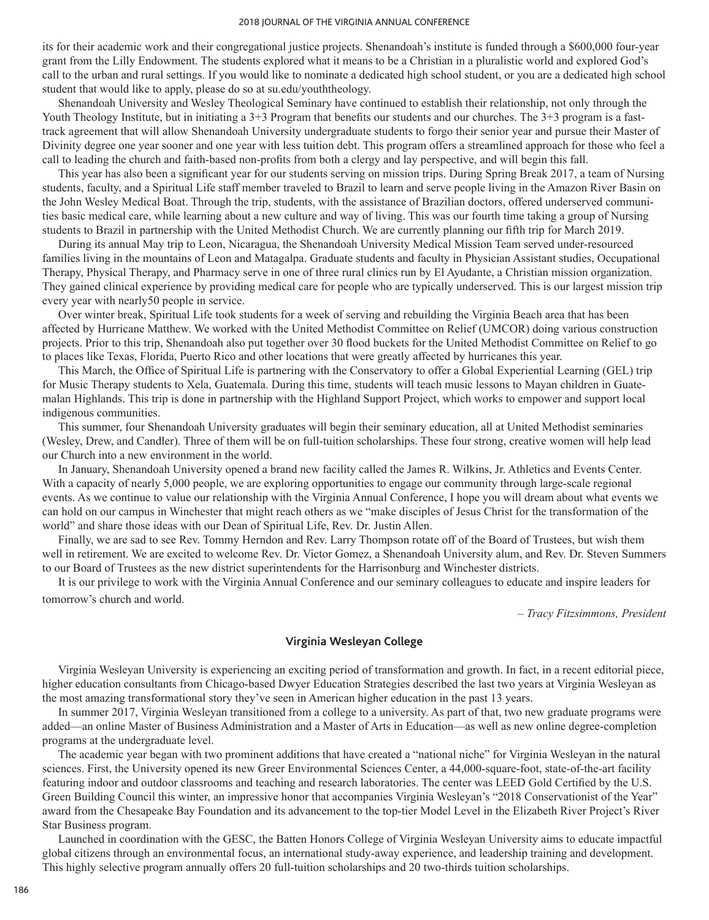its for their academic work and their congregational justice projects. Shenandoah's institute is funded through a \$600,000 four-year grant from the Lilly Endowment. The students explored what it means to be a Christian in a pluralistic world and explored God's call to the urban and rural settings. If you would like to nominate a dedicated high school student, or you are a dedicated high school student that would like to apply, please do so at su.edu/youththeology.

Shenandoah University and Wesley Theological Seminary have continued to establish their relationship, not only through the Youth Theology Institute, but in initiating a 3+3 Program that benefits our students and our churches. The 3+3 program is a fasttrack agreement that will allow Shenandoah University undergraduate students to forgo their senior year and pursue their Master of Divinity degree one year sooner and one year with less tuition debt. This program offers a streamlined approach for those who feel a call to leading the church and faith-based non-profits from both a clergy and lay perspective, and will begin this fall.

This year has also been a significant year for our students serving on mission trips. During Spring Break 2017, a team of Nursing students, faculty, and a Spiritual Life staff member traveled to Brazil to learn and serve people living in the Amazon River Basin on the John Wesley Medical Boat. Through the trip, students, with the assistance of Brazilian doctors, offered underserved communities basic medical care, while learning about a new culture and way of living. This was our fourth time taking a group of Nursing students to Brazil in partnership with the United Methodist Church. We are currently planning our fifth trip for March 2019.

During its annual May trip to Leon, Nicaragua, the Shenandoah University Medical Mission Team served under-resourced families living in the mountains of Leon and Matagalpa. Graduate students and faculty in Physician Assistant studies, Occupational Therapy, Physical Therapy, and Pharmacy serve in one of three rural clinics run by El Ayudante, a Christian mission organization. They gained clinical experience by providing medical care for people who are typically underserved. This is our largest mission trip every year with nearly50 people in service.

Over winter break, Spiritual Life took students for a week of serving and rebuilding the Virginia Beach area that has been affected by Hurricane Matthew. We worked with the United Methodist Committee on Relief (UMCOR) doing various construction projects. Prior to this trip, Shenandoah also put together over 30 flood buckets for the United Methodist Committee on Relief to go to places like Texas, Florida, Puerto Rico and other locations that were greatly affected by hurricanes this year.

This March, the Office of Spiritual Life is partnering with the Conservatory to offer a Global Experiential Learning (GEL) trip for Music Therapy students to Xela, Guatemala. During this time, students will teach music lessons to Mayan children in Guatemalan Highlands. This trip is done in partnership with the Highland Support Project, which works to empower and support local indigenous communities.

This summer, four Shenandoah University graduates will begin their seminary education, all at United Methodist seminaries (Wesley, Drew, and Candler). Three of them will be on full-tuition scholarships. These four strong, creative women will help lead our Church into a new environment in the world.

In January, Shenandoah University opened a brand new facility called the James R. Wilkins, Jr. Athletics and Events Center. With a capacity of nearly 5,000 people, we are exploring opportunities to engage our community through large-scale regional events. As we continue to value our relationship with the Virginia Annual Conference, I hope you will dream about what events we can hold on our campus in Winchester that might reach others as we "make disciples of Jesus Christ for the transformation of the world" and share those ideas with our Dean of Spiritual Life, Rev. Dr. Justin Allen.

Finally, we are sad to see Rev. Tommy Herndon and Rev. Larry Thompson rotate off of the Board of Trustees, but wish them well in retirement. We are excited to welcome Rev. Dr. Victor Gomez, a Shenandoah University alum, and Rev. Dr. Steven Summers to our Board of Trustees as the new district superintendents for the Harrisonburg and Winchester districts.

It is our privilege to work with the Virginia Annual Conference and our seminary colleagues to educate and inspire leaders for tomorrow's church and world.

*– Tracy Fitzsimmons, President*

#### **Virginia Wesleyan College**

Virginia Wesleyan University is experiencing an exciting period of transformation and growth. In fact, in a recent editorial piece, higher education consultants from Chicago-based Dwyer Education Strategies described the last two years at Virginia Wesleyan as the most amazing transformational story they've seen in American higher education in the past 13 years.

In summer 2017, Virginia Wesleyan transitioned from a college to a university. As part of that, two new graduate programs were added—an online Master of Business Administration and a Master of Arts in Education—as well as new online degree-completion programs at the undergraduate level.

The academic year began with two prominent additions that have created a "national niche" for Virginia Wesleyan in the natural sciences. First, the University opened its new Greer Environmental Sciences Center, a 44,000-square-foot, state-of-the-art facility featuring indoor and outdoor classrooms and teaching and research laboratories. The center was LEED Gold Certified by the U.S. Green Building Council this winter, an impressive honor that accompanies Virginia Wesleyan's "2018 Conservationist of the Year" award from the Chesapeake Bay Foundation and its advancement to the top-tier Model Level in the Elizabeth River Project's River Star Business program.

Launched in coordination with the GESC, the Batten Honors College of Virginia Wesleyan University aims to educate impactful global citizens through an environmental focus, an international study-away experience, and leadership training and development. This highly selective program annually offers 20 full-tuition scholarships and 20 two-thirds tuition scholarships.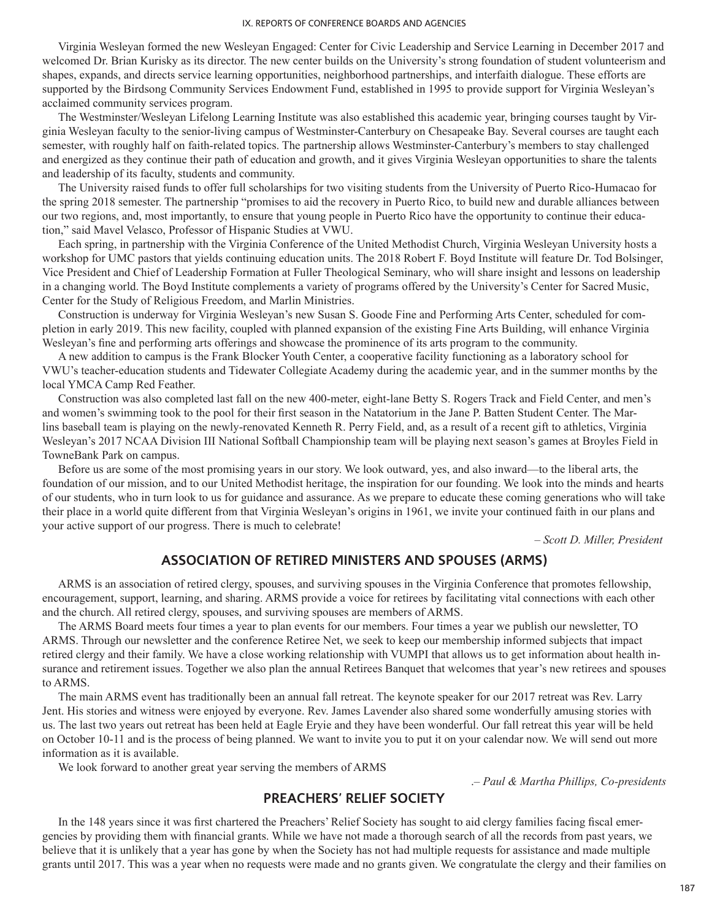Virginia Wesleyan formed the new Wesleyan Engaged: Center for Civic Leadership and Service Learning in December 2017 and welcomed Dr. Brian Kurisky as its director. The new center builds on the University's strong foundation of student volunteerism and shapes, expands, and directs service learning opportunities, neighborhood partnerships, and interfaith dialogue. These efforts are supported by the Birdsong Community Services Endowment Fund, established in 1995 to provide support for Virginia Wesleyan's acclaimed community services program.

The Westminster/Wesleyan Lifelong Learning Institute was also established this academic year, bringing courses taught by Virginia Wesleyan faculty to the senior-living campus of Westminster-Canterbury on Chesapeake Bay. Several courses are taught each semester, with roughly half on faith-related topics. The partnership allows Westminster-Canterbury's members to stay challenged and energized as they continue their path of education and growth, and it gives Virginia Wesleyan opportunities to share the talents and leadership of its faculty, students and community.

The University raised funds to offer full scholarships for two visiting students from the University of Puerto Rico-Humacao for the spring 2018 semester. The partnership "promises to aid the recovery in Puerto Rico, to build new and durable alliances between our two regions, and, most importantly, to ensure that young people in Puerto Rico have the opportunity to continue their education," said Mavel Velasco, Professor of Hispanic Studies at VWU.

Each spring, in partnership with the Virginia Conference of the United Methodist Church, Virginia Wesleyan University hosts a workshop for UMC pastors that yields continuing education units. The 2018 Robert F. Boyd Institute will feature Dr. Tod Bolsinger, Vice President and Chief of Leadership Formation at Fuller Theological Seminary, who will share insight and lessons on leadership in a changing world. The Boyd Institute complements a variety of programs offered by the University's Center for Sacred Music, Center for the Study of Religious Freedom, and Marlin Ministries.

Construction is underway for Virginia Wesleyan's new Susan S. Goode Fine and Performing Arts Center, scheduled for completion in early 2019. This new facility, coupled with planned expansion of the existing Fine Arts Building, will enhance Virginia Wesleyan's fine and performing arts offerings and showcase the prominence of its arts program to the community.

A new addition to campus is the Frank Blocker Youth Center, a cooperative facility functioning as a laboratory school for VWU's teacher-education students and Tidewater Collegiate Academy during the academic year, and in the summer months by the local YMCA Camp Red Feather.

Construction was also completed last fall on the new 400-meter, eight-lane Betty S. Rogers Track and Field Center, and men's and women's swimming took to the pool for their first season in the Natatorium in the Jane P. Batten Student Center. The Marlins baseball team is playing on the newly-renovated Kenneth R. Perry Field, and, as a result of a recent gift to athletics, Virginia Wesleyan's 2017 NCAA Division III National Softball Championship team will be playing next season's games at Broyles Field in TowneBank Park on campus.

Before us are some of the most promising years in our story. We look outward, yes, and also inward—to the liberal arts, the foundation of our mission, and to our United Methodist heritage, the inspiration for our founding. We look into the minds and hearts of our students, who in turn look to us for guidance and assurance. As we prepare to educate these coming generations who will take their place in a world quite different from that Virginia Wesleyan's origins in 1961, we invite your continued faith in our plans and your active support of our progress. There is much to celebrate!

*– Scott D. Miller, President*

# **ASSOCIATION OF RETIRED MINISTERS AND SPOUSES (ARMS)**

ARMS is an association of retired clergy, spouses, and surviving spouses in the Virginia Conference that promotes fellowship, encouragement, support, learning, and sharing. ARMS provide a voice for retirees by facilitating vital connections with each other and the church. All retired clergy, spouses, and surviving spouses are members of ARMS.

The ARMS Board meets four times a year to plan events for our members. Four times a year we publish our newsletter, TO ARMS. Through our newsletter and the conference Retiree Net, we seek to keep our membership informed subjects that impact retired clergy and their family. We have a close working relationship with VUMPI that allows us to get information about health insurance and retirement issues. Together we also plan the annual Retirees Banquet that welcomes that year's new retirees and spouses to ARMS.

The main ARMS event has traditionally been an annual fall retreat. The keynote speaker for our 2017 retreat was Rev. Larry Jent. His stories and witness were enjoyed by everyone. Rev. James Lavender also shared some wonderfully amusing stories with us. The last two years out retreat has been held at Eagle Eryie and they have been wonderful. Our fall retreat this year will be held on October 10-11 and is the process of being planned. We want to invite you to put it on your calendar now. We will send out more information as it is available.

We look forward to another great year serving the members of ARMS

.*– Paul & Martha Phillips, Co-presidents*

# **PREACHERS' RELIEF SOCIETY**

In the 148 years since it was first chartered the Preachers' Relief Society has sought to aid clergy families facing fiscal emergencies by providing them with financial grants. While we have not made a thorough search of all the records from past years, we believe that it is unlikely that a year has gone by when the Society has not had multiple requests for assistance and made multiple grants until 2017. This was a year when no requests were made and no grants given. We congratulate the clergy and their families on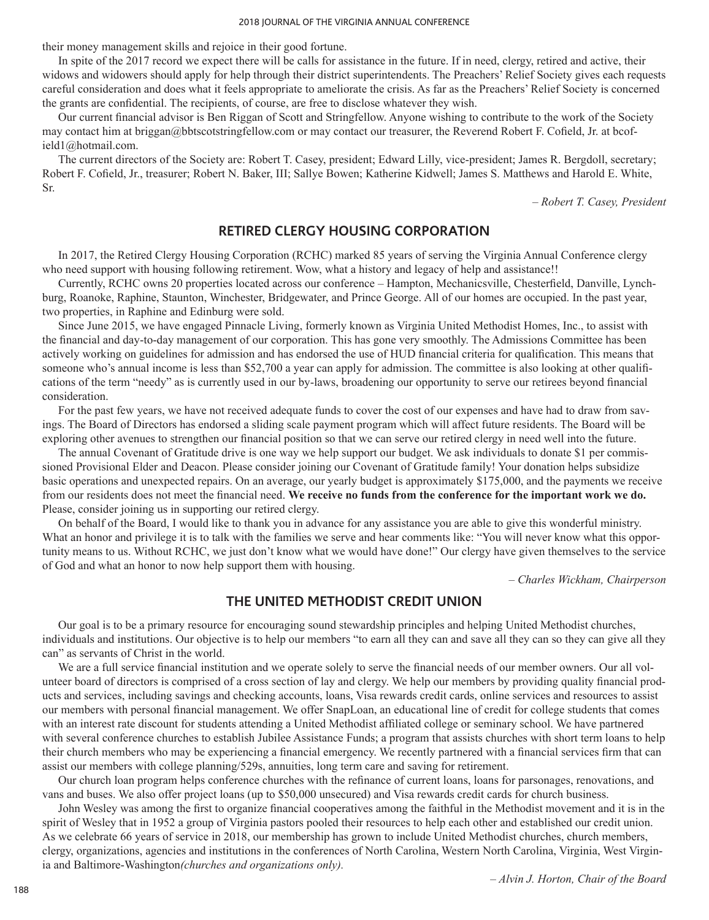their money management skills and rejoice in their good fortune.

In spite of the 2017 record we expect there will be calls for assistance in the future. If in need, clergy, retired and active, their widows and widowers should apply for help through their district superintendents. The Preachers' Relief Society gives each requests careful consideration and does what it feels appropriate to ameliorate the crisis. As far as the Preachers' Relief Society is concerned the grants are confidential. The recipients, of course, are free to disclose whatever they wish.

Our current financial advisor is Ben Riggan of Scott and Stringfellow. Anyone wishing to contribute to the work of the Society may contact him at briggan@bbtscotstringfellow.com or may contact our treasurer, the Reverend Robert F. Cofield, Jr. at bcofield1@hotmail.com.

The current directors of the Society are: Robert T. Casey, president; Edward Lilly, vice-president; James R. Bergdoll, secretary; Robert F. Cofield, Jr., treasurer; Robert N. Baker, III; Sallye Bowen; Katherine Kidwell; James S. Matthews and Harold E. White, Sr.

*– Robert T. Casey, President*

# **RETIRED CLERGY HOUSING CORPORATION**

In 2017, the Retired Clergy Housing Corporation (RCHC) marked 85 years of serving the Virginia Annual Conference clergy who need support with housing following retirement. Wow, what a history and legacy of help and assistance!!

Currently, RCHC owns 20 properties located across our conference – Hampton, Mechanicsville, Chesterfield, Danville, Lynchburg, Roanoke, Raphine, Staunton, Winchester, Bridgewater, and Prince George. All of our homes are occupied. In the past year, two properties, in Raphine and Edinburg were sold.

Since June 2015, we have engaged Pinnacle Living, formerly known as Virginia United Methodist Homes, Inc., to assist with the financial and day-to-day management of our corporation. This has gone very smoothly. The Admissions Committee has been actively working on guidelines for admission and has endorsed the use of HUD financial criteria for qualification. This means that someone who's annual income is less than \$52,700 a year can apply for admission. The committee is also looking at other qualifications of the term "needy" as is currently used in our by-laws, broadening our opportunity to serve our retirees beyond financial consideration.

For the past few years, we have not received adequate funds to cover the cost of our expenses and have had to draw from savings. The Board of Directors has endorsed a sliding scale payment program which will affect future residents. The Board will be exploring other avenues to strengthen our financial position so that we can serve our retired clergy in need well into the future.

The annual Covenant of Gratitude drive is one way we help support our budget. We ask individuals to donate \$1 per commissioned Provisional Elder and Deacon. Please consider joining our Covenant of Gratitude family! Your donation helps subsidize basic operations and unexpected repairs. On an average, our yearly budget is approximately \$175,000, and the payments we receive from our residents does not meet the financial need. **We receive no funds from the conference for the important work we do.** Please, consider joining us in supporting our retired clergy.

On behalf of the Board, I would like to thank you in advance for any assistance you are able to give this wonderful ministry. What an honor and privilege it is to talk with the families we serve and hear comments like: "You will never know what this opportunity means to us. Without RCHC, we just don't know what we would have done!" Our clergy have given themselves to the service of God and what an honor to now help support them with housing.

*– Charles Wickham, Chairperson*

# **THE UNITED METHODIST CREDIT UNION**

Our goal is to be a primary resource for encouraging sound stewardship principles and helping United Methodist churches, individuals and institutions. Our objective is to help our members "to earn all they can and save all they can so they can give all they can" as servants of Christ in the world.

We are a full service financial institution and we operate solely to serve the financial needs of our member owners. Our all volunteer board of directors is comprised of a cross section of lay and clergy. We help our members by providing quality financial products and services, including savings and checking accounts, loans, Visa rewards credit cards, online services and resources to assist our members with personal financial management. We offer SnapLoan, an educational line of credit for college students that comes with an interest rate discount for students attending a United Methodist affiliated college or seminary school. We have partnered with several conference churches to establish Jubilee Assistance Funds; a program that assists churches with short term loans to help their church members who may be experiencing a financial emergency. We recently partnered with a financial services firm that can assist our members with college planning/529s, annuities, long term care and saving for retirement.

Our church loan program helps conference churches with the refinance of current loans, loans for parsonages, renovations, and vans and buses. We also offer project loans (up to \$50,000 unsecured) and Visa rewards credit cards for church business.

John Wesley was among the first to organize financial cooperatives among the faithful in the Methodist movement and it is in the spirit of Wesley that in 1952 a group of Virginia pastors pooled their resources to help each other and established our credit union. As we celebrate 66 years of service in 2018, our membership has grown to include United Methodist churches, church members, clergy, organizations, agencies and institutions in the conferences of North Carolina, Western North Carolina, Virginia, West Virginia and Baltimore-Washington*(churches and organizations only).*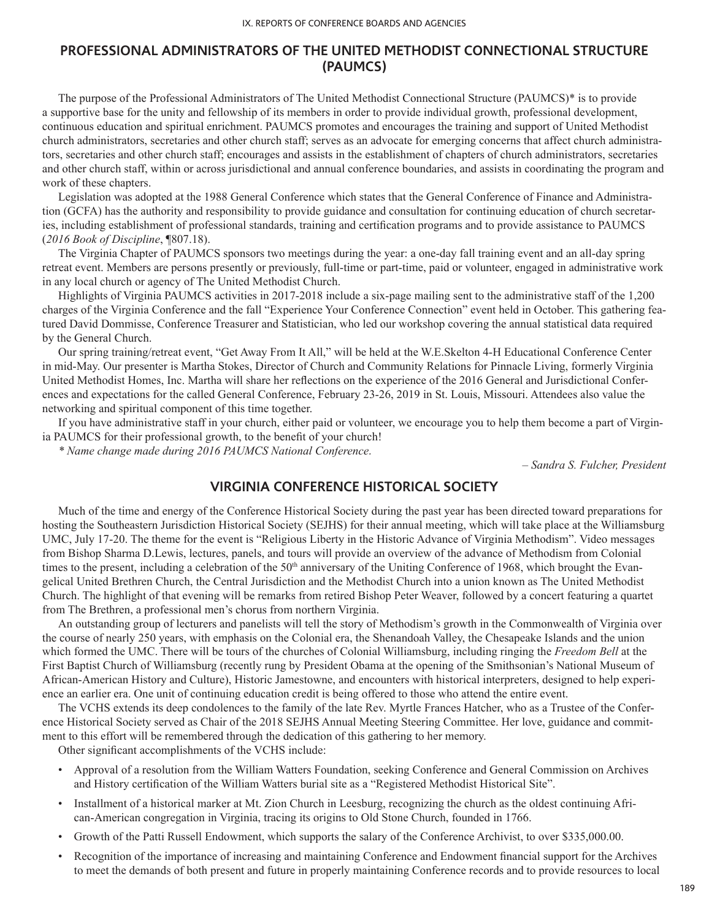# **PROFESSIONAL ADMINISTRATORS OF THE UNITED METHODIST CONNECTIONAL STRUCTURE (PAUMCS)**

The purpose of the Professional Administrators of The United Methodist Connectional Structure (PAUMCS)\* is to provide a supportive base for the unity and fellowship of its members in order to provide individual growth, professional development, continuous education and spiritual enrichment. PAUMCS promotes and encourages the training and support of United Methodist church administrators, secretaries and other church staff; serves as an advocate for emerging concerns that affect church administrators, secretaries and other church staff; encourages and assists in the establishment of chapters of church administrators, secretaries and other church staff, within or across jurisdictional and annual conference boundaries, and assists in coordinating the program and work of these chapters.

Legislation was adopted at the 1988 General Conference which states that the General Conference of Finance and Administration (GCFA) has the authority and responsibility to provide guidance and consultation for continuing education of church secretaries, including establishment of professional standards, training and certification programs and to provide assistance to PAUMCS (*2016 Book of Discipline*, ¶807.18).

The Virginia Chapter of PAUMCS sponsors two meetings during the year: a one-day fall training event and an all-day spring retreat event. Members are persons presently or previously, full-time or part-time, paid or volunteer, engaged in administrative work in any local church or agency of The United Methodist Church.

Highlights of Virginia PAUMCS activities in 2017-2018 include a six-page mailing sent to the administrative staff of the 1,200 charges of the Virginia Conference and the fall "Experience Your Conference Connection" event held in October. This gathering featured David Dommisse, Conference Treasurer and Statistician, who led our workshop covering the annual statistical data required by the General Church.

Our spring training/retreat event, "Get Away From It All," will be held at the W.E.Skelton 4-H Educational Conference Center in mid-May. Our presenter is Martha Stokes, Director of Church and Community Relations for Pinnacle Living, formerly Virginia United Methodist Homes, Inc. Martha will share her reflections on the experience of the 2016 General and Jurisdictional Conferences and expectations for the called General Conference, February 23-26, 2019 in St. Louis, Missouri. Attendees also value the networking and spiritual component of this time together.

If you have administrative staff in your church, either paid or volunteer, we encourage you to help them become a part of Virginia PAUMCS for their professional growth, to the benefit of your church!

*\* Name change made during 2016 PAUMCS National Conference.*

*– Sandra S. Fulcher, President*

# **VIRGINIA CONFERENCE HISTORICAL SOCIETY**

Much of the time and energy of the Conference Historical Society during the past year has been directed toward preparations for hosting the Southeastern Jurisdiction Historical Society (SEJHS) for their annual meeting, which will take place at the Williamsburg UMC, July 17-20. The theme for the event is "Religious Liberty in the Historic Advance of Virginia Methodism". Video messages from Bishop Sharma D.Lewis, lectures, panels, and tours will provide an overview of the advance of Methodism from Colonial times to the present, including a celebration of the 50<sup>th</sup> anniversary of the Uniting Conference of 1968, which brought the Evangelical United Brethren Church, the Central Jurisdiction and the Methodist Church into a union known as The United Methodist Church. The highlight of that evening will be remarks from retired Bishop Peter Weaver, followed by a concert featuring a quartet from The Brethren, a professional men's chorus from northern Virginia.

An outstanding group of lecturers and panelists will tell the story of Methodism's growth in the Commonwealth of Virginia over the course of nearly 250 years, with emphasis on the Colonial era, the Shenandoah Valley, the Chesapeake Islands and the union which formed the UMC. There will be tours of the churches of Colonial Williamsburg, including ringing the *Freedom Bell* at the First Baptist Church of Williamsburg (recently rung by President Obama at the opening of the Smithsonian's National Museum of African-American History and Culture), Historic Jamestowne, and encounters with historical interpreters, designed to help experience an earlier era. One unit of continuing education credit is being offered to those who attend the entire event.

The VCHS extends its deep condolences to the family of the late Rev. Myrtle Frances Hatcher, who as a Trustee of the Conference Historical Society served as Chair of the 2018 SEJHS Annual Meeting Steering Committee. Her love, guidance and commitment to this effort will be remembered through the dedication of this gathering to her memory.

Other significant accomplishments of the VCHS include:

- Approval of a resolution from the William Watters Foundation, seeking Conference and General Commission on Archives and History certification of the William Watters burial site as a "Registered Methodist Historical Site".
- Installment of a historical marker at Mt. Zion Church in Leesburg, recognizing the church as the oldest continuing African-American congregation in Virginia, tracing its origins to Old Stone Church, founded in 1766.
- Growth of the Patti Russell Endowment, which supports the salary of the Conference Archivist, to over \$335,000.00.
- Recognition of the importance of increasing and maintaining Conference and Endowment financial support for the Archives to meet the demands of both present and future in properly maintaining Conference records and to provide resources to local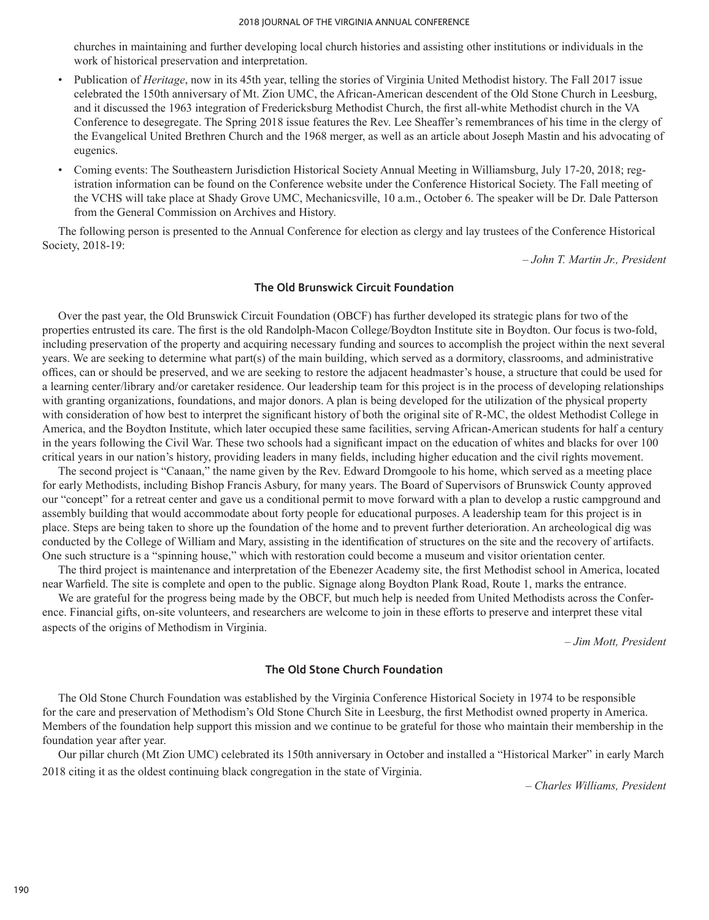churches in maintaining and further developing local church histories and assisting other institutions or individuals in the work of historical preservation and interpretation.

- Publication of *Heritage*, now in its 45th year, telling the stories of Virginia United Methodist history. The Fall 2017 issue celebrated the 150th anniversary of Mt. Zion UMC, the African-American descendent of the Old Stone Church in Leesburg, and it discussed the 1963 integration of Fredericksburg Methodist Church, the first all-white Methodist church in the VA Conference to desegregate. The Spring 2018 issue features the Rev. Lee Sheaffer's remembrances of his time in the clergy of the Evangelical United Brethren Church and the 1968 merger, as well as an article about Joseph Mastin and his advocating of eugenics.
- Coming events: The Southeastern Jurisdiction Historical Society Annual Meeting in Williamsburg, July 17-20, 2018; registration information can be found on the Conference website under the Conference Historical Society. The Fall meeting of the VCHS will take place at Shady Grove UMC, Mechanicsville, 10 a.m., October 6. The speaker will be Dr. Dale Patterson from the General Commission on Archives and History.

The following person is presented to the Annual Conference for election as clergy and lay trustees of the Conference Historical Society, 2018-19:

*– John T. Martin Jr., President*

#### **The Old Brunswick Circuit Foundation**

Over the past year, the Old Brunswick Circuit Foundation (OBCF) has further developed its strategic plans for two of the properties entrusted its care. The first is the old Randolph-Macon College/Boydton Institute site in Boydton. Our focus is two-fold, including preservation of the property and acquiring necessary funding and sources to accomplish the project within the next several years. We are seeking to determine what part(s) of the main building, which served as a dormitory, classrooms, and administrative offices, can or should be preserved, and we are seeking to restore the adjacent headmaster's house, a structure that could be used for a learning center/library and/or caretaker residence. Our leadership team for this project is in the process of developing relationships with granting organizations, foundations, and major donors. A plan is being developed for the utilization of the physical property with consideration of how best to interpret the significant history of both the original site of R-MC, the oldest Methodist College in America, and the Boydton Institute, which later occupied these same facilities, serving African-American students for half a century in the years following the Civil War. These two schools had a significant impact on the education of whites and blacks for over 100 critical years in our nation's history, providing leaders in many fields, including higher education and the civil rights movement.

The second project is "Canaan," the name given by the Rev. Edward Dromgoole to his home, which served as a meeting place for early Methodists, including Bishop Francis Asbury, for many years. The Board of Supervisors of Brunswick County approved our "concept" for a retreat center and gave us a conditional permit to move forward with a plan to develop a rustic campground and assembly building that would accommodate about forty people for educational purposes. A leadership team for this project is in place. Steps are being taken to shore up the foundation of the home and to prevent further deterioration. An archeological dig was conducted by the College of William and Mary, assisting in the identification of structures on the site and the recovery of artifacts. One such structure is a "spinning house," which with restoration could become a museum and visitor orientation center.

The third project is maintenance and interpretation of the Ebenezer Academy site, the first Methodist school in America, located near Warfield. The site is complete and open to the public. Signage along Boydton Plank Road, Route 1, marks the entrance.

We are grateful for the progress being made by the OBCF, but much help is needed from United Methodists across the Conference. Financial gifts, on-site volunteers, and researchers are welcome to join in these efforts to preserve and interpret these vital aspects of the origins of Methodism in Virginia.

*– Jim Mott, President*

### **The Old Stone Church Foundation**

The Old Stone Church Foundation was established by the Virginia Conference Historical Society in 1974 to be responsible for the care and preservation of Methodism's Old Stone Church Site in Leesburg, the first Methodist owned property in America. Members of the foundation help support this mission and we continue to be grateful for those who maintain their membership in the foundation year after year.

Our pillar church (Mt Zion UMC) celebrated its 150th anniversary in October and installed a "Historical Marker" in early March 2018 citing it as the oldest continuing black congregation in the state of Virginia.

*– Charles Williams, President*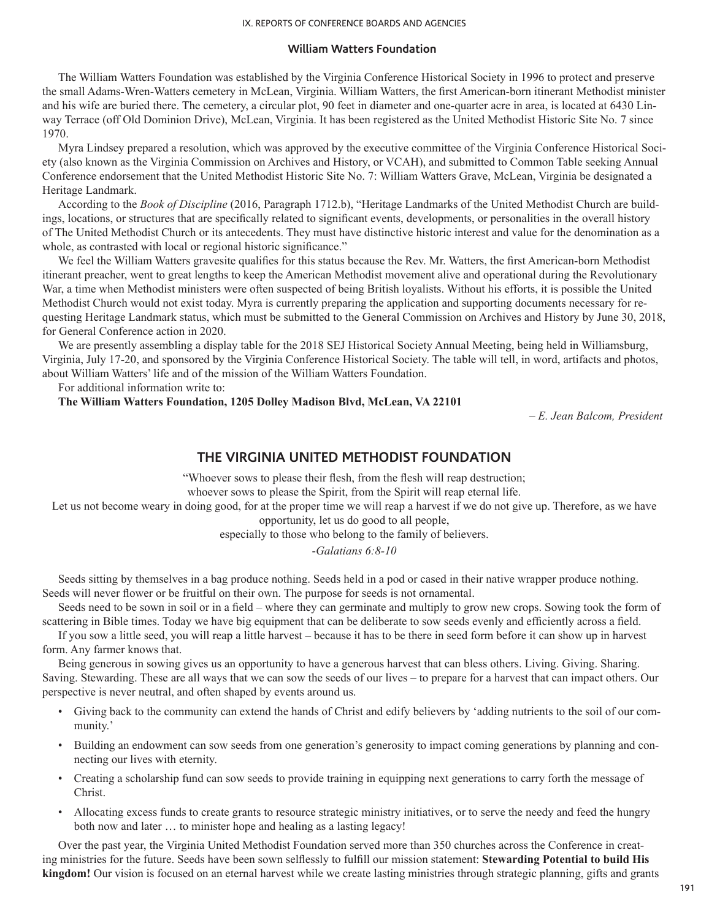#### **William Watters Foundation**

The William Watters Foundation was established by the Virginia Conference Historical Society in 1996 to protect and preserve the small Adams-Wren-Watters cemetery in McLean, Virginia. William Watters, the first American-born itinerant Methodist minister and his wife are buried there. The cemetery, a circular plot, 90 feet in diameter and one-quarter acre in area, is located at 6430 Linway Terrace (off Old Dominion Drive), McLean, Virginia. It has been registered as the United Methodist Historic Site No. 7 since 1970.

Myra Lindsey prepared a resolution, which was approved by the executive committee of the Virginia Conference Historical Society (also known as the Virginia Commission on Archives and History, or VCAH), and submitted to Common Table seeking Annual Conference endorsement that the United Methodist Historic Site No. 7: William Watters Grave, McLean, Virginia be designated a Heritage Landmark.

According to the *Book of Discipline* (2016, Paragraph 1712.b), "Heritage Landmarks of the United Methodist Church are buildings, locations, or structures that are specifically related to significant events, developments, or personalities in the overall history of The United Methodist Church or its antecedents. They must have distinctive historic interest and value for the denomination as a whole, as contrasted with local or regional historic significance."

We feel the William Watters gravesite qualifies for this status because the Rev. Mr. Watters, the first American-born Methodist itinerant preacher, went to great lengths to keep the American Methodist movement alive and operational during the Revolutionary War, a time when Methodist ministers were often suspected of being British loyalists. Without his efforts, it is possible the United Methodist Church would not exist today. Myra is currently preparing the application and supporting documents necessary for requesting Heritage Landmark status, which must be submitted to the General Commission on Archives and History by June 30, 2018, for General Conference action in 2020.

We are presently assembling a display table for the 2018 SEJ Historical Society Annual Meeting, being held in Williamsburg, Virginia, July 17-20, and sponsored by the Virginia Conference Historical Society. The table will tell, in word, artifacts and photos, about William Watters' life and of the mission of the William Watters Foundation.

For additional information write to:

**The William Watters Foundation, 1205 Dolley Madison Blvd, McLean, VA 22101**

*– E. Jean Balcom, President*

## **THE VIRGINIA UNITED METHODIST FOUNDATION**

"Whoever sows to please their flesh, from the flesh will reap destruction; whoever sows to please the Spirit, from the Spirit will reap eternal life.

Let us not become weary in doing good, for at the proper time we will reap a harvest if we do not give up. Therefore, as we have opportunity, let us do good to all people,

especially to those who belong to the family of believers.

-*Galatians 6:8-10*

Seeds sitting by themselves in a bag produce nothing. Seeds held in a pod or cased in their native wrapper produce nothing. Seeds will never flower or be fruitful on their own. The purpose for seeds is not ornamental.

Seeds need to be sown in soil or in a field – where they can germinate and multiply to grow new crops. Sowing took the form of scattering in Bible times. Today we have big equipment that can be deliberate to sow seeds evenly and efficiently across a field.

If you sow a little seed, you will reap a little harvest – because it has to be there in seed form before it can show up in harvest form. Any farmer knows that.

Being generous in sowing gives us an opportunity to have a generous harvest that can bless others. Living. Giving. Sharing. Saving. Stewarding. These are all ways that we can sow the seeds of our lives – to prepare for a harvest that can impact others. Our perspective is never neutral, and often shaped by events around us.

- Giving back to the community can extend the hands of Christ and edify believers by 'adding nutrients to the soil of our community.'
- Building an endowment can sow seeds from one generation's generosity to impact coming generations by planning and connecting our lives with eternity.
- Creating a scholarship fund can sow seeds to provide training in equipping next generations to carry forth the message of Christ.
- Allocating excess funds to create grants to resource strategic ministry initiatives, or to serve the needy and feed the hungry both now and later … to minister hope and healing as a lasting legacy!

Over the past year, the Virginia United Methodist Foundation served more than 350 churches across the Conference in creating ministries for the future. Seeds have been sown selflessly to fulfill our mission statement: **Stewarding Potential to build His kingdom!** Our vision is focused on an eternal harvest while we create lasting ministries through strategic planning, gifts and grants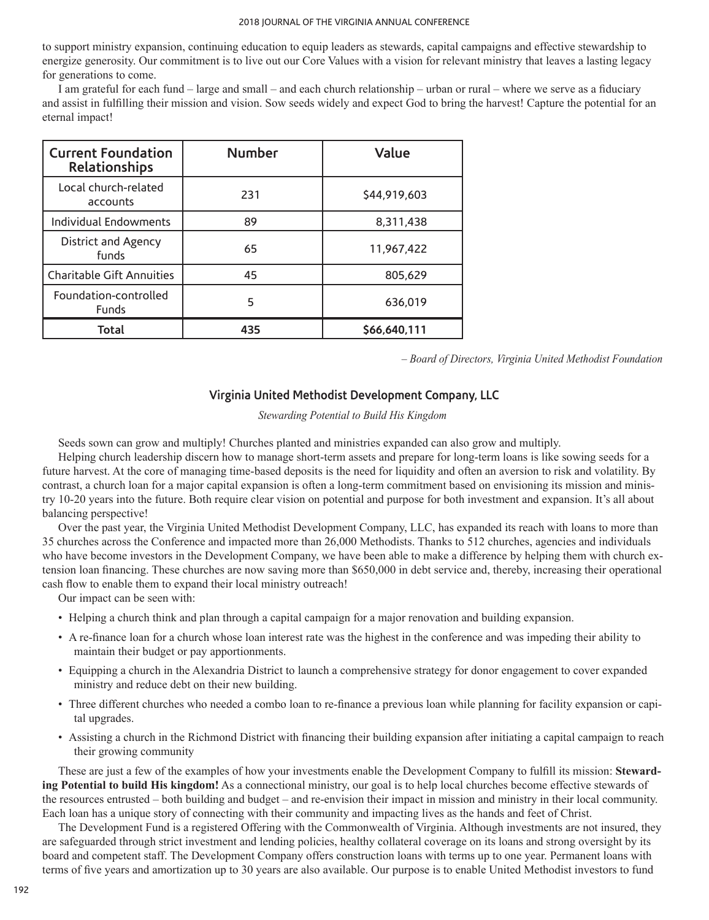to support ministry expansion, continuing education to equip leaders as stewards, capital campaigns and effective stewardship to energize generosity. Our commitment is to live out our Core Values with a vision for relevant ministry that leaves a lasting legacy for generations to come.

I am grateful for each fund – large and small – and each church relationship – urban or rural – where we serve as a fiduciary and assist in fulfilling their mission and vision. Sow seeds widely and expect God to bring the harvest! Capture the potential for an eternal impact!

| <b>Current Foundation</b><br><b>Relationships</b> | <b>Number</b> | Value        |
|---------------------------------------------------|---------------|--------------|
| Local church-related<br>accounts                  | 231           | \$44,919,603 |
| Individual Endowments                             | 89            | 8.311.438    |
| District and Agency<br>funds                      | 65            | 11.967.422   |
| <b>Charitable Gift Annuities</b>                  | 45            | 805,629      |
| Foundation-controlled<br>Funds                    | 5             | 636,019      |
| Total                                             | 435           | \$66,640,111 |

*– Board of Directors, Virginia United Methodist Foundation*

# **Virginia United Methodist Development Company, LLC**

*Stewarding Potential to Build His Kingdom*

Seeds sown can grow and multiply! Churches planted and ministries expanded can also grow and multiply.

Helping church leadership discern how to manage short-term assets and prepare for long-term loans is like sowing seeds for a future harvest. At the core of managing time-based deposits is the need for liquidity and often an aversion to risk and volatility. By contrast, a church loan for a major capital expansion is often a long-term commitment based on envisioning its mission and ministry 10-20 years into the future. Both require clear vision on potential and purpose for both investment and expansion. It's all about balancing perspective!

Over the past year, the Virginia United Methodist Development Company, LLC, has expanded its reach with loans to more than 35 churches across the Conference and impacted more than 26,000 Methodists. Thanks to 512 churches, agencies and individuals who have become investors in the Development Company, we have been able to make a difference by helping them with church extension loan financing. These churches are now saving more than \$650,000 in debt service and, thereby, increasing their operational cash flow to enable them to expand their local ministry outreach!

Our impact can be seen with:

- Helping a church think and plan through a capital campaign for a major renovation and building expansion.
- A re-finance loan for a church whose loan interest rate was the highest in the conference and was impeding their ability to maintain their budget or pay apportionments.
- Equipping a church in the Alexandria District to launch a comprehensive strategy for donor engagement to cover expanded ministry and reduce debt on their new building.
- Three different churches who needed a combo loan to re-finance a previous loan while planning for facility expansion or capital upgrades.
- Assisting a church in the Richmond District with financing their building expansion after initiating a capital campaign to reach their growing community

These are just a few of the examples of how your investments enable the Development Company to fulfill its mission: **Stewarding Potential to build His kingdom!** As a connectional ministry, our goal is to help local churches become effective stewards of the resources entrusted – both building and budget – and re-envision their impact in mission and ministry in their local community. Each loan has a unique story of connecting with their community and impacting lives as the hands and feet of Christ.

The Development Fund is a registered Offering with the Commonwealth of Virginia. Although investments are not insured, they are safeguarded through strict investment and lending policies, healthy collateral coverage on its loans and strong oversight by its board and competent staff. The Development Company offers construction loans with terms up to one year. Permanent loans with terms of five years and amortization up to 30 years are also available. Our purpose is to enable United Methodist investors to fund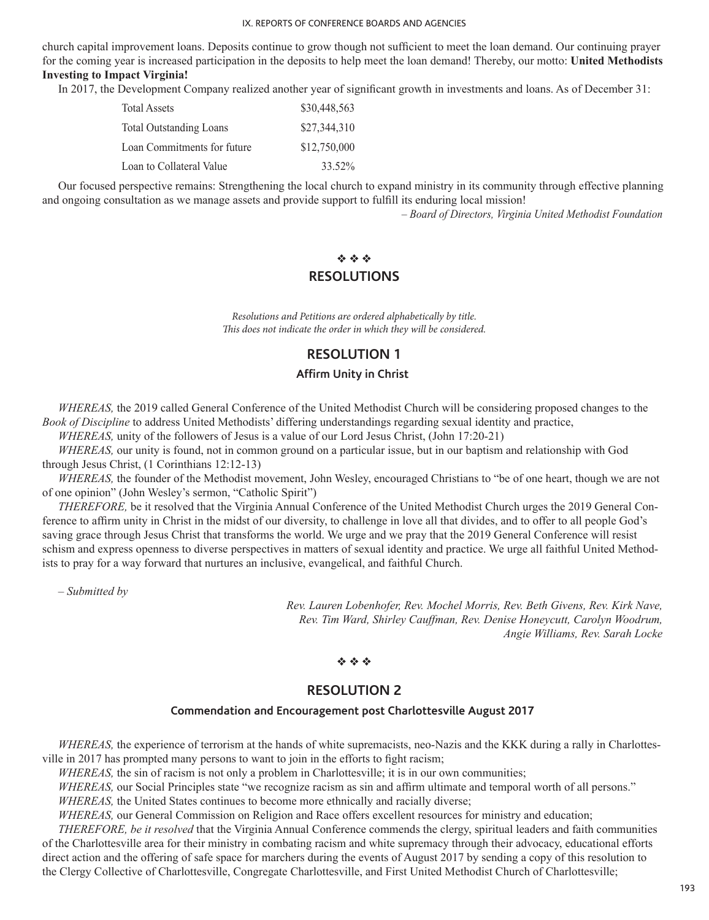church capital improvement loans. Deposits continue to grow though not sufficient to meet the loan demand. Our continuing prayer for the coming year is increased participation in the deposits to help meet the loan demand! Thereby, our motto: **United Methodists Investing to Impact Virginia!**

In 2017, the Development Company realized another year of significant growth in investments and loans. As of December 31:

| <b>Total Assets</b>            | \$30,448,563 |
|--------------------------------|--------------|
| <b>Total Outstanding Loans</b> | \$27,344,310 |
| Loan Commitments for future    | \$12,750,000 |
| Loan to Collateral Value       | 33.52%       |

Our focused perspective remains: Strengthening the local church to expand ministry in its community through effective planning and ongoing consultation as we manage assets and provide support to fulfill its enduring local mission!

*– Board of Directors, Virginia United Methodist Foundation*

# $\Phi \Phi \Phi$

# **RESOLUTIONS**

*Resolutions and Petitions are ordered alphabetically by title. This does not indicate the order in which they will be considered.*

# **RESOLUTION 1**

# **Affirm Unity in Christ**

*WHEREAS,* the 2019 called General Conference of the United Methodist Church will be considering proposed changes to the *Book of Discipline* to address United Methodists' differing understandings regarding sexual identity and practice,

*WHEREAS,* unity of the followers of Jesus is a value of our Lord Jesus Christ, (John 17:20-21)

*WHEREAS,* our unity is found, not in common ground on a particular issue, but in our baptism and relationship with God through Jesus Christ, (1 Corinthians 12:12-13)

*WHEREAS,* the founder of the Methodist movement, John Wesley, encouraged Christians to "be of one heart, though we are not of one opinion" (John Wesley's sermon, "Catholic Spirit")

*THEREFORE,* be it resolved that the Virginia Annual Conference of the United Methodist Church urges the 2019 General Conference to affirm unity in Christ in the midst of our diversity, to challenge in love all that divides, and to offer to all people God's saving grace through Jesus Christ that transforms the world. We urge and we pray that the 2019 General Conference will resist schism and express openness to diverse perspectives in matters of sexual identity and practice. We urge all faithful United Methodists to pray for a way forward that nurtures an inclusive, evangelical, and faithful Church.

*– Submitted by*

*Rev. Lauren Lobenhofer, Rev. Mochel Morris, Rev. Beth Givens, Rev. Kirk Nave, Rev. Tim Ward, Shirley Cauffman, Rev. Denise Honeycutt, Carolyn Woodrum, Angie Williams, Rev. Sarah Locke*

## $\Phi \Phi \Phi$

# **RESOLUTION 2**

## **Commendation and Encouragement post Charlottesville August 2017**

*WHEREAS*, the experience of terrorism at the hands of white supremacists, neo-Nazis and the KKK during a rally in Charlottesville in 2017 has prompted many persons to want to join in the efforts to fight racism;

*WHEREAS*, the sin of racism is not only a problem in Charlottesville; it is in our own communities;

*WHEREAS,* our Social Principles state "we recognize racism as sin and affirm ultimate and temporal worth of all persons."

*WHEREAS,* the United States continues to become more ethnically and racially diverse;

*WHEREAS,* our General Commission on Religion and Race offers excellent resources for ministry and education;

*THEREFORE, be it resolved* that the Virginia Annual Conference commends the clergy, spiritual leaders and faith communities of the Charlottesville area for their ministry in combating racism and white supremacy through their advocacy, educational efforts direct action and the offering of safe space for marchers during the events of August 2017 by sending a copy of this resolution to the Clergy Collective of Charlottesville, Congregate Charlottesville, and First United Methodist Church of Charlottesville;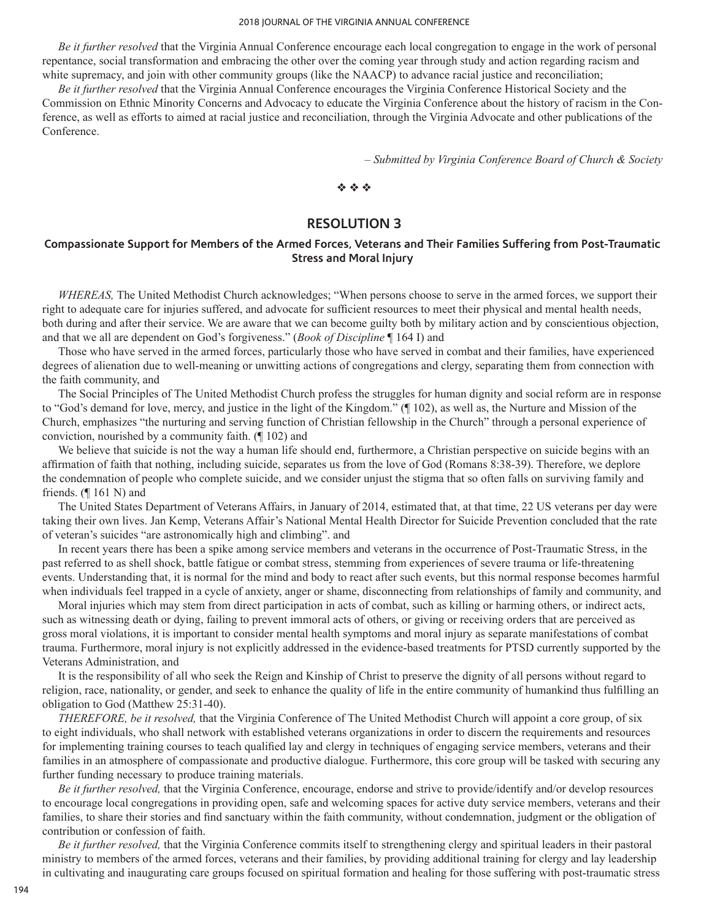#### 2018 JOURNAL OF THE VIRGINIA ANNUAL CONFERENCE

*Be it further resolved* that the Virginia Annual Conference encourage each local congregation to engage in the work of personal repentance, social transformation and embracing the other over the coming year through study and action regarding racism and white supremacy, and join with other community groups (like the NAACP) to advance racial justice and reconciliation;

*Be it further resolved* that the Virginia Annual Conference encourages the Virginia Conference Historical Society and the Commission on Ethnic Minority Concerns and Advocacy to educate the Virginia Conference about the history of racism in the Conference, as well as efforts to aimed at racial justice and reconciliation, through the Virginia Advocate and other publications of the Conference.

*– Submitted by Virginia Conference Board of Church & Society*

### $\phi_2$   $\phi_3$

# **RESOLUTION 3**

# **Compassionate Support for Members of the Armed Forces, Veterans and Their Families Suffering from Post-Traumatic Stress and Moral Injury**

*WHEREAS,* The United Methodist Church acknowledges; "When persons choose to serve in the armed forces, we support their right to adequate care for injuries suffered, and advocate for sufficient resources to meet their physical and mental health needs, both during and after their service. We are aware that we can become guilty both by military action and by conscientious objection, and that we all are dependent on God's forgiveness." (*Book of Discipline* ¶ 164 I) and

Those who have served in the armed forces, particularly those who have served in combat and their families, have experienced degrees of alienation due to well-meaning or unwitting actions of congregations and clergy, separating them from connection with the faith community, and

The Social Principles of The United Methodist Church profess the struggles for human dignity and social reform are in response to "God's demand for love, mercy, and justice in the light of the Kingdom." (¶ 102), as well as, the Nurture and Mission of the Church, emphasizes "the nurturing and serving function of Christian fellowship in the Church" through a personal experience of conviction, nourished by a community faith. (¶ 102) and

We believe that suicide is not the way a human life should end, furthermore, a Christian perspective on suicide begins with an affirmation of faith that nothing, including suicide, separates us from the love of God (Romans 8:38-39). Therefore, we deplore the condemnation of people who complete suicide, and we consider unjust the stigma that so often falls on surviving family and friends.  $($  [ 161 N) and

The United States Department of Veterans Affairs, in January of 2014, estimated that, at that time, 22 US veterans per day were taking their own lives. Jan Kemp, Veterans Affair's National Mental Health Director for Suicide Prevention concluded that the rate of veteran's suicides "are astronomically high and climbing". and

In recent years there has been a spike among service members and veterans in the occurrence of Post-Traumatic Stress, in the past referred to as shell shock, battle fatigue or combat stress, stemming from experiences of severe trauma or life-threatening events. Understanding that, it is normal for the mind and body to react after such events, but this normal response becomes harmful when individuals feel trapped in a cycle of anxiety, anger or shame, disconnecting from relationships of family and community, and

Moral injuries which may stem from direct participation in acts of combat, such as killing or harming others, or indirect acts, such as witnessing death or dying, failing to prevent immoral acts of others, or giving or receiving orders that are perceived as gross moral violations, it is important to consider mental health symptoms and moral injury as separate manifestations of combat trauma. Furthermore, moral injury is not explicitly addressed in the evidence-based treatments for PTSD currently supported by the Veterans Administration, and

It is the responsibility of all who seek the Reign and Kinship of Christ to preserve the dignity of all persons without regard to religion, race, nationality, or gender, and seek to enhance the quality of life in the entire community of humankind thus fulfilling an obligation to God (Matthew 25:31-40).

*THEREFORE, be it resolved,* that the Virginia Conference of The United Methodist Church will appoint a core group, of six to eight individuals, who shall network with established veterans organizations in order to discern the requirements and resources for implementing training courses to teach qualified lay and clergy in techniques of engaging service members, veterans and their families in an atmosphere of compassionate and productive dialogue. Furthermore, this core group will be tasked with securing any further funding necessary to produce training materials.

*Be it further resolved,* that the Virginia Conference, encourage, endorse and strive to provide/identify and/or develop resources to encourage local congregations in providing open, safe and welcoming spaces for active duty service members, veterans and their families, to share their stories and find sanctuary within the faith community, without condemnation, judgment or the obligation of contribution or confession of faith.

*Be it further resolved,* that the Virginia Conference commits itself to strengthening clergy and spiritual leaders in their pastoral ministry to members of the armed forces, veterans and their families, by providing additional training for clergy and lay leadership in cultivating and inaugurating care groups focused on spiritual formation and healing for those suffering with post-traumatic stress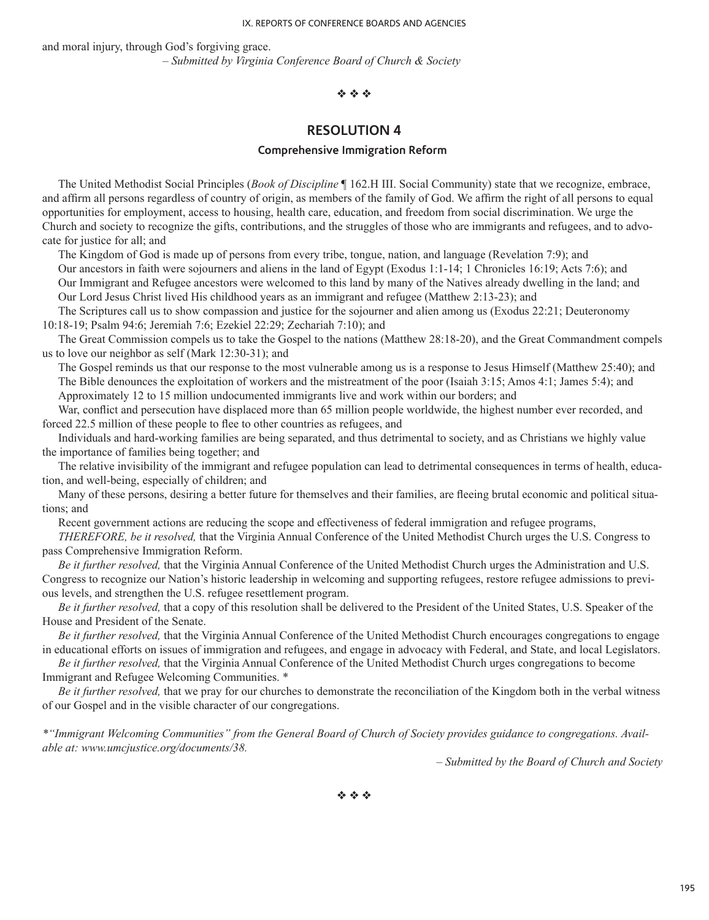and moral injury, through God's forgiving grace. *– Submitted by Virginia Conference Board of Church & Society*

### $\Phi$   $\Phi$   $\Phi$

# **RESOLUTION 4**

#### **Comprehensive Immigration Reform**

The United Methodist Social Principles (*Book of Discipline* ¶ 162.H III. Social Community) state that we recognize, embrace, and affirm all persons regardless of country of origin, as members of the family of God. We affirm the right of all persons to equal opportunities for employment, access to housing, health care, education, and freedom from social discrimination. We urge the Church and society to recognize the gifts, contributions, and the struggles of those who are immigrants and refugees, and to advocate for justice for all; and

The Kingdom of God is made up of persons from every tribe, tongue, nation, and language (Revelation 7:9); and

Our ancestors in faith were sojourners and aliens in the land of Egypt (Exodus 1:1-14; 1 Chronicles 16:19; Acts 7:6); and Our Immigrant and Refugee ancestors were welcomed to this land by many of the Natives already dwelling in the land; and Our Lord Jesus Christ lived His childhood years as an immigrant and refugee (Matthew 2:13-23); and

The Scriptures call us to show compassion and justice for the sojourner and alien among us (Exodus 22:21; Deuteronomy 10:18-19; Psalm 94:6; Jeremiah 7:6; Ezekiel 22:29; Zechariah 7:10); and

The Great Commission compels us to take the Gospel to the nations (Matthew 28:18-20), and the Great Commandment compels us to love our neighbor as self (Mark 12:30-31); and

The Gospel reminds us that our response to the most vulnerable among us is a response to Jesus Himself (Matthew 25:40); and The Bible denounces the exploitation of workers and the mistreatment of the poor (Isaiah 3:15; Amos 4:1; James 5:4); and Approximately 12 to 15 million undocumented immigrants live and work within our borders; and

War, conflict and persecution have displaced more than 65 million people worldwide, the highest number ever recorded, and forced 22.5 million of these people to flee to other countries as refugees, and

Individuals and hard-working families are being separated, and thus detrimental to society, and as Christians we highly value the importance of families being together; and

The relative invisibility of the immigrant and refugee population can lead to detrimental consequences in terms of health, education, and well-being, especially of children; and

Many of these persons, desiring a better future for themselves and their families, are fleeing brutal economic and political situations; and

Recent government actions are reducing the scope and effectiveness of federal immigration and refugee programs,

*THEREFORE, be it resolved,* that the Virginia Annual Conference of the United Methodist Church urges the U.S. Congress to pass Comprehensive Immigration Reform.

*Be it further resolved,* that the Virginia Annual Conference of the United Methodist Church urges the Administration and U.S. Congress to recognize our Nation's historic leadership in welcoming and supporting refugees, restore refugee admissions to previous levels, and strengthen the U.S. refugee resettlement program.

*Be it further resolved,* that a copy of this resolution shall be delivered to the President of the United States, U.S. Speaker of the House and President of the Senate.

*Be it further resolved,* that the Virginia Annual Conference of the United Methodist Church encourages congregations to engage in educational efforts on issues of immigration and refugees, and engage in advocacy with Federal, and State, and local Legislators.

*Be it further resolved,* that the Virginia Annual Conference of the United Methodist Church urges congregations to become Immigrant and Refugee Welcoming Communities. \*

*Be it further resolved,* that we pray for our churches to demonstrate the reconciliation of the Kingdom both in the verbal witness of our Gospel and in the visible character of our congregations.

*\*"Immigrant Welcoming Communities" from the General Board of Church of Society provides guidance to congregations. Available at: www.umcjustice.org/documents/38.*

*– Submitted by the Board of Church and Society*

 $\phi_2$   $\phi_2$   $\phi_3$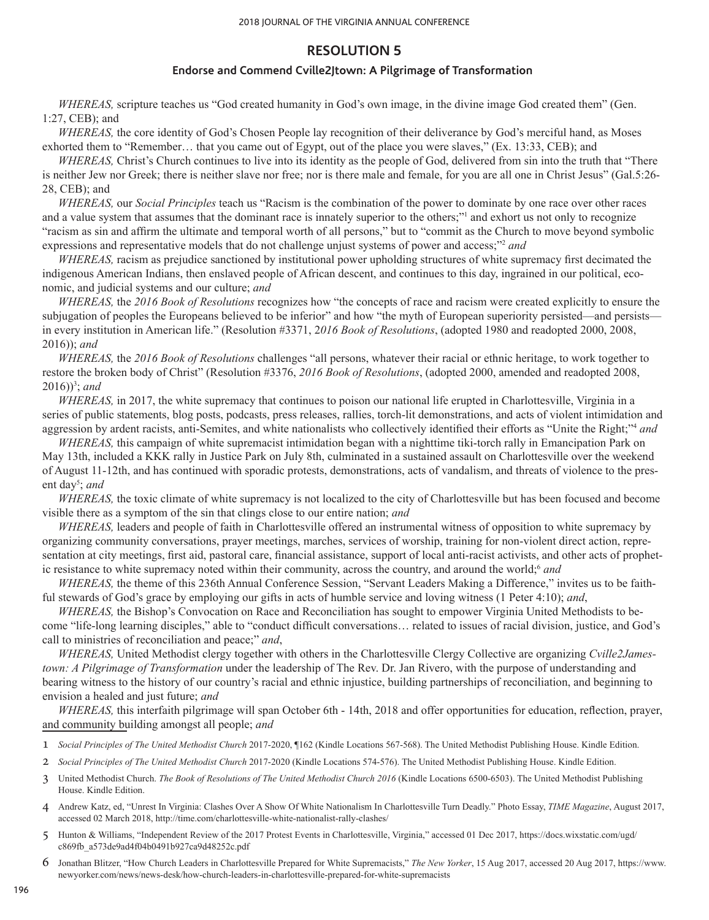# **RESOLUTION 5**

## **Endorse and Commend Cville2Jtown: A Pilgrimage of Transformation**

*WHEREAS,* scripture teaches us "God created humanity in God's own image, in the divine image God created them" (Gen. 1:27, CEB); and

*WHEREAS,* the core identity of God's Chosen People lay recognition of their deliverance by God's merciful hand, as Moses exhorted them to "Remember… that you came out of Egypt, out of the place you were slaves," (Ex. 13:33, CEB); and

*WHEREAS*, Christ's Church continues to live into its identity as the people of God, delivered from sin into the truth that "There is neither Jew nor Greek; there is neither slave nor free; nor is there male and female, for you are all one in Christ Jesus" (Gal.5:26- 28, CEB); and

*WHEREAS,* our *Social Principles* teach us "Racism is the combination of the power to dominate by one race over other races and a value system that assumes that the dominant race is innately superior to the others;"<sup>1</sup> and exhort us not only to recognize "racism as sin and affirm the ultimate and temporal worth of all persons," but to "commit as the Church to move beyond symbolic expressions and representative models that do not challenge unjust systems of power and access;"<sup>2</sup> and

*WHEREAS,* racism as prejudice sanctioned by institutional power upholding structures of white supremacy first decimated the indigenous American Indians, then enslaved people of African descent, and continues to this day, ingrained in our political, economic, and judicial systems and our culture; *and*

*WHEREAS,* the *2016 Book of Resolutions* recognizes how "the concepts of race and racism were created explicitly to ensure the subjugation of peoples the Europeans believed to be inferior" and how "the myth of European superiority persisted—and persists in every institution in American life." (Resolution #3371, 2*016 Book of Resolutions*, (adopted 1980 and readopted 2000, 2008, 2016)); *and*

*WHEREAS,* the *2016 Book of Resolutions* challenges "all persons, whatever their racial or ethnic heritage, to work together to restore the broken body of Christ" (Resolution #3376, *2016 Book of Resolutions*, (adopted 2000, amended and readopted 2008, 2016))<sup>3</sup>; and

*WHEREAS*, in 2017, the white supremacy that continues to poison our national life erupted in Charlottesville, Virginia in a series of public statements, blog posts, podcasts, press releases, rallies, torch-lit demonstrations, and acts of violent intimidation and aggression by ardent racists, anti-Semites, and white nationalists who collectively identified their efforts as "Unite the Right;"<sup>4</sup> *and*

*WHEREAS,* this campaign of white supremacist intimidation began with a nighttime tiki-torch rally in Emancipation Park on May 13th, included a KKK rally in Justice Park on July 8th, culminated in a sustained assault on Charlottesville over the weekend of August 11-12th, and has continued with sporadic protests, demonstrations, acts of vandalism, and threats of violence to the present day<sup>5</sup>; and

*WHEREAS,* the toxic climate of white supremacy is not localized to the city of Charlottesville but has been focused and become visible there as a symptom of the sin that clings close to our entire nation; *and*

*WHEREAS,* leaders and people of faith in Charlottesville offered an instrumental witness of opposition to white supremacy by organizing community conversations, prayer meetings, marches, services of worship, training for non-violent direct action, representation at city meetings, first aid, pastoral care, financial assistance, support of local anti-racist activists, and other acts of prophetic resistance to white supremacy noted within their community, across the country, and around the world;<sup>6</sup> and

*WHEREAS,* the theme of this 236th Annual Conference Session, "Servant Leaders Making a Difference," invites us to be faithful stewards of God's grace by employing our gifts in acts of humble service and loving witness (1 Peter 4:10); *and*,

*WHEREAS,* the Bishop's Convocation on Race and Reconciliation has sought to empower Virginia United Methodists to become "life-long learning disciples," able to "conduct difficult conversations… related to issues of racial division, justice, and God's call to ministries of reconciliation and peace;" *and*,

*WHEREAS,* United Methodist clergy together with others in the Charlottesville Clergy Collective are organizing *Cville2Jamestown: A Pilgrimage of Transformation* under the leadership of The Rev. Dr. Jan Rivero, with the purpose of understanding and bearing witness to the history of our country's racial and ethnic injustice, building partnerships of reconciliation, and beginning to envision a healed and just future; *and*

*WHEREAS,* this interfaith pilgrimage will span October 6th - 14th, 2018 and offer opportunities for education, reflection, prayer, and community building amongst all people; *and*

- 1 *Social Principles of The United Methodist Church* 2017-2020, ¶162 (Kindle Locations 567-568). The United Methodist Publishing House. Kindle Edition.
- 2 *Social Principles of The United Methodist Church* 2017-2020 (Kindle Locations 574-576). The United Methodist Publishing House. Kindle Edition.
- 3 United Methodist Church. *The Book of Resolutions of The United Methodist Church 2016* (Kindle Locations 6500-6503). The United Methodist Publishing House. Kindle Edition.
- 4 Andrew Katz, ed, "Unrest In Virginia: Clashes Over A Show Of White Nationalism In Charlottesville Turn Deadly." Photo Essay, *TIME Magazine*, August 2017, accessed 02 March 2018, http://time.com/charlottesville-white-nationalist-rally-clashes/
- 5 Hunton & Williams, "Independent Review of the 2017 Protest Events in Charlottesville, Virginia," accessed 01 Dec 2017, https://docs.wixstatic.com/ugd/ c869fb\_a573de9ad4f04b0491b927ca9d48252c.pdf
- 6 Jonathan Blitzer, "How Church Leaders in Charlottesville Prepared for White Supremacists," *The New Yorker*, 15 Aug 2017, accessed 20 Aug 2017, https://www. newyorker.com/news/news-desk/how-church-leaders-in-charlottesville-prepared-for-white-supremacists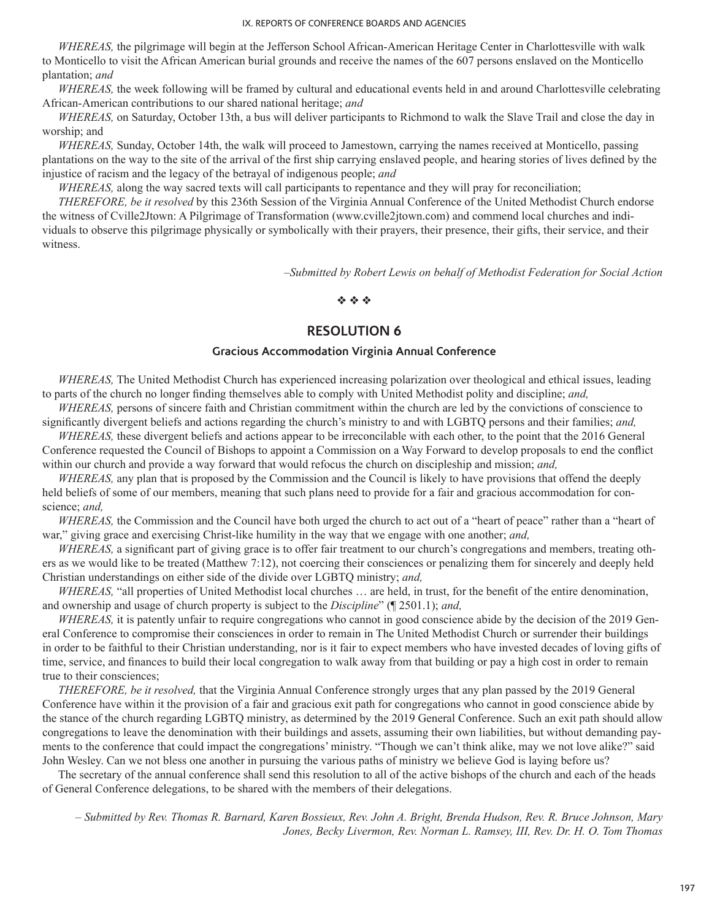*WHEREAS,* the pilgrimage will begin at the Jefferson School African-American Heritage Center in Charlottesville with walk to Monticello to visit the African American burial grounds and receive the names of the 607 persons enslaved on the Monticello plantation; *and*

*WHEREAS,* the week following will be framed by cultural and educational events held in and around Charlottesville celebrating African-American contributions to our shared national heritage; *and*

*WHEREAS,* on Saturday, October 13th, a bus will deliver participants to Richmond to walk the Slave Trail and close the day in worship; and

*WHEREAS,* Sunday, October 14th, the walk will proceed to Jamestown, carrying the names received at Monticello, passing plantations on the way to the site of the arrival of the first ship carrying enslaved people, and hearing stories of lives defined by the injustice of racism and the legacy of the betrayal of indigenous people; *and*

*WHEREAS*, along the way sacred texts will call participants to repentance and they will pray for reconciliation;

*THEREFORE, be it resolved* by this 236th Session of the Virginia Annual Conference of the United Methodist Church endorse the witness of Cville2Jtown: A Pilgrimage of Transformation (www.cville2jtown.com) and commend local churches and individuals to observe this pilgrimage physically or symbolically with their prayers, their presence, their gifts, their service, and their witness.

*–Submitted by Robert Lewis on behalf of Methodist Federation for Social Action*

#### $\phi_0$  via  $\phi_0$

# **RESOLUTION 6**

## **Gracious Accommodation Virginia Annual Conference**

*WHEREAS,* The United Methodist Church has experienced increasing polarization over theological and ethical issues, leading to parts of the church no longer finding themselves able to comply with United Methodist polity and discipline; *and,*

*WHEREAS,* persons of sincere faith and Christian commitment within the church are led by the convictions of conscience to significantly divergent beliefs and actions regarding the church's ministry to and with LGBTQ persons and their families; *and,*

*WHEREAS,* these divergent beliefs and actions appear to be irreconcilable with each other, to the point that the 2016 General Conference requested the Council of Bishops to appoint a Commission on a Way Forward to develop proposals to end the conflict within our church and provide a way forward that would refocus the church on discipleship and mission; *and,*

*WHEREAS,* any plan that is proposed by the Commission and the Council is likely to have provisions that offend the deeply held beliefs of some of our members, meaning that such plans need to provide for a fair and gracious accommodation for conscience; *and,*

*WHEREAS*, the Commission and the Council have both urged the church to act out of a "heart of peace" rather than a "heart of war," giving grace and exercising Christ-like humility in the way that we engage with one another; *and,*

*WHEREAS,* a significant part of giving grace is to offer fair treatment to our church's congregations and members, treating others as we would like to be treated (Matthew 7:12), not coercing their consciences or penalizing them for sincerely and deeply held Christian understandings on either side of the divide over LGBTQ ministry; *and,*

*WHEREAS,* "all properties of United Methodist local churches … are held, in trust, for the benefit of the entire denomination, and ownership and usage of church property is subject to the *Discipline*" (¶ 2501.1); *and,*

*WHEREAS*, it is patently unfair to require congregations who cannot in good conscience abide by the decision of the 2019 General Conference to compromise their consciences in order to remain in The United Methodist Church or surrender their buildings in order to be faithful to their Christian understanding, nor is it fair to expect members who have invested decades of loving gifts of time, service, and finances to build their local congregation to walk away from that building or pay a high cost in order to remain true to their consciences;

*THEREFORE, be it resolved,* that the Virginia Annual Conference strongly urges that any plan passed by the 2019 General Conference have within it the provision of a fair and gracious exit path for congregations who cannot in good conscience abide by the stance of the church regarding LGBTQ ministry, as determined by the 2019 General Conference. Such an exit path should allow congregations to leave the denomination with their buildings and assets, assuming their own liabilities, but without demanding payments to the conference that could impact the congregations' ministry. "Though we can't think alike, may we not love alike?" said John Wesley. Can we not bless one another in pursuing the various paths of ministry we believe God is laying before us?

The secretary of the annual conference shall send this resolution to all of the active bishops of the church and each of the heads of General Conference delegations, to be shared with the members of their delegations.

*– Submitted by Rev. Thomas R. Barnard, Karen Bossieux, Rev. John A. Bright, Brenda Hudson, Rev. R. Bruce Johnson, Mary Jones, Becky Livermon, Rev. Norman L. Ramsey, III, Rev. Dr. H. O. Tom Thomas*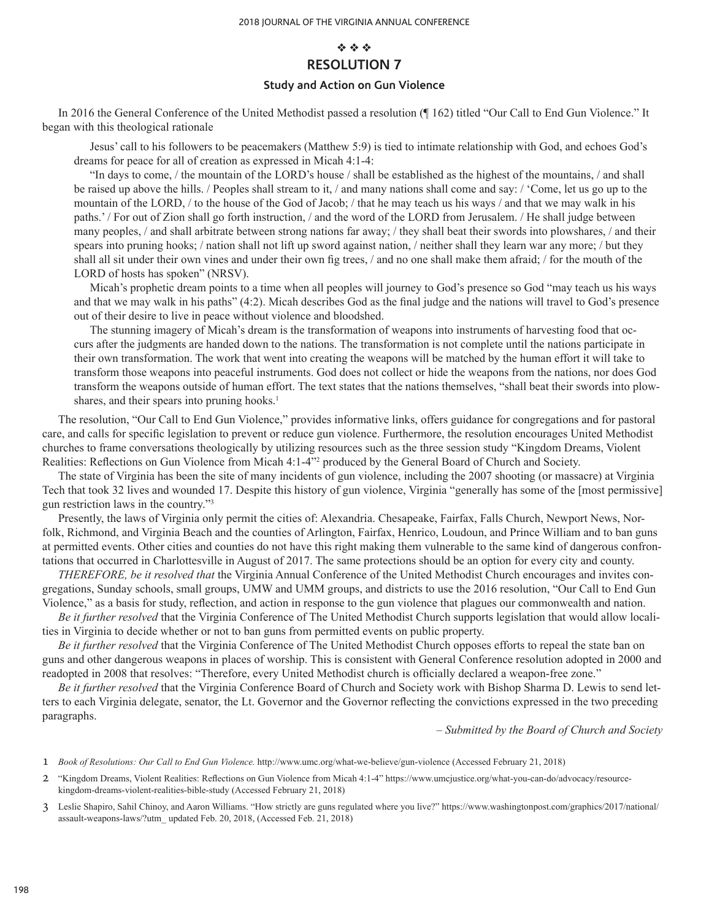# $\Phi$   $\Phi$   $\Phi$ **RESOLUTION 7**

#### **Study and Action on Gun Violence**

In 2016 the General Conference of the United Methodist passed a resolution (¶ 162) titled "Our Call to End Gun Violence." It began with this theological rationale

Jesus' call to his followers to be peacemakers (Matthew 5:9) is tied to intimate relationship with God, and echoes God's dreams for peace for all of creation as expressed in Micah 4:1-4:

"In days to come, / the mountain of the LORD's house / shall be established as the highest of the mountains, / and shall be raised up above the hills. / Peoples shall stream to it, / and many nations shall come and say: / 'Come, let us go up to the mountain of the LORD, / to the house of the God of Jacob; / that he may teach us his ways / and that we may walk in his paths.' / For out of Zion shall go forth instruction, / and the word of the LORD from Jerusalem. / He shall judge between many peoples, / and shall arbitrate between strong nations far away; / they shall beat their swords into plowshares, / and their spears into pruning hooks; / nation shall not lift up sword against nation, / neither shall they learn war any more; / but they shall all sit under their own vines and under their own fig trees, / and no one shall make them afraid; / for the mouth of the LORD of hosts has spoken" (NRSV).

Micah's prophetic dream points to a time when all peoples will journey to God's presence so God "may teach us his ways and that we may walk in his paths" (4:2). Micah describes God as the final judge and the nations will travel to God's presence out of their desire to live in peace without violence and bloodshed.

The stunning imagery of Micah's dream is the transformation of weapons into instruments of harvesting food that occurs after the judgments are handed down to the nations. The transformation is not complete until the nations participate in their own transformation. The work that went into creating the weapons will be matched by the human effort it will take to transform those weapons into peaceful instruments. God does not collect or hide the weapons from the nations, nor does God transform the weapons outside of human effort. The text states that the nations themselves, "shall beat their swords into plowshares, and their spears into pruning hooks.<sup>1</sup>

The resolution, "Our Call to End Gun Violence," provides informative links, offers guidance for congregations and for pastoral care, and calls for specific legislation to prevent or reduce gun violence. Furthermore, the resolution encourages United Methodist churches to frame conversations theologically by utilizing resources such as the three session study "Kingdom Dreams, Violent Realities: Reflections on Gun Violence from Micah 4:1-4"<sup>2</sup> produced by the General Board of Church and Society.

The state of Virginia has been the site of many incidents of gun violence, including the 2007 shooting (or massacre) at Virginia Tech that took 32 lives and wounded 17. Despite this history of gun violence, Virginia "generally has some of the [most permissive] gun restriction laws in the country."3

Presently, the laws of Virginia only permit the cities of: Alexandria. Chesapeake, Fairfax, Falls Church, Newport News, Norfolk, Richmond, and Virginia Beach and the counties of Arlington, Fairfax, Henrico, Loudoun, and Prince William and to ban guns at permitted events. Other cities and counties do not have this right making them vulnerable to the same kind of dangerous confrontations that occurred in Charlottesville in August of 2017. The same protections should be an option for every city and county.

*THEREFORE, be it resolved that* the Virginia Annual Conference of the United Methodist Church encourages and invites congregations, Sunday schools, small groups, UMW and UMM groups, and districts to use the 2016 resolution, "Our Call to End Gun Violence," as a basis for study, reflection, and action in response to the gun violence that plagues our commonwealth and nation.

*Be it further resolved* that the Virginia Conference of The United Methodist Church supports legislation that would allow localities in Virginia to decide whether or not to ban guns from permitted events on public property.

*Be it further resolved* that the Virginia Conference of The United Methodist Church opposes efforts to repeal the state ban on guns and other dangerous weapons in places of worship. This is consistent with General Conference resolution adopted in 2000 and readopted in 2008 that resolves: "Therefore, every United Methodist church is officially declared a weapon-free zone."

*Be it further resolved* that the Virginia Conference Board of Church and Society work with Bishop Sharma D. Lewis to send letters to each Virginia delegate, senator, the Lt. Governor and the Governor reflecting the convictions expressed in the two preceding paragraphs.

*– Submitted by the Board of Church and Society*

<sup>1</sup> *Book of Resolutions: Our Call to End Gun Violence.* http://www.umc.org/what-we-believe/gun-violence (Accessed February 21, 2018)

<sup>2</sup> "Kingdom Dreams, Violent Realities: Reflections on Gun Violence from Micah 4:1-4" https://www.umcjustice.org/what-you-can-do/advocacy/resourcekingdom-dreams-violent-realities-bible-study (Accessed February 21, 2018)

<sup>3</sup> Leslie Shapiro, Sahil Chinoy, and Aaron Williams. "How strictly are guns regulated where you live?" https://www.washingtonpost.com/graphics/2017/national/ assault-weapons-laws/?utm\_ updated Feb. 20, 2018, (Accessed Feb. 21, 2018)